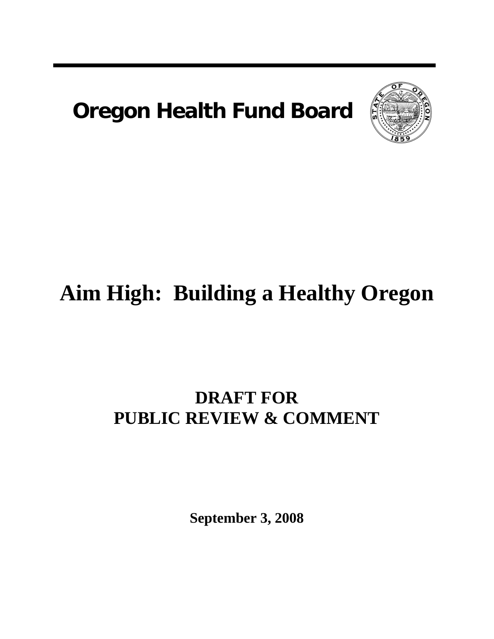# **Oregon Health Fund Board**



# **Aim High: Building a Healthy Oregon**

# **DRAFT FOR PUBLIC REVIEW & COMMENT**

**September 3, 2008**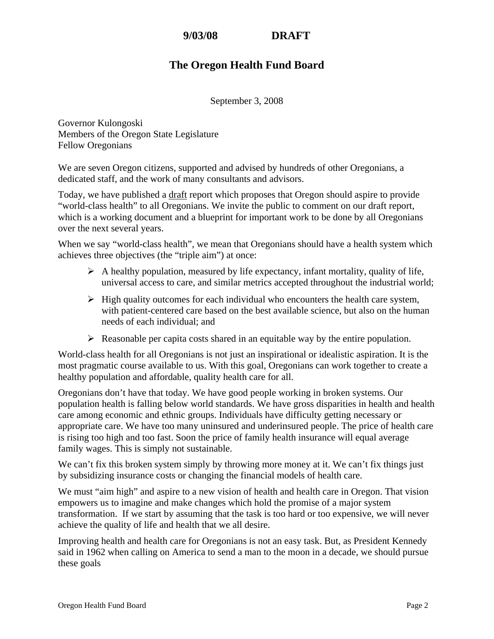# **The Oregon Health Fund Board**

September 3, 2008

Governor Kulongoski Members of the Oregon State Legislature Fellow Oregonians

We are seven Oregon citizens, supported and advised by hundreds of other Oregonians, a dedicated staff, and the work of many consultants and advisors.

Today, we have published a draft report which proposes that Oregon should aspire to provide "world-class health" to all Oregonians. We invite the public to comment on our draft report, which is a working document and a blueprint for important work to be done by all Oregonians over the next several years.

When we say "world-class health", we mean that Oregonians should have a health system which achieves three objectives (the "triple aim") at once:

- $\triangleright$  A healthy population, measured by life expectancy, infant mortality, quality of life, universal access to care, and similar metrics accepted throughout the industrial world;
- $\triangleright$  High quality outcomes for each individual who encounters the health care system, with patient-centered care based on the best available science, but also on the human needs of each individual; and
- $\triangleright$  Reasonable per capita costs shared in an equitable way by the entire population.

World-class health for all Oregonians is not just an inspirational or idealistic aspiration. It is the most pragmatic course available to us. With this goal, Oregonians can work together to create a healthy population and affordable, quality health care for all.

Oregonians don't have that today. We have good people working in broken systems. Our population health is falling below world standards. We have gross disparities in health and health care among economic and ethnic groups. Individuals have difficulty getting necessary or appropriate care. We have too many uninsured and underinsured people. The price of health care is rising too high and too fast. Soon the price of family health insurance will equal average family wages. This is simply not sustainable.

We can't fix this broken system simply by throwing more money at it. We can't fix things just by subsidizing insurance costs or changing the financial models of health care.

We must "aim high" and aspire to a new vision of health and health care in Oregon. That vision empowers us to imagine and make changes which hold the promise of a major system transformation. If we start by assuming that the task is too hard or too expensive, we will never achieve the quality of life and health that we all desire.

Improving health and health care for Oregonians is not an easy task. But, as President Kennedy said in 1962 when calling on America to send a man to the moon in a decade, we should pursue these goals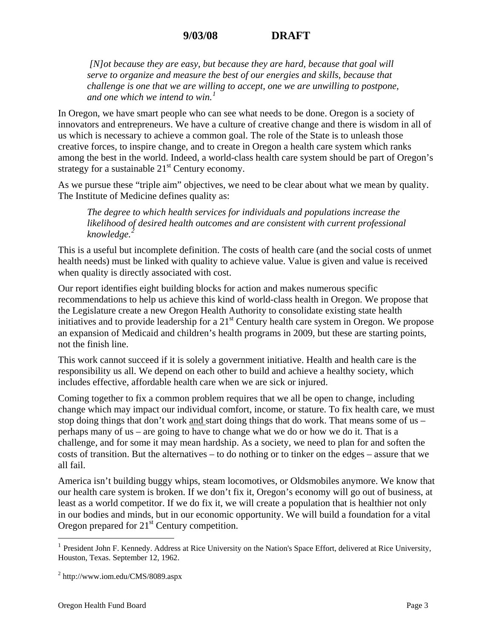*[N]ot because they are easy, but because they are hard, because that goal will serve to organize and measure the best of our energies and skills, because that challenge is one that we are willing to accept, one we are unwilling to postpone, and one which we intend to win.[1](#page-2-0)*

In Oregon, we have smart people who can see what needs to be done. Oregon is a society of innovators and entrepreneurs. We have a culture of creative change and there is wisdom in all of us which is necessary to achieve a common goal. The role of the State is to unleash those creative forces, to inspire change, and to create in Oregon a health care system which ranks among the best in the world. Indeed, a world-class health care system should be part of Oregon's strategy for a sustainable  $21<sup>st</sup>$  Century economy.

As we pursue these "triple aim" objectives, we need to be clear about what we mean by quality. The Institute of Medicine defines quality as:

*The degree to which health services for individuals and populations increase the likelihood of desired health outcomes and are consistent with current professional knowledge.[2](#page-2-1)*

This is a useful but incomplete definition. The costs of health care (and the social costs of unmet health needs) must be linked with quality to achieve value. Value is given and value is received when quality is directly associated with cost.

Our report identifies eight building blocks for action and makes numerous specific recommendations to help us achieve this kind of world-class health in Oregon. We propose that the Legislature create a new Oregon Health Authority to consolidate existing state health initiatives and to provide leadership for a  $21<sup>st</sup>$  Century health care system in Oregon. We propose an expansion of Medicaid and children's health programs in 2009, but these are starting points, not the finish line.

This work cannot succeed if it is solely a government initiative. Health and health care is the responsibility us all. We depend on each other to build and achieve a healthy society, which includes effective, affordable health care when we are sick or injured.

Coming together to fix a common problem requires that we all be open to change, including change which may impact our individual comfort, income, or stature. To fix health care, we must stop doing things that don't work and start doing things that do work. That means some of us – perhaps many of us – are going to have to change what we do or how we do it. That is a challenge, and for some it may mean hardship. As a society, we need to plan for and soften the costs of transition. But the alternatives – to do nothing or to tinker on the edges – assure that we all fail.

America isn't building buggy whips, steam locomotives, or Oldsmobiles anymore. We know that our health care system is broken. If we don't fix it, Oregon's economy will go out of business, at least as a world competitor. If we do fix it, we will create a population that is healthier not only in our bodies and minds, but in our economic opportunity. We will build a foundation for a vital Oregon prepared for  $21<sup>st</sup>$  Century competition.

<sup>&</sup>lt;sup>1</sup> President John F. Kennedy. Address at Rice University on the Nation's Space Effort, delivered at Rice University, Houston, Texas. September 12, 1962.

<span id="page-2-1"></span><span id="page-2-0"></span> $2$  http://www.iom.edu/CMS/8089.aspx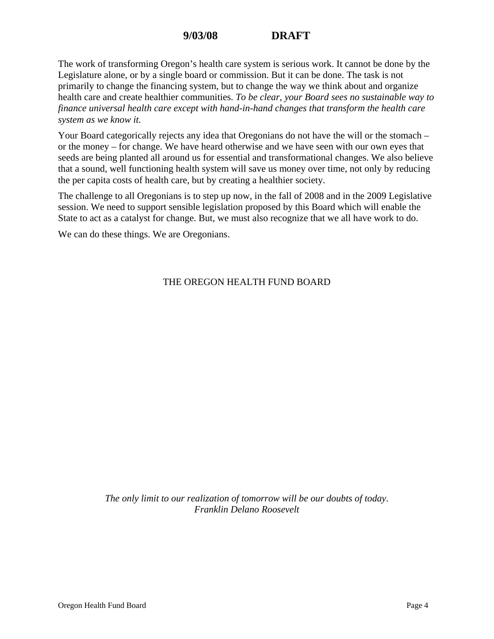The work of transforming Oregon's health care system is serious work. It cannot be done by the Legislature alone, or by a single board or commission. But it can be done. The task is not primarily to change the financing system, but to change the way we think about and organize health care and create healthier communities. *To be clear, your Board sees no sustainable way to finance universal health care except with hand-in-hand changes that transform the health care system as we know it.* 

Your Board categorically rejects any idea that Oregonians do not have the will or the stomach – or the money – for change. We have heard otherwise and we have seen with our own eyes that seeds are being planted all around us for essential and transformational changes. We also believe that a sound, well functioning health system will save us money over time, not only by reducing the per capita costs of health care, but by creating a healthier society.

The challenge to all Oregonians is to step up now, in the fall of 2008 and in the 2009 Legislative session. We need to support sensible legislation proposed by this Board which will enable the State to act as a catalyst for change. But, we must also recognize that we all have work to do.

We can do these things. We are Oregonians.

# THE OREGON HEALTH FUND BOARD

*The only limit to our realization of tomorrow will be our doubts of today*. *Franklin Delano Roosevelt*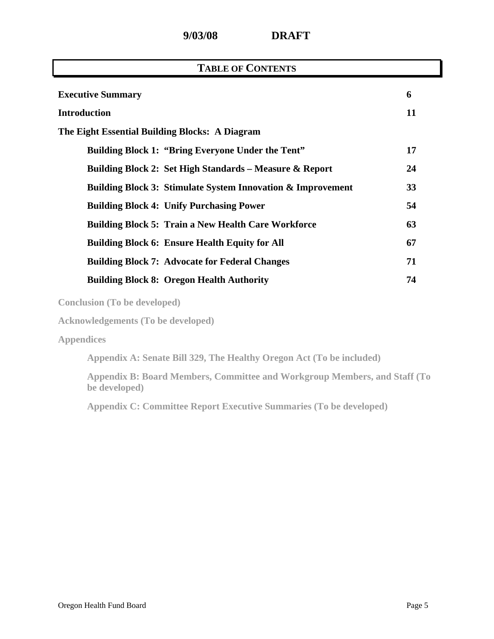|  | 9/03/08 |
|--|---------|
|  |         |

| <b>TABLE OF CONTENTS</b>                                               |    |  |  |  |
|------------------------------------------------------------------------|----|--|--|--|
| <b>Executive Summary</b>                                               | 6  |  |  |  |
| <b>Introduction</b>                                                    | 11 |  |  |  |
| The Eight Essential Building Blocks: A Diagram                         |    |  |  |  |
| <b>Building Block 1: "Bring Everyone Under the Tent"</b>               | 17 |  |  |  |
| <b>Building Block 2: Set High Standards – Measure &amp; Report</b>     | 24 |  |  |  |
| <b>Building Block 3: Stimulate System Innovation &amp; Improvement</b> | 33 |  |  |  |
| <b>Building Block 4: Unify Purchasing Power</b>                        | 54 |  |  |  |
| <b>Building Block 5: Train a New Health Care Workforce</b>             | 63 |  |  |  |
| <b>Building Block 6: Ensure Health Equity for All</b>                  | 67 |  |  |  |
| <b>Building Block 7: Advocate for Federal Changes</b>                  | 71 |  |  |  |
| <b>Building Block 8: Oregon Health Authority</b>                       | 74 |  |  |  |
|                                                                        |    |  |  |  |

**Conclusion (To be developed)** 

**Acknowledgements (To be developed)** 

**Appendices** 

 **Appendix A: Senate Bill 329, The Healthy Oregon Act (To be included)** 

 **Appendix B: Board Members, Committee and Workgroup Members, and Staff (To be developed)** 

 **Appendix C: Committee Report Executive Summaries (To be developed)**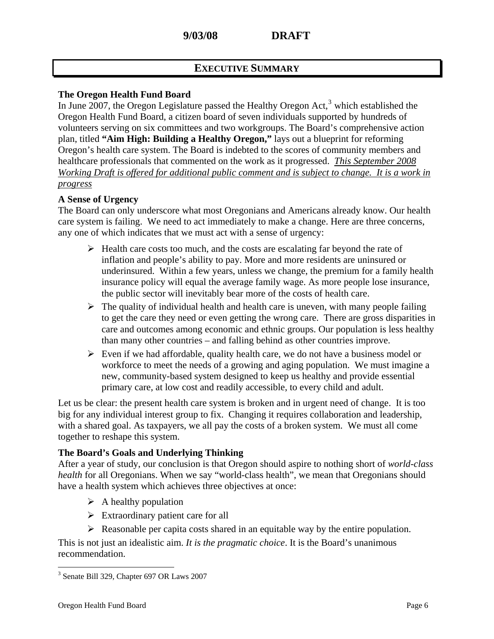# **EXECUTIVE SUMMARY**

# **The Oregon Health Fund Board**

In June  $2007$ , the Oregon Legislature passed the Healthy Oregon Act,<sup>[3](#page-5-0)</sup> which established the Oregon Health Fund Board, a citizen board of seven individuals supported by hundreds of volunteers serving on six committees and two workgroups. The Board's comprehensive action plan, titled **"Aim High: Building a Healthy Oregon,"** lays out a blueprint for reforming Oregon's health care system. The Board is indebted to the scores of community members and healthcare professionals that commented on the work as it progressed. *This September 2008 Working Draft is offered for additional public comment and is subject to change. It is a work in progress*

# **A Sense of Urgency**

The Board can only underscore what most Oregonians and Americans already know. Our health care system is failing. We need to act immediately to make a change. Here are three concerns, any one of which indicates that we must act with a sense of urgency:

- $\triangleright$  Health care costs too much, and the costs are escalating far beyond the rate of inflation and people's ability to pay. More and more residents are uninsured or underinsured. Within a few years, unless we change, the premium for a family health insurance policy will equal the average family wage. As more people lose insurance, the public sector will inevitably bear more of the costs of health care.
- $\triangleright$  The quality of individual health and health care is uneven, with many people failing to get the care they need or even getting the wrong care. There are gross disparities in care and outcomes among economic and ethnic groups. Our population is less healthy than many other countries – and falling behind as other countries improve.
- $\triangleright$  Even if we had affordable, quality health care, we do not have a business model or workforce to meet the needs of a growing and aging population. We must imagine a new, community-based system designed to keep us healthy and provide essential primary care, at low cost and readily accessible, to every child and adult.

Let us be clear: the present health care system is broken and in urgent need of change. It is too big for any individual interest group to fix. Changing it requires collaboration and leadership, with a shared goal. As taxpayers, we all pay the costs of a broken system. We must all come together to reshape this system.

#### **The Board's Goals and Underlying Thinking**

After a year of study, our conclusion is that Oregon should aspire to nothing short of *world-class health* for all Oregonians. When we say "world-class health", we mean that Oregonians should have a health system which achieves three objectives at once:

- $\triangleright$  A healthy population
- $\triangleright$  Extraordinary patient care for all
- $\triangleright$  Reasonable per capita costs shared in an equitable way by the entire population.

This is not just an idealistic aim. *It is the pragmatic choice*. It is the Board's unanimous recommendation.

<u>.</u>

<span id="page-5-0"></span><sup>3</sup> Senate Bill 329, Chapter 697 OR Laws 2007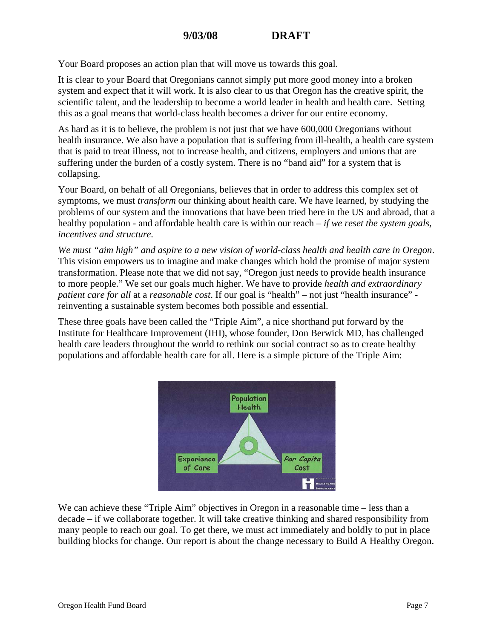Your Board proposes an action plan that will move us towards this goal.

It is clear to your Board that Oregonians cannot simply put more good money into a broken system and expect that it will work. It is also clear to us that Oregon has the creative spirit, the scientific talent, and the leadership to become a world leader in health and health care. Setting this as a goal means that world-class health becomes a driver for our entire economy.

As hard as it is to believe, the problem is not just that we have 600,000 Oregonians without health insurance. We also have a population that is suffering from ill-health, a health care system that is paid to treat illness, not to increase health, and citizens, employers and unions that are suffering under the burden of a costly system. There is no "band aid" for a system that is collapsing.

Your Board, on behalf of all Oregonians, believes that in order to address this complex set of symptoms, we must *transform* our thinking about health care. We have learned, by studying the problems of our system and the innovations that have been tried here in the US and abroad, that a healthy population - and affordable health care is within our reach – *if we reset the system goals, incentives and structure.* 

*We must "aim high" and aspire to a new vision of world-class health and health care in Oregon*. This vision empowers us to imagine and make changes which hold the promise of major system transformation. Please note that we did not say, "Oregon just needs to provide health insurance to more people." We set our goals much higher. We have to provide *health and extraordinary patient care for all* at a *reasonable cost*. If our goal is "health" – not just "health insurance" reinventing a sustainable system becomes both possible and essential.

These three goals have been called the "Triple Aim", a nice shorthand put forward by the Institute for Healthcare Improvement (IHI), whose founder, Don Berwick MD, has challenged health care leaders throughout the world to rethink our social contract so as to create healthy populations and affordable health care for all. Here is a simple picture of the Triple Aim:



We can achieve these "Triple Aim" objectives in Oregon in a reasonable time – less than a decade – if we collaborate together. It will take creative thinking and shared responsibility from many people to reach our goal. To get there, we must act immediately and boldly to put in place building blocks for change. Our report is about the change necessary to Build A Healthy Oregon.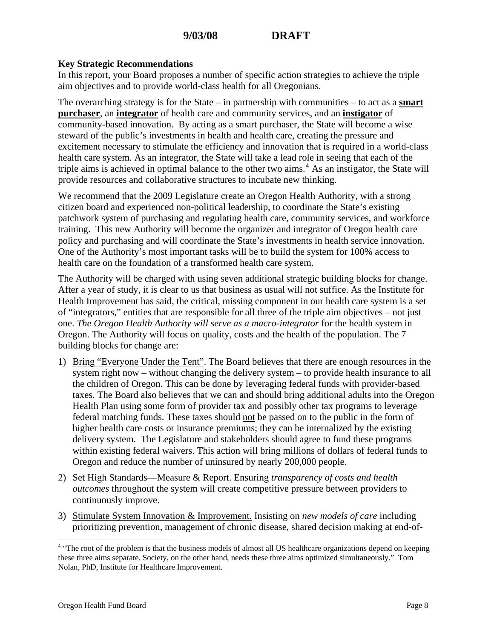#### <span id="page-7-0"></span>**Key Strategic Recommendations**

In this report, your Board proposes a number of specific action strategies to achieve the triple aim objectives and to provide world-class health for all Oregonians.

The overarching strategy is for the State – in partnership with communities – to act as a **smart purchaser**, an **integrator** of health care and community services, and an **instigator** of community-based innovation. By acting as a smart purchaser, the State will become a wise steward of the public's investments in health and health care, creating the pressure and excitement necessary to stimulate the efficiency and innovation that is required in a world-class health care system. As an integrator, the State will take a lead role in seeing that each of the triple aims is achieved in optimal balance to the other two aims.<sup>[4](#page-7-0)</sup> As an instigator, the State will provide resources and collaborative structures to incubate new thinking.

We recommend that the 2009 Legislature create an Oregon Health Authority, with a strong citizen board and experienced non-political leadership, to coordinate the State's existing patchwork system of purchasing and regulating health care, community services, and workforce training. This new Authority will become the organizer and integrator of Oregon health care policy and purchasing and will coordinate the State's investments in health service innovation. One of the Authority's most important tasks will be to build the system for 100% access to health care on the foundation of a transformed health care system.

The Authority will be charged with using seven additional strategic building blocks for change. After a year of study, it is clear to us that business as usual will not suffice. As the Institute for Health Improvement has said, the critical, missing component in our health care system is a set of "integrators," entities that are responsible for all three of the triple aim objectives – not just one. *The Oregon Health Authority will serve as a macro-integrator* for the health system in Oregon. The Authority will focus on quality, costs and the health of the population. The 7 building blocks for change are:

- 1) Bring "Everyone Under the Tent". The Board believes that there are enough resources in the system right now – without changing the delivery system – to provide health insurance to all the children of Oregon. This can be done by leveraging federal funds with provider-based taxes. The Board also believes that we can and should bring additional adults into the Oregon Health Plan using some form of provider tax and possibly other tax programs to leverage federal matching funds. These taxes should not be passed on to the public in the form of higher health care costs or insurance premiums; they can be internalized by the existing delivery system. The Legislature and stakeholders should agree to fund these programs within existing federal waivers. This action will bring millions of dollars of federal funds to Oregon and reduce the number of uninsured by nearly 200,000 people.
- 2) Set High Standards—Measure & Report. Ensuring *transparency of costs and health outcomes* throughout the system will create competitive pressure between providers to continuously improve.
- 3) Stimulate System Innovation & Improvement. Insisting on *new models of care* including prioritizing prevention, management of chronic disease, shared decision making at end-of-

<sup>&</sup>lt;sup>4</sup> "The root of the problem is that the business models of almost all US healthcare organizations depend on keeping these three aims separate. Society, on the other hand, needs these three aims optimized simultaneously." Tom Nolan, PhD, Institute for Healthcare Improvement.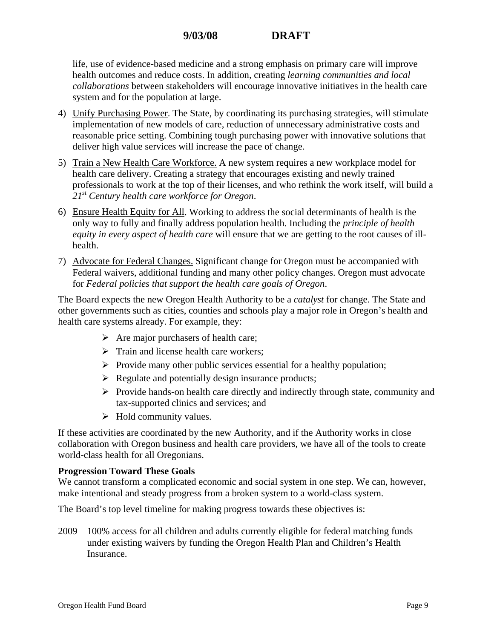life, use of evidence-based medicine and a strong emphasis on primary care will improve health outcomes and reduce costs. In addition, creating *learning communities and local collaborations* between stakeholders will encourage innovative initiatives in the health care system and for the population at large.

- 4) Unify Purchasing Power. The State, by coordinating its purchasing strategies, will stimulate implementation of new models of care, reduction of unnecessary administrative costs and reasonable price setting. Combining tough purchasing power with innovative solutions that deliver high value services will increase the pace of change.
- 5) Train a New Health Care Workforce. A new system requires a new workplace model for health care delivery. Creating a strategy that encourages existing and newly trained professionals to work at the top of their licenses, and who rethink the work itself, will build a *21st Century health care workforce for Oregon*.
- 6) Ensure Health Equity for All. Working to address the social determinants of health is the only way to fully and finally address population health. Including the *principle of health equity in every aspect of health care* will ensure that we are getting to the root causes of illhealth.
- 7) Advocate for Federal Changes. Significant change for Oregon must be accompanied with Federal waivers, additional funding and many other policy changes. Oregon must advocate for *Federal policies that support the health care goals of Oregon*.

The Board expects the new Oregon Health Authority to be a *catalyst* for change. The State and other governments such as cities, counties and schools play a major role in Oregon's health and health care systems already. For example, they:

- $\triangleright$  Are major purchasers of health care;
- $\triangleright$  Train and license health care workers:
- $\triangleright$  Provide many other public services essential for a healthy population;
- $\triangleright$  Regulate and potentially design insurance products;
- $\triangleright$  Provide hands-on health care directly and indirectly through state, community and tax-supported clinics and services; and
- $\triangleright$  Hold community values.

If these activities are coordinated by the new Authority, and if the Authority works in close collaboration with Oregon business and health care providers, we have all of the tools to create world-class health for all Oregonians.

#### **Progression Toward These Goals**

We cannot transform a complicated economic and social system in one step. We can, however, make intentional and steady progress from a broken system to a world-class system.

The Board's top level timeline for making progress towards these objectives is:

2009 100% access for all children and adults currently eligible for federal matching funds under existing waivers by funding the Oregon Health Plan and Children's Health Insurance.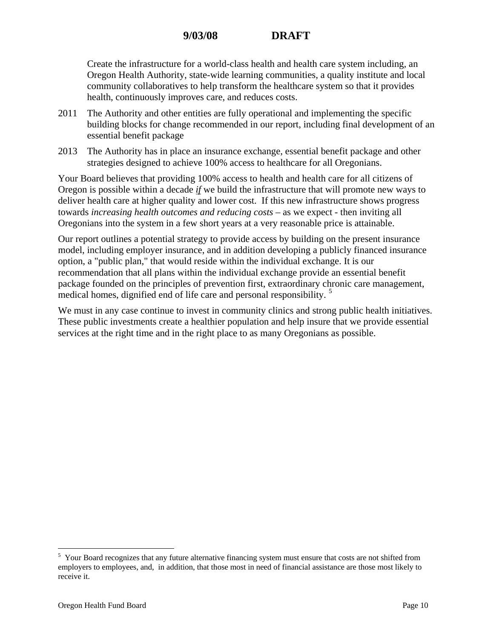<span id="page-9-0"></span> Create the infrastructure for a world-class health and health care system including, an Oregon Health Authority, state-wide learning communities, a quality institute and local community collaboratives to help transform the healthcare system so that it provides health, continuously improves care, and reduces costs.

- 2011 The Authority and other entities are fully operational and implementing the specific building blocks for change recommended in our report, including final development of an essential benefit package
- 2013 The Authority has in place an insurance exchange, essential benefit package and other strategies designed to achieve 100% access to healthcare for all Oregonians.

Your Board believes that providing 100% access to health and health care for all citizens of Oregon is possible within a decade *if* we build the infrastructure that will promote new ways to deliver health care at higher quality and lower cost. If this new infrastructure shows progress towards *increasing health outcomes and reducing costs* – as we expect - then inviting all Oregonians into the system in a few short years at a very reasonable price is attainable.

Our report outlines a potential strategy to provide access by building on the present insurance model, including employer insurance, and in addition developing a publicly financed insurance option, a "public plan," that would reside within the individual exchange. It is our recommendation that all plans within the individual exchange provide an essential benefit package founded on the principles of prevention first, extraordinary chronic care management, medical homes, dignified end of life care and personal responsibility. [5](#page-9-0)

We must in any case continue to invest in community clinics and strong public health initiatives. These public investments create a healthier population and help insure that we provide essential services at the right time and in the right place to as many Oregonians as possible.

<sup>&</sup>lt;sup>5</sup> Your Board recognizes that any future alternative financing system must ensure that costs are not shifted from employers to employees, and, in addition, that those most in need of financial assistance are those most likely to receive it.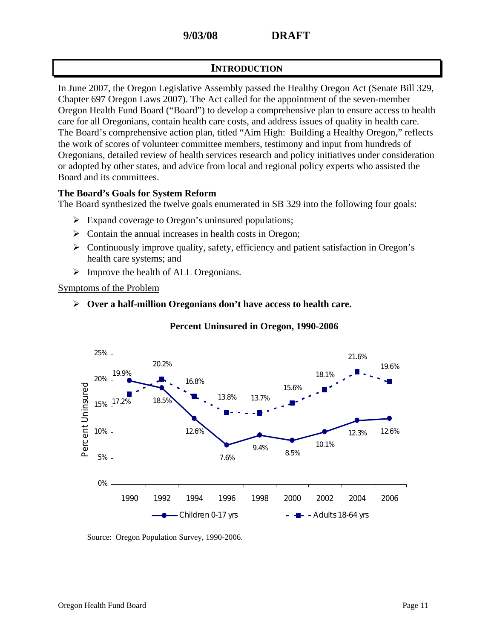# **INTRODUCTION**

In June 2007, the Oregon Legislative Assembly passed the Healthy Oregon Act (Senate Bill 329, Chapter 697 Oregon Laws 2007). The Act called for the appointment of the seven-member Oregon Health Fund Board ("Board") to develop a comprehensive plan to ensure access to health care for all Oregonians, contain health care costs, and address issues of quality in health care. The Board's comprehensive action plan, titled "Aim High: Building a Healthy Oregon," reflects the work of scores of volunteer committee members, testimony and input from hundreds of Oregonians, detailed review of health services research and policy initiatives under consideration or adopted by other states, and advice from local and regional policy experts who assisted the Board and its committees.

# **The Board's Goals for System Reform**

The Board synthesized the twelve goals enumerated in SB 329 into the following four goals:

- $\triangleright$  Expand coverage to Oregon's uninsured populations;
- $\triangleright$  Contain the annual increases in health costs in Oregon;
- ¾ Continuously improve quality, safety, efficiency and patient satisfaction in Oregon's health care systems; and
- $\triangleright$  Improve the health of ALL Oregonians.

#### Symptoms of the Problem

¾ **Over a half-million Oregonians don't have access to health care.** 



# **Percent Uninsured in Oregon, 1990-2006**

Source: Oregon Population Survey, 1990-2006.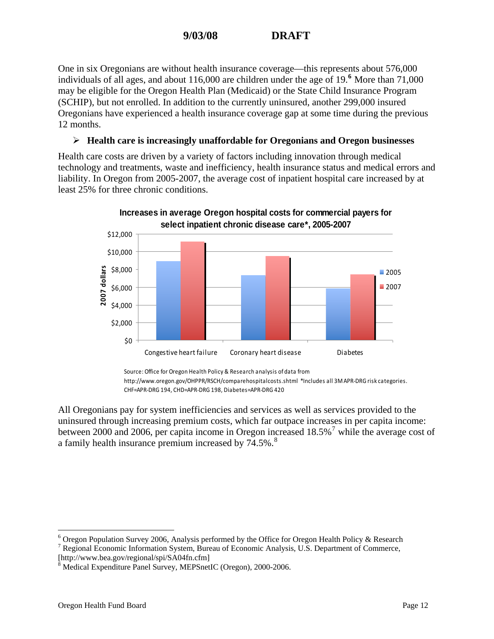<span id="page-11-0"></span>One in six Oregonians are without health insurance coverage—this represents about 576,000 individuals of all ages, and about 11[6](#page-11-0),000 are children under the age of 19.<sup>6</sup> More than 71,000 may be eligible for the Oregon Health Plan (Medicaid) or the State Child Insurance Program (SCHIP), but not enrolled. In addition to the currently uninsured, another 299,000 insured Oregonians have experienced a health insurance coverage gap at some time during the previous 12 months.

# ¾ **Health care is increasingly unaffordable for Oregonians and Oregon businesses**

Health care costs are driven by a variety of factors including innovation through medical technology and treatments, waste and inefficiency, health insurance status and medical errors and liability. In Oregon from 2005-2007, the average cost of inpatient hospital care increased by at least 25% for three chronic conditions.



**Increases in average Oregon hospital costs for commercial payers for** 

All Oregonians pay for system inefficiencies and services as well as services provided to the uninsured through increasing premium costs, which far outpace increases in per capita income: between 2000 and 2006, per capita income in Oregon increased  $18.5\%$ <sup>[7](#page-11-0)</sup> while the average cost of a family health insurance premium increased by 74.5%.<sup>[8](#page-11-0)</sup>

Source: Office for Oregon Health Policy & Research analysis of data from http://www.oregon.gov/OHPPR/RSCH/comparehospitalcosts.shtml \*Includes all 3M APR‐DRG risk categories. CHF=APR‐DRG 194, CHD=APR‐DRG 198, Diabetes=APR‐DRG 420

<sup>&</sup>lt;sup>6</sup> Oregon Population Survey 2006, Analysis performed by the Office for Oregon Health Policy & Research  $^7$  Regional Economic Information Survey of Economic Analysis II S. Department of Commerce

<sup>&</sup>lt;sup>7</sup> Regional Economic Information System, Bureau of Economic Analysis, U.S. Department of Commerce, [http://www.bea.gov/regional/spi/SA04fn.cfm]

<sup>8</sup> Medical Expenditure Panel Survey, MEPSnetIC (Oregon), 2000-2006.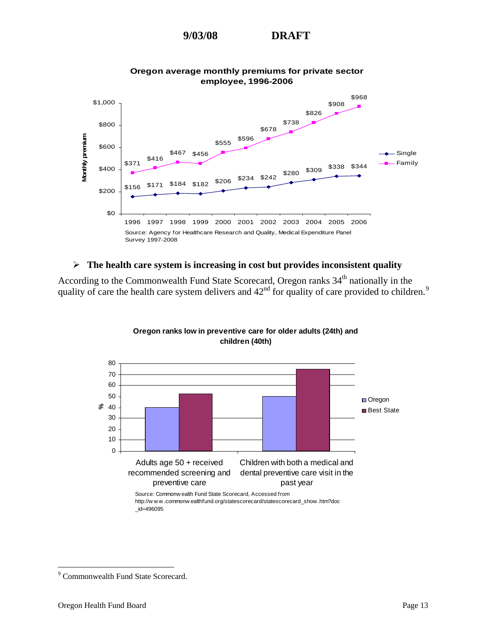<span id="page-12-0"></span>

#### **Oregon average monthly premiums for private sector employee, 1996-2006**

#### ¾ **The health care system is increasing in cost but provides inconsistent quality**

According to the Commonwealth Fund State Scorecard, Oregon ranks 34<sup>th</sup> nationally in the quality of care the health care system delivers and  $42<sup>nd</sup>$  for quality of care provided to children.<sup>[9](#page-12-0)</sup>



**Oregon ranks low in preventive care for older adults (24th) and children (40th)**

<u>.</u>

<sup>&</sup>lt;sup>9</sup> Commonwealth Fund State Scorecard.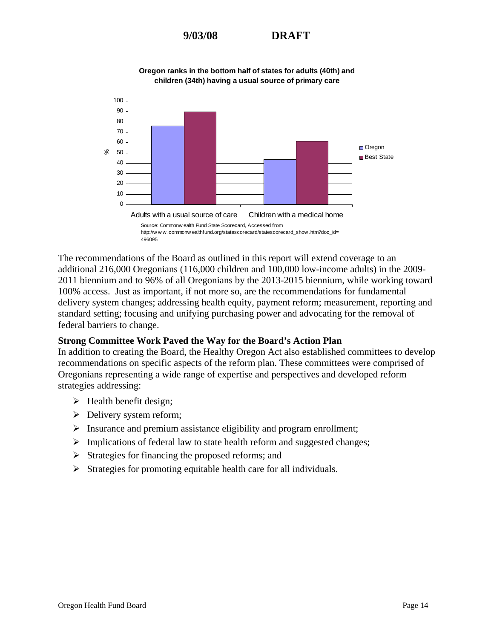

**Oregon ranks in the bottom half of states for adults (40th) and children (34th) having a usual source of primary care**

The recommendations of the Board as outlined in this report will extend coverage to an additional 216,000 Oregonians (116,000 children and 100,000 low-income adults) in the 2009- 2011 biennium and to 96% of all Oregonians by the 2013-2015 biennium, while working toward 100% access. Just as important, if not more so, are the recommendations for fundamental delivery system changes; addressing health equity, payment reform; measurement, reporting and standard setting; focusing and unifying purchasing power and advocating for the removal of federal barriers to change.

#### **Strong Committee Work Paved the Way for the Board's Action Plan**

In addition to creating the Board, the Healthy Oregon Act also established committees to develop recommendations on specific aspects of the reform plan. These committees were comprised of Oregonians representing a wide range of expertise and perspectives and developed reform strategies addressing:

- $\blacktriangleright$  Health benefit design;
- $\triangleright$  Delivery system reform;
- $\triangleright$  Insurance and premium assistance eligibility and program enrollment;
- ¾ Implications of federal law to state health reform and suggested changes;
- $\triangleright$  Strategies for financing the proposed reforms; and
- $\triangleright$  Strategies for promoting equitable health care for all individuals.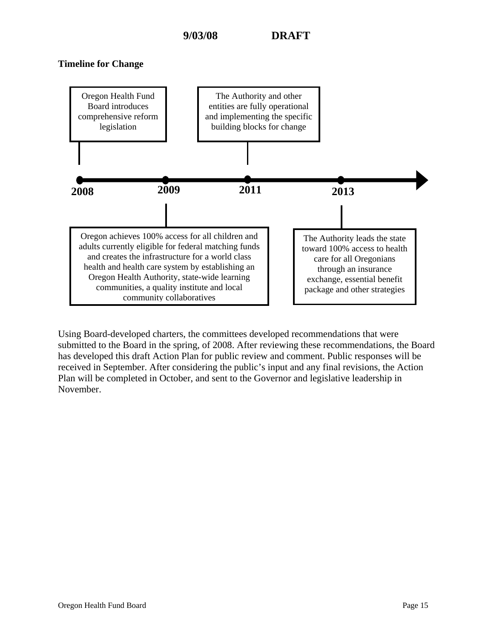# **Timeline for Change**



Using Board-developed charters, the committees developed recommendations that were submitted to the Board in the spring, of 2008. After reviewing these recommendations, the Board has developed this draft Action Plan for public review and comment. Public responses will be received in September. After considering the public's input and any final revisions, the Action Plan will be completed in October, and sent to the Governor and legislative leadership in November.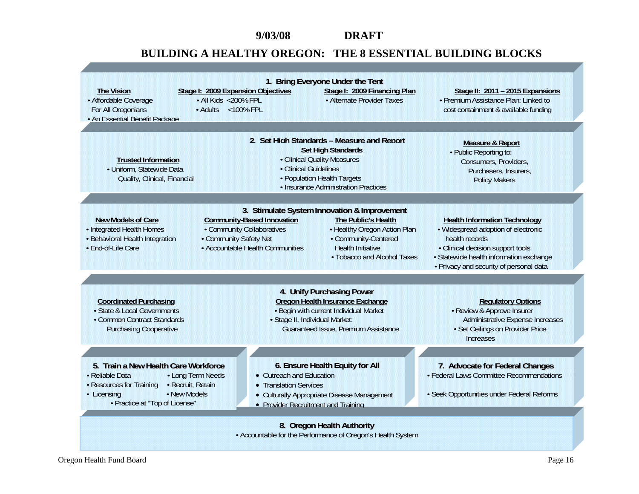# **BUILDING A HEALTHY OREGON: THE 8 ESSENTIAL BUILDING BLOCKS**

| Stage I: 2009 Expansion Objectives<br><b>The Vision</b><br>· All Kids <200% FPL<br>· Affordable Coverage<br>For All Oregonians<br>· Adults <100% FPL<br>• An Essential Benefit Package         | 1. Bring Everyone Under the Tent<br>Stage I: 2009 Financing Plan<br>• Alternate Provider Taxes                                                                                                                                                                                                | Stage II: 2011 - 2015 Expansions<br>• Premium Assistance Plan: Linked to<br>cost containment & available funding                                                                                                         |
|------------------------------------------------------------------------------------------------------------------------------------------------------------------------------------------------|-----------------------------------------------------------------------------------------------------------------------------------------------------------------------------------------------------------------------------------------------------------------------------------------------|--------------------------------------------------------------------------------------------------------------------------------------------------------------------------------------------------------------------------|
| <b>Trusted Information</b><br>· Uniform, Statewide Data<br>Quality, Clinical, Financial                                                                                                        | 2. Set High Standards - Measure and Report<br><b>Set High Standards</b><br>• Clinical Quality Measures<br>· Clinical Guidelines<br>• Population Health Targets<br>• Insurance Administration Practices                                                                                        | <b>Measure &amp; Report</b><br>• Public Reporting to:<br>Consumers, Providers,<br>Purchasers, Insurers,<br><b>Policy Makers</b>                                                                                          |
| New Models of Care<br>• Integrated Health Homes<br>• Behavioral Health Integration<br>• Community Safety Net<br>· End-of-Life Care                                                             | 3. Stimulate System Innovation & Improvement<br><b>Community-Based Innovation</b><br>The Public's Health<br>• Community Collaboratives<br>• Healthy Oregon Action Plan<br>• Community-Centered<br>• Accountable Health Communities<br><b>Health Initiative</b><br>• Tobacco and Alcohol Taxes | <b>Health Information Technology</b><br>• Widespread adoption of electronic<br>health records<br>• Clinical decision support tools<br>· Statewide health information exchange<br>• Privacy and security of personal data |
| <b>Coordinated Purchasing</b><br>· State & Local Governments<br>• Common Contract Standards<br><b>Purchasing Cooperative</b>                                                                   | 4. Unify Purchasing Power<br>Oregon Health Insurance Exchange<br>· Begin with current Individual Market<br>· Stage II, Individual Market:<br>Guaranteed Issue, Premium Assistance                                                                                                             | <b>Regulatory Options</b><br>• Review & Approve Insurer<br>Administrative Expense Increases<br>· Set Ceilings on Provider Price<br>Increases                                                                             |
| 5. Train a New Health Care Workforce<br>· Reliable Data<br>• Long Term Needs<br>• Resources for Training<br>· Recruit, Retain<br>• New Models<br>• Licensing<br>• Practice at "Top of License" | 6. Ensure Health Equity for All<br>• Outreach and Education<br>• Translation Services<br>• Culturally Appropriate Disease Management<br>• Provider Recruitment and Training                                                                                                                   | 7. Advocate for Federal Changes<br>• Federal Laws Committee Recommendations<br>· Seek Opportunities under Federal Reforms                                                                                                |
|                                                                                                                                                                                                | 8. Oregon Health Authority<br>• Accountable for the Performance of Oregon's Health System                                                                                                                                                                                                     |                                                                                                                                                                                                                          |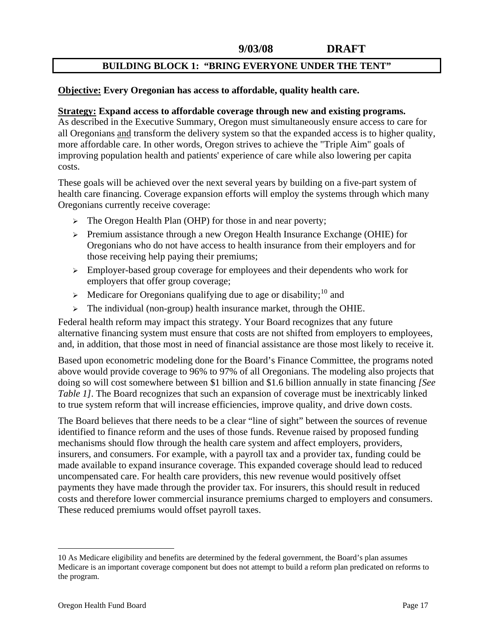# **BUILDING BLOCK 1: "BRING EVERYONE UNDER THE TENT"**

#### <span id="page-16-0"></span>**Objective: Every Oregonian has access to affordable, quality health care.**

#### **Strategy: Expand access to affordable coverage through new and existing programs.**

As described in the Executive Summary, Oregon must simultaneously ensure access to care for all Oregonians and transform the delivery system so that the expanded access is to higher quality, more affordable care. In other words, Oregon strives to achieve the "Triple Aim" goals of improving population health and patients' experience of care while also lowering per capita costs.

These goals will be achieved over the next several years by building on a five-part system of health care financing. Coverage expansion efforts will employ the systems through which many Oregonians currently receive coverage:

- ¾ The Oregon Health Plan (OHP) for those in and near poverty;
- ¾ Premium assistance through a new Oregon Health Insurance Exchange (OHIE) for Oregonians who do not have access to health insurance from their employers and for those receiving help paying their premiums;
- ¾ Employer-based group coverage for employees and their dependents who work for employers that offer group coverage;
- $\triangleright$  Medicare for Oregonians qualifying due to age or disability;<sup>[10](#page-16-0)</sup> and
- $\triangleright$  The individual (non-group) health insurance market, through the OHIE.

Federal health reform may impact this strategy. Your Board recognizes that any future alternative financing system must ensure that costs are not shifted from employers to employees, and, in addition, that those most in need of financial assistance are those most likely to receive it.

Based upon econometric modeling done for the Board's Finance Committee, the programs noted above would provide coverage to 96% to 97% of all Oregonians. The modeling also projects that doing so will cost somewhere between \$1 billion and \$1.6 billion annually in state financing *[See Table 1]*. The Board recognizes that such an expansion of coverage must be inextricably linked to true system reform that will increase efficiencies, improve quality, and drive down costs.

The Board believes that there needs to be a clear "line of sight" between the sources of revenue identified to finance reform and the uses of those funds. Revenue raised by proposed funding mechanisms should flow through the health care system and affect employers, providers, insurers, and consumers. For example, with a payroll tax and a provider tax, funding could be made available to expand insurance coverage. This expanded coverage should lead to reduced uncompensated care. For health care providers, this new revenue would positively offset payments they have made through the provider tax. For insurers, this should result in reduced costs and therefore lower commercial insurance premiums charged to employers and consumers. These reduced premiums would offset payroll taxes.

1

<sup>10</sup> As Medicare eligibility and benefits are determined by the federal government, the Board's plan assumes Medicare is an important coverage component but does not attempt to build a reform plan predicated on reforms to the program.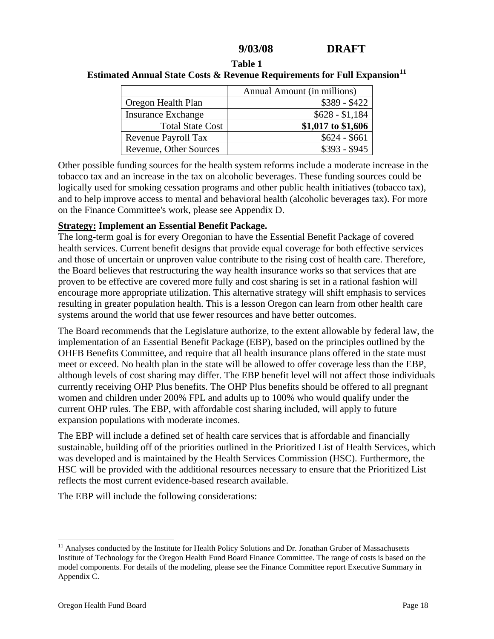|                           | Annual Amount (in millions) |
|---------------------------|-----------------------------|
| Oregon Health Plan        | $$389 - $422$               |
| <b>Insurance Exchange</b> | $$628 - $1,184$             |
| <b>Total State Cost</b>   | \$1,017 to \$1,606          |
| Revenue Payroll Tax       | $$624 - $661$               |
| Revenue, Other Sources    | $$393 - $945$               |

<span id="page-17-0"></span>**Table 1 Estimated Annual State Costs & Revenue Requirements for Full Expansion[11](#page-17-0)**

Other possible funding sources for the health system reforms include a moderate increase in the tobacco tax and an increase in the tax on alcoholic beverages. These funding sources could be logically used for smoking cessation programs and other public health initiatives (tobacco tax), and to help improve access to mental and behavioral health (alcoholic beverages tax). For more on the Finance Committee's work, please see Appendix D.

#### **Strategy: Implement an Essential Benefit Package.**

The long-term goal is for every Oregonian to have the Essential Benefit Package of covered health services. Current benefit designs that provide equal coverage for both effective services and those of uncertain or unproven value contribute to the rising cost of health care. Therefore, the Board believes that restructuring the way health insurance works so that services that are proven to be effective are covered more fully and cost sharing is set in a rational fashion will encourage more appropriate utilization. This alternative strategy will shift emphasis to services resulting in greater population health. This is a lesson Oregon can learn from other health care systems around the world that use fewer resources and have better outcomes.

The Board recommends that the Legislature authorize, to the extent allowable by federal law, the implementation of an Essential Benefit Package (EBP), based on the principles outlined by the OHFB Benefits Committee, and require that all health insurance plans offered in the state must meet or exceed. No health plan in the state will be allowed to offer coverage less than the EBP, although levels of cost sharing may differ. The EBP benefit level will not affect those individuals currently receiving OHP Plus benefits. The OHP Plus benefits should be offered to all pregnant women and children under 200% FPL and adults up to 100% who would qualify under the current OHP rules. The EBP, with affordable cost sharing included, will apply to future expansion populations with moderate incomes.

The EBP will include a defined set of health care services that is affordable and financially sustainable, building off of the priorities outlined in the Prioritized List of Health Services, which was developed and is maintained by the Health Services Commission (HSC). Furthermore, the HSC will be provided with the additional resources necessary to ensure that the Prioritized List reflects the most current evidence-based research available.

The EBP will include the following considerations:

<sup>&</sup>lt;sup>11</sup> Analyses conducted by the Institute for Health Policy Solutions and Dr. Jonathan Gruber of Massachusetts Institute of Technology for the Oregon Health Fund Board Finance Committee. The range of costs is based on the model components. For details of the modeling, please see the Finance Committee report Executive Summary in Appendix C.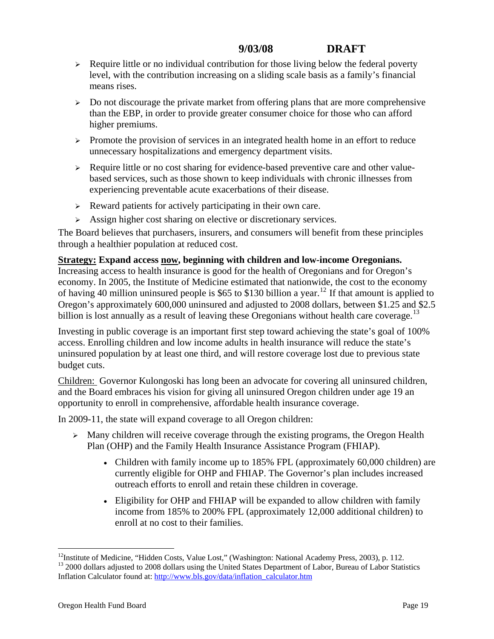- <span id="page-18-0"></span> $\triangleright$  Require little or no individual contribution for those living below the federal poverty level, with the contribution increasing on a sliding scale basis as a family's financial means rises.
- $\geq$  Do not discourage the private market from offering plans that are more comprehensive than the EBP, in order to provide greater consumer choice for those who can afford higher premiums.
- $\triangleright$  Promote the provision of services in an integrated health home in an effort to reduce unnecessary hospitalizations and emergency department visits.
- $\triangleright$  Require little or no cost sharing for evidence-based preventive care and other valuebased services, such as those shown to keep individuals with chronic illnesses from experiencing preventable acute exacerbations of their disease.
- $\triangleright$  Reward patients for actively participating in their own care.
- $\triangleright$  Assign higher cost sharing on elective or discretionary services.

The Board believes that purchasers, insurers, and consumers will benefit from these principles through a healthier population at reduced cost.

# **Strategy: Expand access now, beginning with children and low-income Oregonians.**

Increasing access to health insurance is good for the health of Oregonians and for Oregon's economy. In 2005, the Institute of Medicine estimated that nationwide, the cost to the economy of having 40 million uninsured people is \$65 to \$130 billion a year.<sup>[12](#page-18-0)</sup> If that amount is applied to Oregon's approximately 600,000 uninsured and adjusted to 2008 dollars, between \$1.25 and \$2.5 billion is lost annually as a result of leaving these Oregonians without health care coverage.<sup>[13](#page-18-0)</sup>

Investing in public coverage is an important first step toward achieving the state's goal of 100% access. Enrolling children and low income adults in health insurance will reduce the state's uninsured population by at least one third, and will restore coverage lost due to previous state budget cuts.

Children: Governor Kulongoski has long been an advocate for covering all uninsured children, and the Board embraces his vision for giving all uninsured Oregon children under age 19 an opportunity to enroll in comprehensive, affordable health insurance coverage.

In 2009-11, the state will expand coverage to all Oregon children:

- $\triangleright$  Many children will receive coverage through the existing programs, the Oregon Health Plan (OHP) and the Family Health Insurance Assistance Program (FHIAP).
	- Children with family income up to 185% FPL (approximately 60,000 children) are currently eligible for OHP and FHIAP. The Governor's plan includes increased outreach efforts to enroll and retain these children in coverage.
	- Eligibility for OHP and FHIAP will be expanded to allow children with family income from 185% to 200% FPL (approximately 12,000 additional children) to enroll at no cost to their families.

<sup>&</sup>lt;sup>12</sup>Institute of Medicine, "Hidden Costs, Value Lost," (Washington: National Academy Press, 2003), p. 112. <sup>13</sup> 2000 dollars adjusted to 2008 dollars using the United States Department of Labor, Bureau of Labor Statistics Inflation Calculator found at: [http://www.bls.gov/data/inflation\\_calculator.htm](http://www.bls.gov/data/inflation_calculator.htm)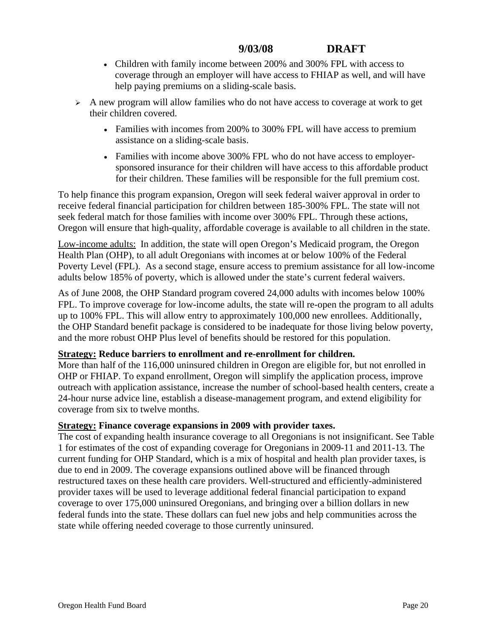- Children with family income between 200% and 300% FPL with access to coverage through an employer will have access to FHIAP as well, and will have help paying premiums on a sliding-scale basis.
- $\triangleright$  A new program will allow families who do not have access to coverage at work to get their children covered.
	- Families with incomes from 200% to 300% FPL will have access to premium assistance on a sliding-scale basis.
	- Families with income above 300% FPL who do not have access to employersponsored insurance for their children will have access to this affordable product for their children. These families will be responsible for the full premium cost.

To help finance this program expansion, Oregon will seek federal waiver approval in order to receive federal financial participation for children between 185-300% FPL. The state will not seek federal match for those families with income over 300% FPL. Through these actions, Oregon will ensure that high-quality, affordable coverage is available to all children in the state.

Low-income adults: In addition, the state will open Oregon's Medicaid program, the Oregon Health Plan (OHP), to all adult Oregonians with incomes at or below 100% of the Federal Poverty Level (FPL). As a second stage, ensure access to premium assistance for all low-income adults below 185% of poverty, which is allowed under the state's current federal waivers.

As of June 2008, the OHP Standard program covered 24,000 adults with incomes below 100% FPL. To improve coverage for low-income adults, the state will re-open the program to all adults up to 100% FPL. This will allow entry to approximately 100,000 new enrollees. Additionally, the OHP Standard benefit package is considered to be inadequate for those living below poverty, and the more robust OHP Plus level of benefits should be restored for this population.

#### **Strategy: Reduce barriers to enrollment and re-enrollment for children.**

More than half of the 116,000 uninsured children in Oregon are eligible for, but not enrolled in OHP or FHIAP. To expand enrollment, Oregon will simplify the application process, improve outreach with application assistance, increase the number of school-based health centers, create a 24-hour nurse advice line, establish a disease-management program, and extend eligibility for coverage from six to twelve months.

#### **Strategy: Finance coverage expansions in 2009 with provider taxes.**

The cost of expanding health insurance coverage to all Oregonians is not insignificant. See Table 1 for estimates of the cost of expanding coverage for Oregonians in 2009-11 and 2011-13. The current funding for OHP Standard, which is a mix of hospital and health plan provider taxes, is due to end in 2009. The coverage expansions outlined above will be financed through restructured taxes on these health care providers. Well-structured and efficiently-administered provider taxes will be used to leverage additional federal financial participation to expand coverage to over 175,000 uninsured Oregonians, and bringing over a billion dollars in new federal funds into the state. These dollars can fuel new jobs and help communities across the state while offering needed coverage to those currently uninsured.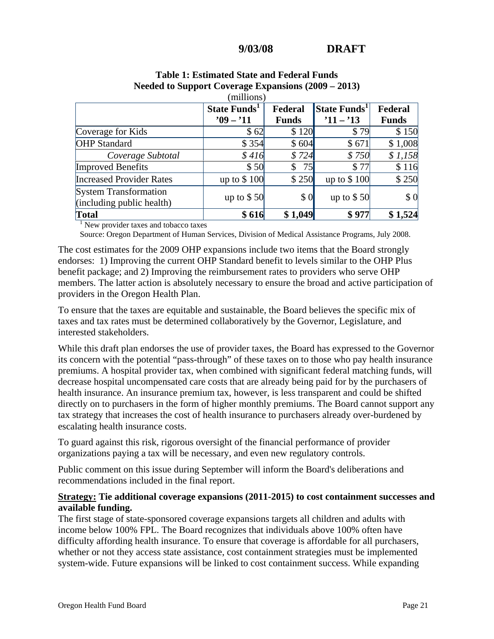|                                                           | State Funds <sup>1</sup> | Federal      | State Funds <sup>1</sup> | Federal      |
|-----------------------------------------------------------|--------------------------|--------------|--------------------------|--------------|
|                                                           | $9 - 11$                 | <b>Funds</b> | $'11 - '13$              | <b>Funds</b> |
| Coverage for Kids                                         | \$62                     | \$120        | \$79                     | \$150        |
| <b>OHP</b> Standard                                       | \$354                    | \$604        | \$671                    | \$1,008      |
| Coverage Subtotal                                         | \$416                    | \$724        | \$750                    | \$1,158      |
| <b>Improved Benefits</b>                                  | \$50                     | \$75         | \$77                     | \$116        |
| <b>Increased Provider Rates</b>                           | up to $$100$             | \$250        | up to $$100$             | \$250        |
| <b>System Transformation</b><br>(including public health) | up to $$50$              | \$0          | up to $$50$              | \$0          |
| Total                                                     | \$616                    | \$1,049      | \$977                    | \$1,524      |

# **Table 1: Estimated State and Federal Funds Needed to Support Coverage Expansions (2009 – 2013)**

(millions)

<sup>1</sup> New provider taxes and tobacco taxes

Source: Oregon Department of Human Services, Division of Medical Assistance Programs, July 2008.

The cost estimates for the 2009 OHP expansions include two items that the Board strongly endorses: 1) Improving the current OHP Standard benefit to levels similar to the OHP Plus benefit package; and 2) Improving the reimbursement rates to providers who serve OHP members. The latter action is absolutely necessary to ensure the broad and active participation of providers in the Oregon Health Plan.

To ensure that the taxes are equitable and sustainable, the Board believes the specific mix of taxes and tax rates must be determined collaboratively by the Governor, Legislature, and interested stakeholders.

While this draft plan endorses the use of provider taxes, the Board has expressed to the Governor its concern with the potential "pass-through" of these taxes on to those who pay health insurance premiums. A hospital provider tax, when combined with significant federal matching funds, will decrease hospital uncompensated care costs that are already being paid for by the purchasers of health insurance. An insurance premium tax, however, is less transparent and could be shifted directly on to purchasers in the form of higher monthly premiums. The Board cannot support any tax strategy that increases the cost of health insurance to purchasers already over-burdened by escalating health insurance costs.

To guard against this risk, rigorous oversight of the financial performance of provider organizations paying a tax will be necessary, and even new regulatory controls.

Public comment on this issue during September will inform the Board's deliberations and recommendations included in the final report.

#### **Strategy: Tie additional coverage expansions (2011-2015) to cost containment successes and available funding.**

The first stage of state-sponsored coverage expansions targets all children and adults with income below 100% FPL. The Board recognizes that individuals above 100% often have difficulty affording health insurance. To ensure that coverage is affordable for all purchasers, whether or not they access state assistance, cost containment strategies must be implemented system-wide. Future expansions will be linked to cost containment success. While expanding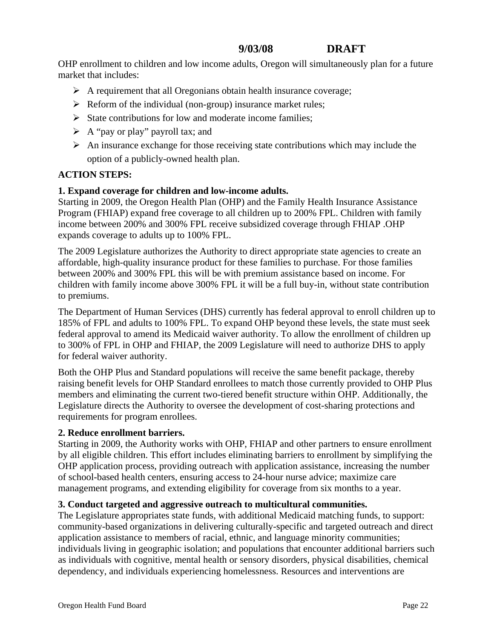OHP enrollment to children and low income adults, Oregon will simultaneously plan for a future market that includes:

- $\triangleright$  A requirement that all Oregonians obtain health insurance coverage;
- $\triangleright$  Reform of the individual (non-group) insurance market rules;
- $\triangleright$  State contributions for low and moderate income families;
- $\triangleright$  A "pay or play" payroll tax; and
- $\triangleright$  An insurance exchange for those receiving state contributions which may include the option of a publicly-owned health plan.

# **ACTION STEPS:**

#### **1. Expand coverage for children and low-income adults.**

Starting in 2009, the Oregon Health Plan (OHP) and the Family Health Insurance Assistance Program (FHIAP) expand free coverage to all children up to 200% FPL. Children with family income between 200% and 300% FPL receive subsidized coverage through FHIAP .OHP expands coverage to adults up to 100% FPL.

The 2009 Legislature authorizes the Authority to direct appropriate state agencies to create an affordable, high-quality insurance product for these families to purchase. For those families between 200% and 300% FPL this will be with premium assistance based on income. For children with family income above 300% FPL it will be a full buy-in, without state contribution to premiums.

The Department of Human Services (DHS) currently has federal approval to enroll children up to 185% of FPL and adults to 100% FPL. To expand OHP beyond these levels, the state must seek federal approval to amend its Medicaid waiver authority. To allow the enrollment of children up to 300% of FPL in OHP and FHIAP, the 2009 Legislature will need to authorize DHS to apply for federal waiver authority.

Both the OHP Plus and Standard populations will receive the same benefit package, thereby raising benefit levels for OHP Standard enrollees to match those currently provided to OHP Plus members and eliminating the current two-tiered benefit structure within OHP. Additionally, the Legislature directs the Authority to oversee the development of cost-sharing protections and requirements for program enrollees.

#### **2. Reduce enrollment barriers.**

Starting in 2009, the Authority works with OHP, FHIAP and other partners to ensure enrollment by all eligible children. This effort includes eliminating barriers to enrollment by simplifying the OHP application process, providing outreach with application assistance, increasing the number of school-based health centers, ensuring access to 24-hour nurse advice; maximize care management programs, and extending eligibility for coverage from six months to a year.

#### **3. Conduct targeted and aggressive outreach to multicultural communities.**

The Legislature appropriates state funds, with additional Medicaid matching funds, to support: community-based organizations in delivering culturally-specific and targeted outreach and direct application assistance to members of racial, ethnic, and language minority communities; individuals living in geographic isolation; and populations that encounter additional barriers such as individuals with cognitive, mental health or sensory disorders, physical disabilities, chemical dependency, and individuals experiencing homelessness. Resources and interventions are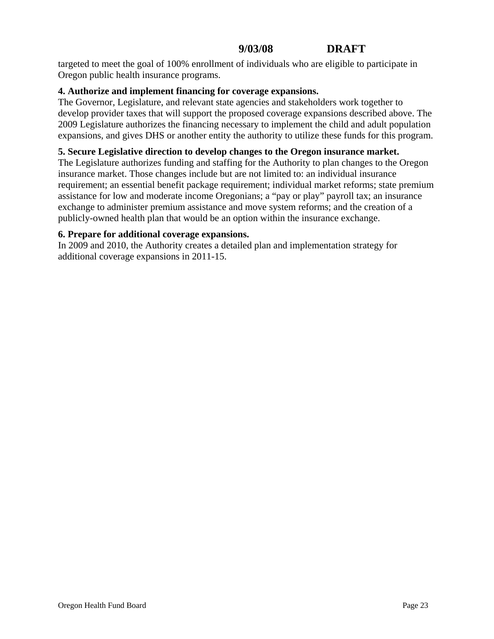targeted to meet the goal of 100% enrollment of individuals who are eligible to participate in Oregon public health insurance programs.

# **4. Authorize and implement financing for coverage expansions.**

The Governor, Legislature, and relevant state agencies and stakeholders work together to develop provider taxes that will support the proposed coverage expansions described above. The 2009 Legislature authorizes the financing necessary to implement the child and adult population expansions, and gives DHS or another entity the authority to utilize these funds for this program.

# **5. Secure Legislative direction to develop changes to the Oregon insurance market.**

The Legislature authorizes funding and staffing for the Authority to plan changes to the Oregon insurance market. Those changes include but are not limited to: an individual insurance requirement; an essential benefit package requirement; individual market reforms; state premium assistance for low and moderate income Oregonians; a "pay or play" payroll tax; an insurance exchange to administer premium assistance and move system reforms; and the creation of a publicly-owned health plan that would be an option within the insurance exchange.

#### **6. Prepare for additional coverage expansions.**

In 2009 and 2010, the Authority creates a detailed plan and implementation strategy for additional coverage expansions in 2011-15.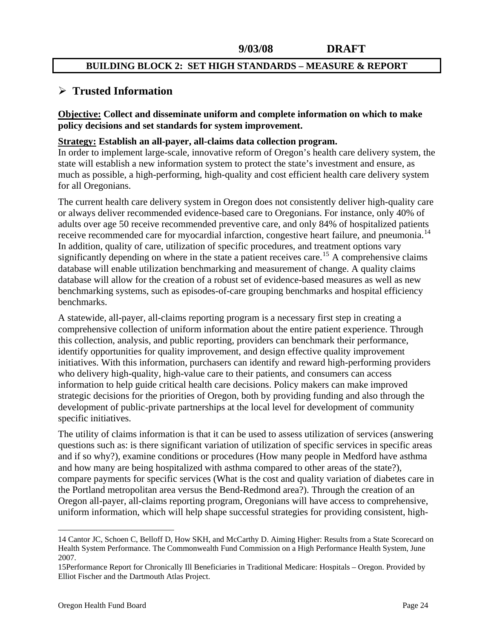#### **BUILDING BLOCK 2: SET HIGH STANDARDS – MEASURE & REPORT**

# <span id="page-23-0"></span>¾ **Trusted Information**

# **Objective: Collect and disseminate uniform and complete information on which to make policy decisions and set standards for system improvement.**

#### **Strategy: Establish an all-payer, all-claims data collection program.**

In order to implement large-scale, innovative reform of Oregon's health care delivery system, the state will establish a new information system to protect the state's investment and ensure, as much as possible, a high-performing, high-quality and cost efficient health care delivery system for all Oregonians.

The current health care delivery system in Oregon does not consistently deliver high-quality care or always deliver recommended evidence-based care to Oregonians. For instance, only 40% of adults over age 50 receive recommended preventive care, and only 84% of hospitalized patients receive recommended care for myocardial infarction, congestive heart failure, and pneumonia.<sup>[14](#page-23-0)</sup> In addition, quality of care, utilization of specific procedures, and treatment options vary significantly depending on where in the state a patient receives care.<sup>[15](#page-23-0)</sup> A comprehensive claims database will enable utilization benchmarking and measurement of change. A quality claims database will allow for the creation of a robust set of evidence-based measures as well as new benchmarking systems, such as episodes-of-care grouping benchmarks and hospital efficiency benchmarks.

A statewide, all-payer, all-claims reporting program is a necessary first step in creating a comprehensive collection of uniform information about the entire patient experience. Through this collection, analysis, and public reporting, providers can benchmark their performance, identify opportunities for quality improvement, and design effective quality improvement initiatives. With this information, purchasers can identify and reward high-performing providers who delivery high-quality, high-value care to their patients, and consumers can access information to help guide critical health care decisions. Policy makers can make improved strategic decisions for the priorities of Oregon, both by providing funding and also through the development of public-private partnerships at the local level for development of community specific initiatives.

The utility of claims information is that it can be used to assess utilization of services (answering questions such as: is there significant variation of utilization of specific services in specific areas and if so why?), examine conditions or procedures (How many people in Medford have asthma and how many are being hospitalized with asthma compared to other areas of the state?), compare payments for specific services (What is the cost and quality variation of diabetes care in the Portland metropolitan area versus the Bend-Redmond area?). Through the creation of an Oregon all-payer, all-claims reporting program, Oregonians will have access to comprehensive, uniform information, which will help shape successful strategies for providing consistent, high-

<sup>14</sup> Cantor JC, Schoen C, Belloff D, How SKH, and McCarthy D. Aiming Higher: Results from a State Scorecard on Health System Performance. The Commonwealth Fund Commission on a High Performance Health System, June 2007.

<sup>15</sup>Performance Report for Chronically Ill Beneficiaries in Traditional Medicare: Hospitals – Oregon. Provided by Elliot Fischer and the Dartmouth Atlas Project.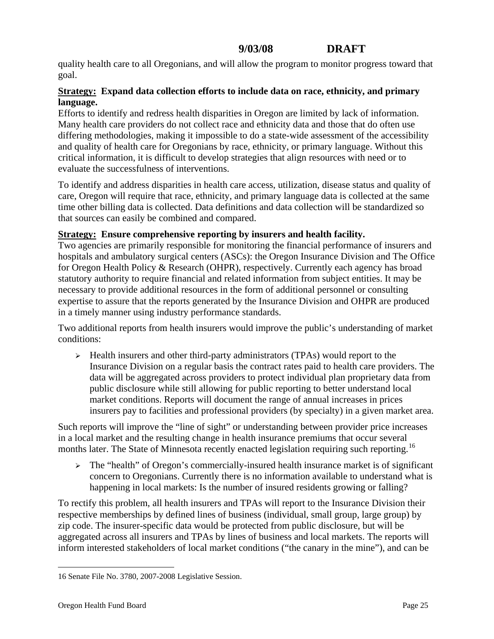<span id="page-24-0"></span>quality health care to all Oregonians, and will allow the program to monitor progress toward that goal.

# **Strategy: Expand data collection efforts to include data on race, ethnicity, and primary language.**

Efforts to identify and redress health disparities in Oregon are limited by lack of information. Many health care providers do not collect race and ethnicity data and those that do often use differing methodologies, making it impossible to do a state-wide assessment of the accessibility and quality of health care for Oregonians by race, ethnicity, or primary language. Without this critical information, it is difficult to develop strategies that align resources with need or to evaluate the successfulness of interventions.

To identify and address disparities in health care access, utilization, disease status and quality of care, Oregon will require that race, ethnicity, and primary language data is collected at the same time other billing data is collected. Data definitions and data collection will be standardized so that sources can easily be combined and compared.

# **Strategy: Ensure comprehensive reporting by insurers and health facility.**

Two agencies are primarily responsible for monitoring the financial performance of insurers and hospitals and ambulatory surgical centers (ASCs): the Oregon Insurance Division and The Office for Oregon Health Policy & Research (OHPR), respectively. Currently each agency has broad statutory authority to require financial and related information from subject entities. It may be necessary to provide additional resources in the form of additional personnel or consulting expertise to assure that the reports generated by the Insurance Division and OHPR are produced in a timely manner using industry performance standards.

Two additional reports from health insurers would improve the public's understanding of market conditions:

¾ Health insurers and other third-party administrators (TPAs) would report to the Insurance Division on a regular basis the contract rates paid to health care providers. The data will be aggregated across providers to protect individual plan proprietary data from public disclosure while still allowing for public reporting to better understand local market conditions. Reports will document the range of annual increases in prices insurers pay to facilities and professional providers (by specialty) in a given market area.

Such reports will improve the "line of sight" or understanding between provider price increases in a local market and the resulting change in health insurance premiums that occur several months later. The State of Minnesota recently enacted legislation requiring such reporting.<sup>[16](#page-24-0)</sup>

¾ The "health" of Oregon's commercially-insured health insurance market is of significant concern to Oregonians. Currently there is no information available to understand what is happening in local markets: Is the number of insured residents growing or falling?

To rectify this problem, all health insurers and TPAs will report to the Insurance Division their respective memberships by defined lines of business (individual, small group, large group) by zip code. The insurer-specific data would be protected from public disclosure, but will be aggregated across all insurers and TPAs by lines of business and local markets. The reports will inform interested stakeholders of local market conditions ("the canary in the mine"), and can be

<sup>16</sup> Senate File No. 3780, 2007-2008 Legislative Session.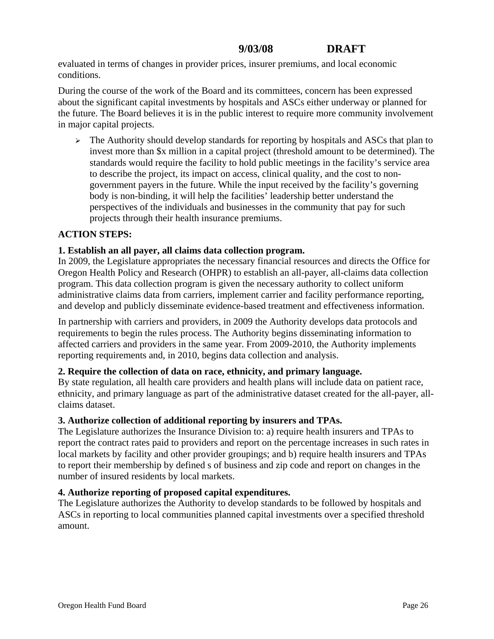evaluated in terms of changes in provider prices, insurer premiums, and local economic conditions.

During the course of the work of the Board and its committees, concern has been expressed about the significant capital investments by hospitals and ASCs either underway or planned for the future. The Board believes it is in the public interest to require more community involvement in major capital projects.

 $\triangleright$  The Authority should develop standards for reporting by hospitals and ASCs that plan to invest more than \$x million in a capital project (threshold amount to be determined). The standards would require the facility to hold public meetings in the facility's service area to describe the project, its impact on access, clinical quality, and the cost to nongovernment payers in the future. While the input received by the facility's governing body is non-binding, it will help the facilities' leadership better understand the perspectives of the individuals and businesses in the community that pay for such projects through their health insurance premiums.

# **ACTION STEPS:**

# **1. Establish an all payer, all claims data collection program.**

In 2009, the Legislature appropriates the necessary financial resources and directs the Office for Oregon Health Policy and Research (OHPR) to establish an all-payer, all-claims data collection program. This data collection program is given the necessary authority to collect uniform administrative claims data from carriers, implement carrier and facility performance reporting, and develop and publicly disseminate evidence-based treatment and effectiveness information.

In partnership with carriers and providers, in 2009 the Authority develops data protocols and requirements to begin the rules process. The Authority begins disseminating information to affected carriers and providers in the same year. From 2009-2010, the Authority implements reporting requirements and, in 2010, begins data collection and analysis.

#### **2. Require the collection of data on race, ethnicity, and primary language.**

By state regulation, all health care providers and health plans will include data on patient race, ethnicity, and primary language as part of the administrative dataset created for the all-payer, allclaims dataset.

# **3. Authorize collection of additional reporting by insurers and TPAs.**

The Legislature authorizes the Insurance Division to: a) require health insurers and TPAs to report the contract rates paid to providers and report on the percentage increases in such rates in local markets by facility and other provider groupings; and b) require health insurers and TPAs to report their membership by defined s of business and zip code and report on changes in the number of insured residents by local markets.

# **4. Authorize reporting of proposed capital expenditures.**

The Legislature authorizes the Authority to develop standards to be followed by hospitals and ASCs in reporting to local communities planned capital investments over a specified threshold amount.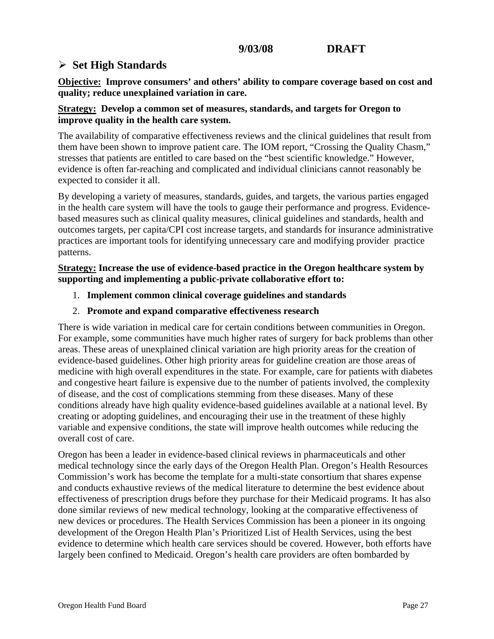# ¾ **Set High Standards**

**Objective: Improve consumers' and others' ability to compare coverage based on cost and quality; reduce unexplained variation in care.** 

# **Strategy: Develop a common set of measures, standards, and targets for Oregon to improve quality in the health care system.**

The availability of comparative effectiveness reviews and the clinical guidelines that result from them have been shown to improve patient care. The IOM report, "Crossing the Quality Chasm," stresses that patients are entitled to care based on the "best scientific knowledge." However, evidence is often far-reaching and complicated and individual clinicians cannot reasonably be expected to consider it all.

By developing a variety of measures, standards, guides, and targets, the various parties engaged in the health care system will have the tools to gauge their performance and progress. Evidencebased measures such as clinical quality measures, clinical guidelines and standards, health and outcomes targets, per capita/CPI cost increase targets, and standards for insurance administrative practices are important tools for identifying unnecessary care and modifying provider practice patterns.

# **Strategy: Increase the use of evidence-based practice in the Oregon healthcare system by supporting and implementing a public-private collaborative effort to:**

- 1. **Implement common clinical coverage guidelines and standards**
- 2. **Promote and expand comparative effectiveness research**

There is wide variation in medical care for certain conditions between communities in Oregon. For example, some communities have much higher rates of surgery for back problems than other areas. These areas of unexplained clinical variation are high priority areas for the creation of evidence-based guidelines. Other high priority areas for guideline creation are those areas of medicine with high overall expenditures in the state. For example, care for patients with diabetes and congestive heart failure is expensive due to the number of patients involved, the complexity of disease, and the cost of complications stemming from these diseases. Many of these conditions already have high quality evidence-based guidelines available at a national level. By creating or adopting guidelines, and encouraging their use in the treatment of these highly variable and expensive conditions, the state will improve health outcomes while reducing the overall cost of care.

Oregon has been a leader in evidence-based clinical reviews in pharmaceuticals and other medical technology since the early days of the Oregon Health Plan. Oregon's Health Resources Commission's work has become the template for a multi-state consortium that shares expense and conducts exhaustive reviews of the medical literature to determine the best evidence about effectiveness of prescription drugs before they purchase for their Medicaid programs. It has also done similar reviews of new medical technology, looking at the comparative effectiveness of new devices or procedures. The Health Services Commission has been a pioneer in its ongoing development of the Oregon Health Plan's Prioritized List of Health Services, using the best evidence to determine which health care services should be covered. However, both efforts have largely been confined to Medicaid. Oregon's health care providers are often bombarded by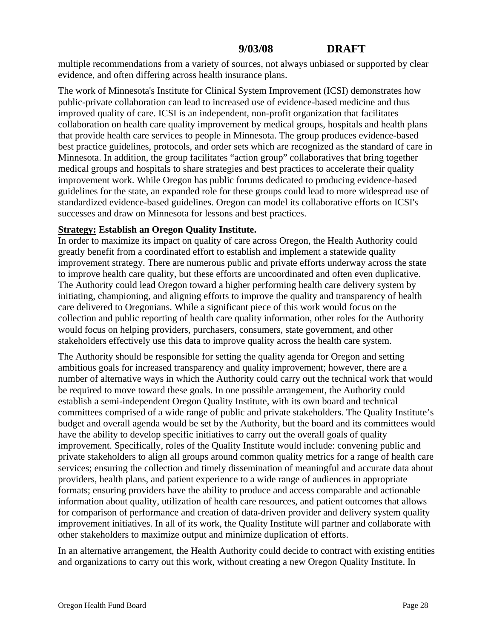multiple recommendations from a variety of sources, not always unbiased or supported by clear evidence, and often differing across health insurance plans.

The work of Minnesota's Institute for Clinical System Improvement (ICSI) demonstrates how public-private collaboration can lead to increased use of evidence-based medicine and thus improved quality of care. ICSI is an independent, non-profit organization that facilitates collaboration on health care quality improvement by medical groups, hospitals and health plans that provide health care services to people in Minnesota. The group produces evidence-based best practice guidelines, protocols, and order sets which are recognized as the standard of care in Minnesota. In addition, the group facilitates "action group" collaboratives that bring together medical groups and hospitals to share strategies and best practices to accelerate their quality improvement work. While Oregon has public forums dedicated to producing evidence-based guidelines for the state, an expanded role for these groups could lead to more widespread use of standardized evidence-based guidelines. Oregon can model its collaborative efforts on ICSI's successes and draw on Minnesota for lessons and best practices.

# **Strategy: Establish an Oregon Quality Institute.**

In order to maximize its impact on quality of care across Oregon, the Health Authority could greatly benefit from a coordinated effort to establish and implement a statewide quality improvement strategy. There are numerous public and private efforts underway across the state to improve health care quality, but these efforts are uncoordinated and often even duplicative. The Authority could lead Oregon toward a higher performing health care delivery system by initiating, championing, and aligning efforts to improve the quality and transparency of health care delivered to Oregonians. While a significant piece of this work would focus on the collection and public reporting of health care quality information, other roles for the Authority would focus on helping providers, purchasers, consumers, state government, and other stakeholders effectively use this data to improve quality across the health care system.

The Authority should be responsible for setting the quality agenda for Oregon and setting ambitious goals for increased transparency and quality improvement; however, there are a number of alternative ways in which the Authority could carry out the technical work that would be required to move toward these goals. In one possible arrangement, the Authority could establish a semi-independent Oregon Quality Institute, with its own board and technical committees comprised of a wide range of public and private stakeholders. The Quality Institute's budget and overall agenda would be set by the Authority, but the board and its committees would have the ability to develop specific initiatives to carry out the overall goals of quality improvement. Specifically, roles of the Quality Institute would include: convening public and private stakeholders to align all groups around common quality metrics for a range of health care services; ensuring the collection and timely dissemination of meaningful and accurate data about providers, health plans, and patient experience to a wide range of audiences in appropriate formats; ensuring providers have the ability to produce and access comparable and actionable information about quality, utilization of health care resources, and patient outcomes that allows for comparison of performance and creation of data-driven provider and delivery system quality improvement initiatives. In all of its work, the Quality Institute will partner and collaborate with other stakeholders to maximize output and minimize duplication of efforts.

In an alternative arrangement, the Health Authority could decide to contract with existing entities and organizations to carry out this work, without creating a new Oregon Quality Institute. In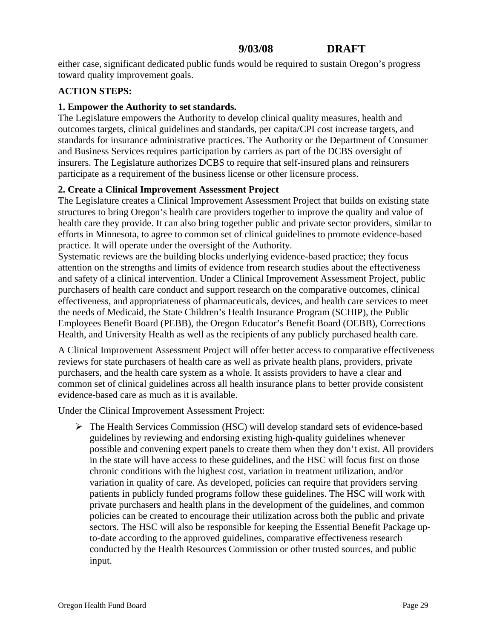either case, significant dedicated public funds would be required to sustain Oregon's progress toward quality improvement goals.

# **ACTION STEPS:**

### **1. Empower the Authority to set standards.**

The Legislature empowers the Authority to develop clinical quality measures, health and outcomes targets, clinical guidelines and standards, per capita/CPI cost increase targets, and standards for insurance administrative practices. The Authority or the Department of Consumer and Business Services requires participation by carriers as part of the DCBS oversight of insurers. The Legislature authorizes DCBS to require that self-insured plans and reinsurers participate as a requirement of the business license or other licensure process.

# **2. Create a Clinical Improvement Assessment Project**

The Legislature creates a Clinical Improvement Assessment Project that builds on existing state structures to bring Oregon's health care providers together to improve the quality and value of health care they provide. It can also bring together public and private sector providers, similar to efforts in Minnesota, to agree to common set of clinical guidelines to promote evidence-based practice. It will operate under the oversight of the Authority.

Systematic reviews are the building blocks underlying evidence-based practice; they focus attention on the strengths and limits of evidence from research studies about the effectiveness and safety of a clinical intervention. Under a Clinical Improvement Assessment Project, public purchasers of health care conduct and support research on the comparative outcomes, clinical effectiveness, and appropriateness of pharmaceuticals, devices, and health care services to meet the needs of Medicaid, the State Children's Health Insurance Program (SCHIP), the Public Employees Benefit Board (PEBB), the Oregon Educator's Benefit Board (OEBB), Corrections Health, and University Health as well as the recipients of any publicly purchased health care.

A Clinical Improvement Assessment Project will offer better access to comparative effectiveness reviews for state purchasers of health care as well as private health plans, providers, private purchasers, and the health care system as a whole. It assists providers to have a clear and common set of clinical guidelines across all health insurance plans to better provide consistent evidence-based care as much as it is available.

Under the Clinical Improvement Assessment Project:

¾ The Health Services Commission (HSC) will develop standard sets of evidence-based guidelines by reviewing and endorsing existing high-quality guidelines whenever possible and convening expert panels to create them when they don't exist. All providers in the state will have access to these guidelines, and the HSC will focus first on those chronic conditions with the highest cost, variation in treatment utilization, and/or variation in quality of care. As developed, policies can require that providers serving patients in publicly funded programs follow these guidelines. The HSC will work with private purchasers and health plans in the development of the guidelines, and common policies can be created to encourage their utilization across both the public and private sectors. The HSC will also be responsible for keeping the Essential Benefit Package upto-date according to the approved guidelines, comparative effectiveness research conducted by the Health Resources Commission or other trusted sources, and public input.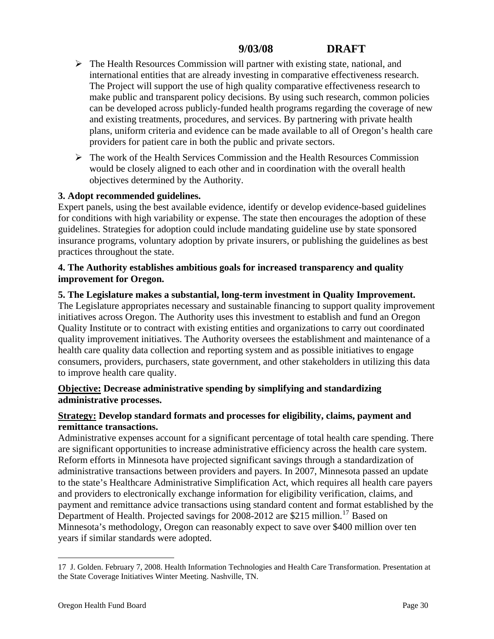- <span id="page-29-0"></span> $\triangleright$  The Health Resources Commission will partner with existing state, national, and international entities that are already investing in comparative effectiveness research. The Project will support the use of high quality comparative effectiveness research to make public and transparent policy decisions. By using such research, common policies can be developed across publicly-funded health programs regarding the coverage of new and existing treatments, procedures, and services. By partnering with private health plans, uniform criteria and evidence can be made available to all of Oregon's health care providers for patient care in both the public and private sectors.
- $\triangleright$  The work of the Health Services Commission and the Health Resources Commission would be closely aligned to each other and in coordination with the overall health objectives determined by the Authority.

# **3. Adopt recommended guidelines.**

Expert panels, using the best available evidence, identify or develop evidence-based guidelines for conditions with high variability or expense. The state then encourages the adoption of these guidelines. Strategies for adoption could include mandating guideline use by state sponsored insurance programs, voluntary adoption by private insurers, or publishing the guidelines as best practices throughout the state.

### **4. The Authority establishes ambitious goals for increased transparency and quality improvement for Oregon.**

#### **5. The Legislature makes a substantial, long-term investment in Quality Improvement.**

The Legislature appropriates necessary and sustainable financing to support quality improvement initiatives across Oregon. The Authority uses this investment to establish and fund an Oregon Quality Institute or to contract with existing entities and organizations to carry out coordinated quality improvement initiatives. The Authority oversees the establishment and maintenance of a health care quality data collection and reporting system and as possible initiatives to engage consumers, providers, purchasers, state government, and other stakeholders in utilizing this data to improve health care quality.

# **Objective: Decrease administrative spending by simplifying and standardizing administrative processes.**

# **Strategy: Develop standard formats and processes for eligibility, claims, payment and remittance transactions.**

Administrative expenses account for a significant percentage of total health care spending. There are significant opportunities to increase administrative efficiency across the health care system. Reform efforts in Minnesota have projected significant savings through a standardization of administrative transactions between providers and payers. In 2007, Minnesota passed an update to the state's Healthcare Administrative Simplification Act, which requires all health care payers and providers to electronically exchange information for eligibility verification, claims, and payment and remittance advice transactions using standard content and format established by the Department of Health. Projected savings for 2008-2012 are \$215 million.<sup>[17](#page-29-0)</sup> Based on Minnesota's methodology, Oregon can reasonably expect to save over \$400 million over ten years if similar standards were adopted.

1

<sup>17</sup> J. Golden. February 7, 2008. Health Information Technologies and Health Care Transformation. Presentation at the State Coverage Initiatives Winter Meeting. Nashville, TN.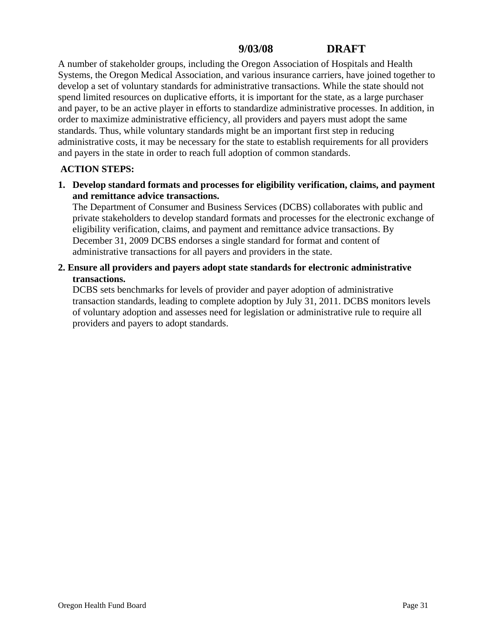A number of stakeholder groups, including the Oregon Association of Hospitals and Health Systems, the Oregon Medical Association, and various insurance carriers, have joined together to develop a set of voluntary standards for administrative transactions. While the state should not spend limited resources on duplicative efforts, it is important for the state, as a large purchaser and payer, to be an active player in efforts to standardize administrative processes. In addition, in order to maximize administrative efficiency, all providers and payers must adopt the same standards. Thus, while voluntary standards might be an important first step in reducing administrative costs, it may be necessary for the state to establish requirements for all providers and payers in the state in order to reach full adoption of common standards.

# **ACTION STEPS:**

**1. Develop standard formats and processes for eligibility verification, claims, and payment and remittance advice transactions.**

The Department of Consumer and Business Services (DCBS) collaborates with public and private stakeholders to develop standard formats and processes for the electronic exchange of eligibility verification, claims, and payment and remittance advice transactions. By December 31, 2009 DCBS endorses a single standard for format and content of administrative transactions for all payers and providers in the state.

**2. Ensure all providers and payers adopt state standards for electronic administrative transactions.** 

DCBS sets benchmarks for levels of provider and payer adoption of administrative transaction standards, leading to complete adoption by July 31, 2011. DCBS monitors levels of voluntary adoption and assesses need for legislation or administrative rule to require all providers and payers to adopt standards.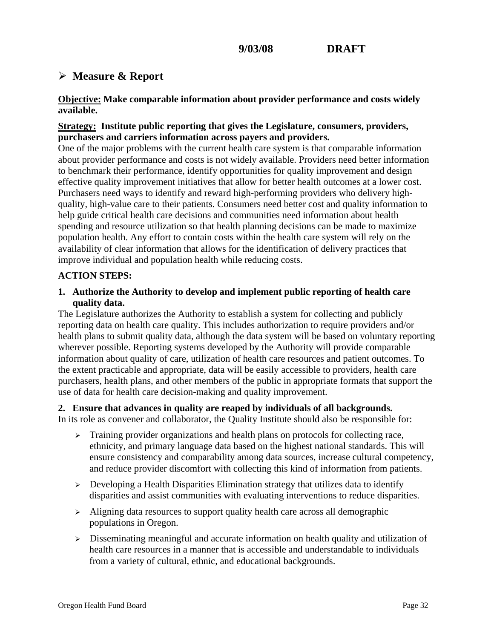# ¾ **Measure & Report**

**Objective: Make comparable information about provider performance and costs widely available.** 

# **Strategy: Institute public reporting that gives the Legislature, consumers, providers, purchasers and carriers information across payers and providers.**

One of the major problems with the current health care system is that comparable information about provider performance and costs is not widely available. Providers need better information to benchmark their performance, identify opportunities for quality improvement and design effective quality improvement initiatives that allow for better health outcomes at a lower cost. Purchasers need ways to identify and reward high-performing providers who delivery highquality, high-value care to their patients. Consumers need better cost and quality information to help guide critical health care decisions and communities need information about health spending and resource utilization so that health planning decisions can be made to maximize population health. Any effort to contain costs within the health care system will rely on the availability of clear information that allows for the identification of delivery practices that improve individual and population health while reducing costs.

# **ACTION STEPS:**

### **1. Authorize the Authority to develop and implement public reporting of health care quality data.**

The Legislature authorizes the Authority to establish a system for collecting and publicly reporting data on health care quality. This includes authorization to require providers and/or health plans to submit quality data, although the data system will be based on voluntary reporting wherever possible. Reporting systems developed by the Authority will provide comparable information about quality of care, utilization of health care resources and patient outcomes. To the extent practicable and appropriate, data will be easily accessible to providers, health care purchasers, health plans, and other members of the public in appropriate formats that support the use of data for health care decision-making and quality improvement.

#### **2. Ensure that advances in quality are reaped by individuals of all backgrounds.**

In its role as convener and collaborator, the Quality Institute should also be responsible for:

- ¾ Training provider organizations and health plans on protocols for collecting race, ethnicity, and primary language data based on the highest national standards. This will ensure consistency and comparability among data sources, increase cultural competency, and reduce provider discomfort with collecting this kind of information from patients.
- $\triangleright$  Developing a Health Disparities Elimination strategy that utilizes data to identify disparities and assist communities with evaluating interventions to reduce disparities.
- ¾ Aligning data resources to support quality health care across all demographic populations in Oregon.
- $\geq$  Disseminating meaningful and accurate information on health quality and utilization of health care resources in a manner that is accessible and understandable to individuals from a variety of cultural, ethnic, and educational backgrounds.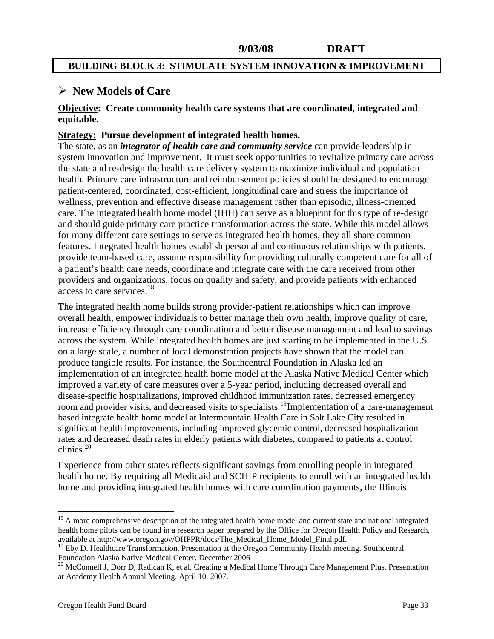#### <span id="page-32-0"></span>**BUILDING BLOCK 3: STIMULATE SYSTEM INNOVATION & IMPROVEMENT**

# ¾ **New Models of Care**

### **Objective: Create community health care systems that are coordinated, integrated and equitable.**

#### **Strategy: Pursue development of integrated health homes.**

The state, as an *integrator of health care and community service* can provide leadership in system innovation and improvement. It must seek opportunities to revitalize primary care across the state and re-design the health care delivery system to maximize individual and population health. Primary care infrastructure and reimbursement policies should be designed to encourage patient-centered, coordinated, cost-efficient, longitudinal care and stress the importance of wellness, prevention and effective disease management rather than episodic, illness-oriented care. The integrated health home model (IHH) can serve as a blueprint for this type of re-design and should guide primary care practice transformation across the state. While this model allows for many different care settings to serve as integrated health homes, they all share common features. Integrated health homes establish personal and continuous relationships with patients, provide team-based care, assume responsibility for providing culturally competent care for all of a patient's health care needs, coordinate and integrate care with the care received from other providers and organizations, focus on quality and safety, and provide patients with enhanced access to care services.<sup>[18](#page-32-0)</sup>

The integrated health home builds strong provider-patient relationships which can improve overall health, empower individuals to better manage their own health, improve quality of care, increase efficiency through care coordination and better disease management and lead to savings across the system. While integrated health homes are just starting to be implemented in the U.S. on a large scale, a number of local demonstration projects have shown that the model can produce tangible results. For instance, the Southcentral Foundation in Alaska led an implementation of an integrated health home model at the Alaska Native Medical Center which improved a variety of care measures over a 5-year period, including decreased overall and disease-specific hospitalizations, improved childhood immunization rates, decreased emergency room and provider visits, and decreased visits to specialists.<sup>[19](#page-32-0)</sup>Implementation of a care-management based integrate health home model at Intermountain Health Care in Salt Lake City resulted in significant health improvements, including improved glycemic control, decreased hospitalization rates and decreased death rates in elderly patients with diabetes, compared to patients at control clinics.[20](#page-32-0)

Experience from other states reflects significant savings from enrolling people in integrated health home. By requiring all Medicaid and SCHIP recipients to enroll with an integrated health home and providing integrated health homes with care coordination payments, the Illinois

<u>.</u>

 $18$  A more comprehensive description of the integrated health home model and current state and national integrated health home pilots can be found in a research paper prepared by the Office for Oregon Health Policy and Research, available at http://www.oregon.gov/OHPPR/docs/The\_Medical\_Home\_Model\_Final.pdf.

<sup>&</sup>lt;sup>19</sup> Eby D. Healthcare Transformation. Presentation at the Oregon Community Health meeting. Southcentral Foundation Alaska Native Medical Center. December 2006<br><sup>20</sup> McConnell J, Dorr D, Radican K, et al. Creating a Medical Home Through Care Management Plus. Presentation

at Academy Health Annual Meeting. April 10, 2007.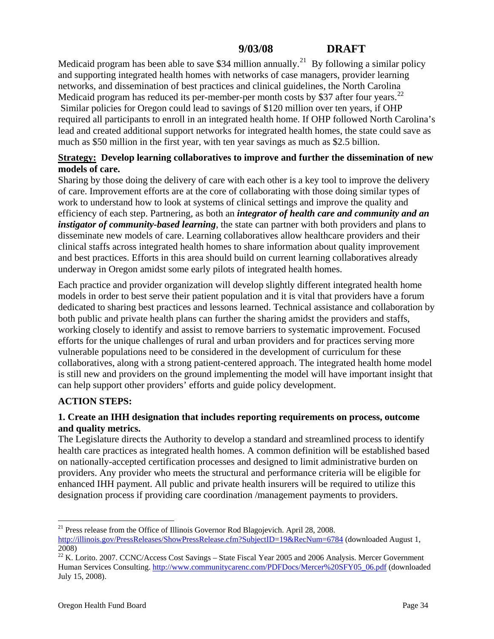<span id="page-33-0"></span>Medicaid program has been able to save \$34 million annually.<sup>[21](#page-33-0)</sup> By following a similar policy and supporting integrated health homes with networks of case managers, provider learning networks, and dissemination of best practices and clinical guidelines, the North Carolina Medicaid program has reduced its per-member-per month costs by \$37 after four years.<sup>[22](#page-33-0)</sup> Similar policies for Oregon could lead to savings of \$120 million over ten years, if OHP required all participants to enroll in an integrated health home. If OHP followed North Carolina's lead and created additional support networks for integrated health homes, the state could save as much as \$50 million in the first year, with ten year savings as much as \$2.5 billion.

# **Strategy: Develop learning collaboratives to improve and further the dissemination of new models of care.**

Sharing by those doing the delivery of care with each other is a key tool to improve the delivery of care. Improvement efforts are at the core of collaborating with those doing similar types of work to understand how to look at systems of clinical settings and improve the quality and efficiency of each step. Partnering, as both an *integrator of health care and community and an instigator of community-based learning*, the state can partner with both providers and plans to disseminate new models of care. Learning collaboratives allow healthcare providers and their clinical staffs across integrated health homes to share information about quality improvement and best practices. Efforts in this area should build on current learning collaboratives already underway in Oregon amidst some early pilots of integrated health homes.

Each practice and provider organization will develop slightly different integrated health home models in order to best serve their patient population and it is vital that providers have a forum dedicated to sharing best practices and lessons learned. Technical assistance and collaboration by both public and private health plans can further the sharing amidst the providers and staffs, working closely to identify and assist to remove barriers to systematic improvement. Focused efforts for the unique challenges of rural and urban providers and for practices serving more vulnerable populations need to be considered in the development of curriculum for these collaboratives, along with a strong patient-centered approach. The integrated health home model is still new and providers on the ground implementing the model will have important insight that can help support other providers' efforts and guide policy development.

# **ACTION STEPS:**

1

# **1. Create an IHH designation that includes reporting requirements on process, outcome and quality metrics.**

The Legislature directs the Authority to develop a standard and streamlined process to identify health care practices as integrated health homes. A common definition will be established based on nationally-accepted certification processes and designed to limit administrative burden on providers. Any provider who meets the structural and performance criteria will be eligible for enhanced IHH payment. All public and private health insurers will be required to utilize this designation process if providing care coordination /management payments to providers.

 $21$  Press release from the Office of Illinois Governor Rod Blagojevich. April 28, 2008. <http://illinois.gov/PressReleases/ShowPressRelease.cfm?SubjectID=19&RecNum=6784> (downloaded August 1, 2008)

 $^{22}$  K. Lorito. 2007. CCNC/Access Cost Savings – State Fiscal Year 2005 and 2006 Analysis. Mercer Government Human Services Consulting. [http://www.communitycarenc.com/PDFDocs/Mercer%20SFY05\\_06.pdf](http://www.communitycarenc.com/PDFDocs/Mercer%20SFY05_06.pdf) (downloaded July 15, 2008).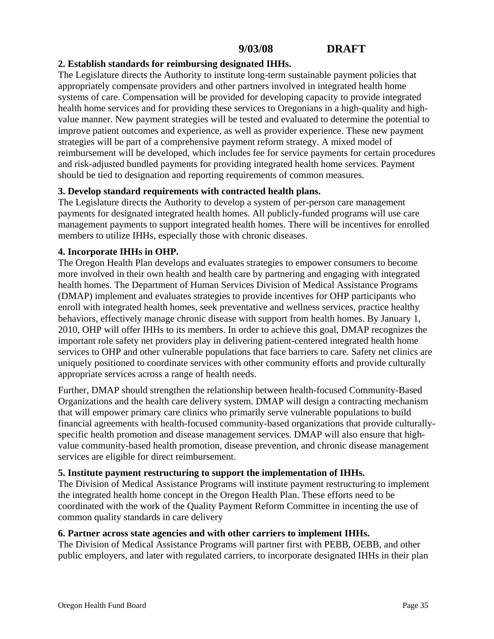# **2. Establish standards for reimbursing designated IHHs.**

The Legislature directs the Authority to institute long-term sustainable payment policies that appropriately compensate providers and other partners involved in integrated health home systems of care. Compensation will be provided for developing capacity to provide integrated health home services and for providing these services to Oregonians in a high-quality and highvalue manner. New payment strategies will be tested and evaluated to determine the potential to improve patient outcomes and experience, as well as provider experience. These new payment strategies will be part of a comprehensive payment reform strategy. A mixed model of reimbursement will be developed, which includes fee for service payments for certain procedures and risk-adjusted bundled payments for providing integrated health home services. Payment should be tied to designation and reporting requirements of common measures.

# **3. Develop standard requirements with contracted health plans.**

The Legislature directs the Authority to develop a system of per-person care management payments for designated integrated health homes. All publicly-funded programs will use care management payments to support integrated health homes. There will be incentives for enrolled members to utilize IHHs, especially those with chronic diseases.

# **4. Incorporate IHHs in OHP.**

The Oregon Health Plan develops and evaluates strategies to empower consumers to become more involved in their own health and health care by partnering and engaging with integrated health homes. The Department of Human Services Division of Medical Assistance Programs (DMAP) implement and evaluates strategies to provide incentives for OHP participants who enroll with integrated health homes, seek preventative and wellness services, practice healthy behaviors, effectively manage chronic disease with support from health homes. By January 1, 2010, OHP will offer IHHs to its members. In order to achieve this goal, DMAP recognizes the important role safety net providers play in delivering patient-centered integrated health home services to OHP and other vulnerable populations that face barriers to care. Safety net clinics are uniquely positioned to coordinate services with other community efforts and provide culturally appropriate services across a range of health needs.

Further, DMAP should strengthen the relationship between health-focused Community-Based Organizations and the health care delivery system. DMAP will design a contracting mechanism that will empower primary care clinics who primarily serve vulnerable populations to build financial agreements with health-focused community-based organizations that provide culturallyspecific health promotion and disease management services. DMAP will also ensure that highvalue community-based health promotion, disease prevention, and chronic disease management services are eligible for direct reimbursement.

# **5. Institute payment restructuring to support the implementation of IHHs.**

The Division of Medical Assistance Programs will institute payment restructuring to implement the integrated health home concept in the Oregon Health Plan. These efforts need to be coordinated with the work of the Quality Payment Reform Committee in incenting the use of common quality standards in care delivery

#### **6. Partner across state agencies and with other carriers to implement IHHs.**

The Division of Medical Assistance Programs will partner first with PEBB, OEBB, and other public employers, and later with regulated carriers, to incorporate designated IHHs in their plan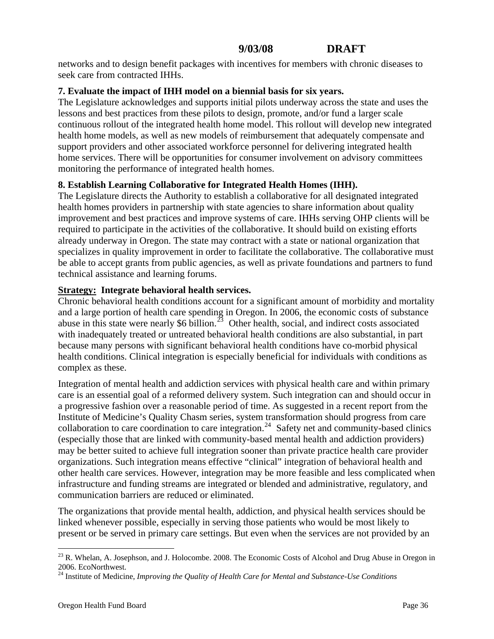<span id="page-35-0"></span>networks and to design benefit packages with incentives for members with chronic diseases to seek care from contracted IHHs.

# **7. Evaluate the impact of IHH model on a biennial basis for six years.**

The Legislature acknowledges and supports initial pilots underway across the state and uses the lessons and best practices from these pilots to design, promote, and/or fund a larger scale continuous rollout of the integrated health home model. This rollout will develop new integrated health home models, as well as new models of reimbursement that adequately compensate and support providers and other associated workforce personnel for delivering integrated health home services. There will be opportunities for consumer involvement on advisory committees monitoring the performance of integrated health homes.

# **8. Establish Learning Collaborative for Integrated Health Homes (IHH).**

The Legislature directs the Authority to establish a collaborative for all designated integrated health homes providers in partnership with state agencies to share information about quality improvement and best practices and improve systems of care. IHHs serving OHP clients will be required to participate in the activities of the collaborative. It should build on existing efforts already underway in Oregon. The state may contract with a state or national organization that specializes in quality improvement in order to facilitate the collaborative. The collaborative must be able to accept grants from public agencies, as well as private foundations and partners to fund technical assistance and learning forums.

# **Strategy: Integrate behavioral health services.**

Chronic behavioral health conditions account for a significant amount of morbidity and mortality and a large portion of health care spending in Oregon. In 2006, the economic costs of substance abuse in this state were nearly  $$6$  billion.<sup>[23](#page-35-0)</sup> Other health, social, and indirect costs associated with inadequately treated or untreated behavioral health conditions are also substantial, in part because many persons with significant behavioral health conditions have co-morbid physical health conditions. Clinical integration is especially beneficial for individuals with conditions as complex as these.

Integration of mental health and addiction services with physical health care and within primary care is an essential goal of a reformed delivery system. Such integration can and should occur in a progressive fashion over a reasonable period of time. As suggested in a recent report from the Institute of Medicine's Quality Chasm series, system transformation should progress from care collaboration to care coordination to care integration.<sup>[24](#page-35-0)</sup> Safety net and community-based clinics (especially those that are linked with community-based mental health and addiction providers) may be better suited to achieve full integration sooner than private practice health care provider organizations. Such integration means effective "clinical" integration of behavioral health and other health care services. However, integration may be more feasible and less complicated when infrastructure and funding streams are integrated or blended and administrative, regulatory, and communication barriers are reduced or eliminated.

The organizations that provide mental health, addiction, and physical health services should be linked whenever possible, especially in serving those patients who would be most likely to present or be served in primary care settings. But even when the services are not provided by an

<sup>&</sup>lt;sup>23</sup> R. Whelan, A. Josephson, and J. Holocombe. 2008. The Economic Costs of Alcohol and Drug Abuse in Oregon in 2006. EcoNorthwest.

<sup>24</sup> Institute of Medicine, *Improving the Quality of Health Care for Mental and Substance-Use Conditions*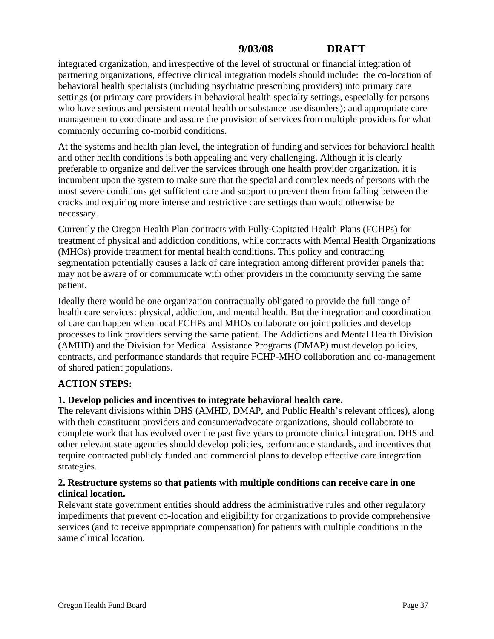integrated organization, and irrespective of the level of structural or financial integration of partnering organizations, effective clinical integration models should include: the co-location of behavioral health specialists (including psychiatric prescribing providers) into primary care settings (or primary care providers in behavioral health specialty settings, especially for persons who have serious and persistent mental health or substance use disorders); and appropriate care management to coordinate and assure the provision of services from multiple providers for what commonly occurring co-morbid conditions.

At the systems and health plan level, the integration of funding and services for behavioral health and other health conditions is both appealing and very challenging. Although it is clearly preferable to organize and deliver the services through one health provider organization, it is incumbent upon the system to make sure that the special and complex needs of persons with the most severe conditions get sufficient care and support to prevent them from falling between the cracks and requiring more intense and restrictive care settings than would otherwise be necessary.

Currently the Oregon Health Plan contracts with Fully-Capitated Health Plans (FCHPs) for treatment of physical and addiction conditions, while contracts with Mental Health Organizations (MHOs) provide treatment for mental health conditions. This policy and contracting segmentation potentially causes a lack of care integration among different provider panels that may not be aware of or communicate with other providers in the community serving the same patient.

Ideally there would be one organization contractually obligated to provide the full range of health care services: physical, addiction, and mental health. But the integration and coordination of care can happen when local FCHPs and MHOs collaborate on joint policies and develop processes to link providers serving the same patient. The Addictions and Mental Health Division (AMHD) and the Division for Medical Assistance Programs (DMAP) must develop policies, contracts, and performance standards that require FCHP-MHO collaboration and co-management of shared patient populations.

# **ACTION STEPS:**

## **1. Develop policies and incentives to integrate behavioral health care.**

The relevant divisions within DHS (AMHD, DMAP, and Public Health's relevant offices), along with their constituent providers and consumer/advocate organizations, should collaborate to complete work that has evolved over the past five years to promote clinical integration. DHS and other relevant state agencies should develop policies, performance standards, and incentives that require contracted publicly funded and commercial plans to develop effective care integration strategies.

#### **2. Restructure systems so that patients with multiple conditions can receive care in one clinical location.**

Relevant state government entities should address the administrative rules and other regulatory impediments that prevent co-location and eligibility for organizations to provide comprehensive services (and to receive appropriate compensation) for patients with multiple conditions in the same clinical location.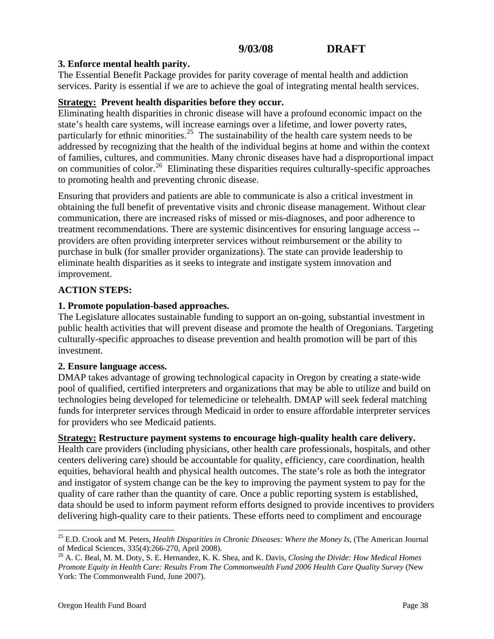#### <span id="page-37-0"></span>**3. Enforce mental health parity.**

The Essential Benefit Package provides for parity coverage of mental health and addiction services. Parity is essential if we are to achieve the goal of integrating mental health services.

#### **Strategy: Prevent health disparities before they occur.**

Eliminating health disparities in chronic disease will have a profound economic impact on the state's health care systems, will increase earnings over a lifetime, and lower poverty rates, particularly for ethnic minorities.<sup>[25](#page-37-0)</sup> The sustainability of the health care system needs to be addressed by recognizing that the health of the individual begins at home and within the context of families, cultures, and communities. Many chronic diseases have had a disproportional impact on communities of color.[26](#page-37-0) Eliminating these disparities requires culturally-specific approaches to promoting health and preventing chronic disease.

Ensuring that providers and patients are able to communicate is also a critical investment in obtaining the full benefit of preventative visits and chronic disease management. Without clear communication, there are increased risks of missed or mis-diagnoses, and poor adherence to treatment recommendations. There are systemic disincentives for ensuring language access - providers are often providing interpreter services without reimbursement or the ability to purchase in bulk (for smaller provider organizations). The state can provide leadership to eliminate health disparities as it seeks to integrate and instigate system innovation and improvement.

#### **ACTION STEPS:**

#### **1. Promote population-based approaches.**

The Legislature allocates sustainable funding to support an on-going, substantial investment in public health activities that will prevent disease and promote the health of Oregonians. Targeting culturally-specific approaches to disease prevention and health promotion will be part of this investment.

#### **2. Ensure language access.**

DMAP takes advantage of growing technological capacity in Oregon by creating a state-wide pool of qualified, certified interpreters and organizations that may be able to utilize and build on technologies being developed for telemedicine or telehealth. DMAP will seek federal matching funds for interpreter services through Medicaid in order to ensure affordable interpreter services for providers who see Medicaid patients.

#### **Strategy: Restructure payment systems to encourage high-quality health care delivery.**

Health care providers (including physicians, other health care professionals, hospitals, and other centers delivering care) should be accountable for quality, efficiency, care coordination, health equities, behavioral health and physical health outcomes. The state's role as both the integrator and instigator of system change can be the key to improving the payment system to pay for the quality of care rather than the quantity of care. Once a public reporting system is established, data should be used to inform payment reform efforts designed to provide incentives to providers delivering high-quality care to their patients. These efforts need to compliment and encourage

1

<sup>&</sup>lt;sup>25</sup> E.D. Crook and M. Peters, *Health Disparities in Chronic Diseases: Where the Money Is*, (The American Journal of Medical Sciences, 335(4):266-270, April 2008).

<sup>26</sup> A. C. Beal, M. M. Doty, S. E. Hernandez, K. K. Shea, and K. Davis, *Closing the Divide: How Medical Homes Promote Equity in Health Care: Results From The Commonwealth Fund 2006 Health Care Quality Survey* (New York: The Commonwealth Fund, June 2007).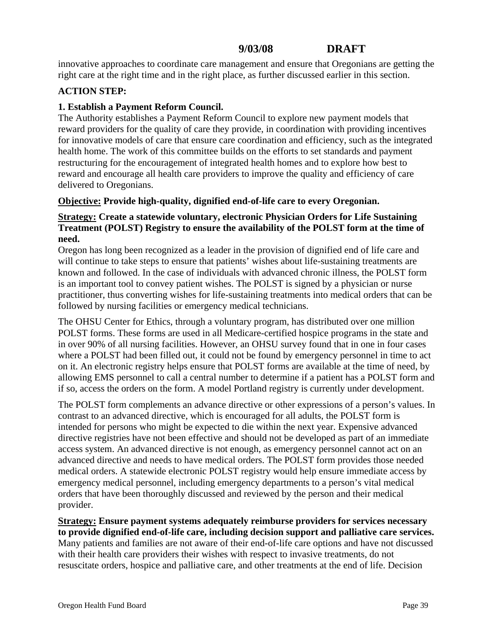innovative approaches to coordinate care management and ensure that Oregonians are getting the right care at the right time and in the right place, as further discussed earlier in this section.

# **ACTION STEP:**

#### **1. Establish a Payment Reform Council.**

The Authority establishes a Payment Reform Council to explore new payment models that reward providers for the quality of care they provide, in coordination with providing incentives for innovative models of care that ensure care coordination and efficiency, such as the integrated health home. The work of this committee builds on the efforts to set standards and payment restructuring for the encouragement of integrated health homes and to explore how best to reward and encourage all health care providers to improve the quality and efficiency of care delivered to Oregonians.

#### **Objective: Provide high-quality, dignified end-of-life care to every Oregonian.**

#### **Strategy: Create a statewide voluntary, electronic Physician Orders for Life Sustaining Treatment (POLST) Registry to ensure the availability of the POLST form at the time of need.**

Oregon has long been recognized as a leader in the provision of dignified end of life care and will continue to take steps to ensure that patients' wishes about life-sustaining treatments are known and followed. In the case of individuals with advanced chronic illness, the POLST form is an important tool to convey patient wishes. The POLST is signed by a physician or nurse practitioner, thus converting wishes for life-sustaining treatments into medical orders that can be followed by nursing facilities or emergency medical technicians.

The OHSU Center for Ethics, through a voluntary program, has distributed over one million POLST forms. These forms are used in all Medicare-certified hospice programs in the state and in over 90% of all nursing facilities. However, an OHSU survey found that in one in four cases where a POLST had been filled out, it could not be found by emergency personnel in time to act on it. An electronic registry helps ensure that POLST forms are available at the time of need, by allowing EMS personnel to call a central number to determine if a patient has a POLST form and if so, access the orders on the form. A model Portland registry is currently under development.

The POLST form complements an advance directive or other expressions of a person's values. In contrast to an advanced directive, which is encouraged for all adults, the POLST form is intended for persons who might be expected to die within the next year. Expensive advanced directive registries have not been effective and should not be developed as part of an immediate access system. An advanced directive is not enough, as emergency personnel cannot act on an advanced directive and needs to have medical orders. The POLST form provides those needed medical orders. A statewide electronic POLST registry would help ensure immediate access by emergency medical personnel, including emergency departments to a person's vital medical orders that have been thoroughly discussed and reviewed by the person and their medical provider.

**Strategy: Ensure payment systems adequately reimburse providers for services necessary to provide dignified end-of-life care, including decision support and palliative care services.**  Many patients and families are not aware of their end-of-life care options and have not discussed with their health care providers their wishes with respect to invasive treatments, do not resuscitate orders, hospice and palliative care, and other treatments at the end of life. Decision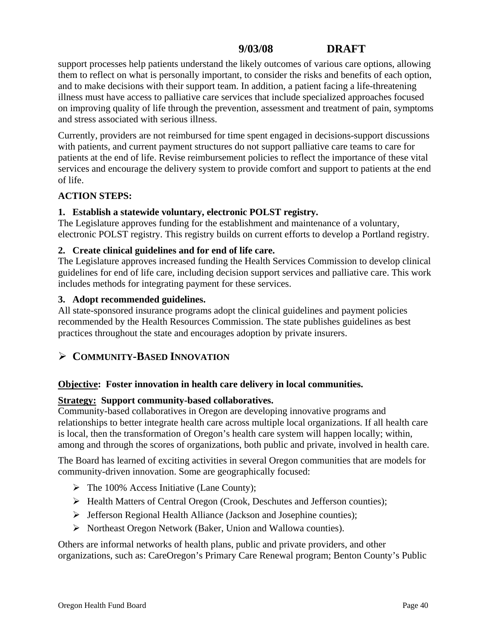support processes help patients understand the likely outcomes of various care options, allowing them to reflect on what is personally important, to consider the risks and benefits of each option, and to make decisions with their support team. In addition, a patient facing a life-threatening illness must have access to palliative care services that include specialized approaches focused on improving quality of life through the prevention, assessment and treatment of pain, symptoms and stress associated with serious illness.

Currently, providers are not reimbursed for time spent engaged in decisions-support discussions with patients, and current payment structures do not support palliative care teams to care for patients at the end of life. Revise reimbursement policies to reflect the importance of these vital services and encourage the delivery system to provide comfort and support to patients at the end of life.

# **ACTION STEPS:**

# **1. Establish a statewide voluntary, electronic POLST registry.**

The Legislature approves funding for the establishment and maintenance of a voluntary, electronic POLST registry. This registry builds on current efforts to develop a Portland registry.

## **2. Create clinical guidelines and for end of life care.**

The Legislature approves increased funding the Health Services Commission to develop clinical guidelines for end of life care, including decision support services and palliative care. This work includes methods for integrating payment for these services.

# **3. Adopt recommended guidelines.**

All state-sponsored insurance programs adopt the clinical guidelines and payment policies recommended by the Health Resources Commission. The state publishes guidelines as best practices throughout the state and encourages adoption by private insurers.

# ¾ **COMMUNITY-BASED INNOVATION**

## **Objective: Foster innovation in health care delivery in local communities.**

## **Strategy: Support community-based collaboratives.**

Community-based collaboratives in Oregon are developing innovative programs and relationships to better integrate health care across multiple local organizations. If all health care is local, then the transformation of Oregon's health care system will happen locally; within, among and through the scores of organizations, both public and private, involved in health care.

The Board has learned of exciting activities in several Oregon communities that are models for community-driven innovation. Some are geographically focused:

- $\triangleright$  The 100% Access Initiative (Lane County);
- ¾ Health Matters of Central Oregon (Crook, Deschutes and Jefferson counties);
- ¾ Jefferson Regional Health Alliance (Jackson and Josephine counties);
- ¾ Northeast Oregon Network (Baker, Union and Wallowa counties).

Others are informal networks of health plans, public and private providers, and other organizations, such as: CareOregon's Primary Care Renewal program; Benton County's Public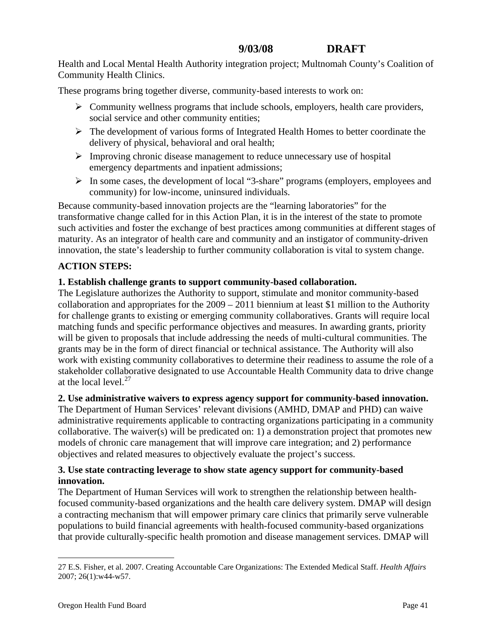<span id="page-40-0"></span>Health and Local Mental Health Authority integration project; Multnomah County's Coalition of Community Health Clinics.

These programs bring together diverse, community-based interests to work on:

- $\triangleright$  Community wellness programs that include schools, employers, health care providers, social service and other community entities;
- $\triangleright$  The development of various forms of Integrated Health Homes to better coordinate the delivery of physical, behavioral and oral health;
- $\triangleright$  Improving chronic disease management to reduce unnecessary use of hospital emergency departments and inpatient admissions;
- $\triangleright$  In some cases, the development of local "3-share" programs (employers, employees and community) for low-income, uninsured individuals.

Because community-based innovation projects are the "learning laboratories" for the transformative change called for in this Action Plan, it is in the interest of the state to promote such activities and foster the exchange of best practices among communities at different stages of maturity. As an integrator of health care and community and an instigator of community-driven innovation, the state's leadership to further community collaboration is vital to system change.

## **ACTION STEPS:**

#### **1. Establish challenge grants to support community-based collaboration.**

The Legislature authorizes the Authority to support, stimulate and monitor community-based collaboration and appropriates for the 2009 – 2011 biennium at least \$1 million to the Authority for challenge grants to existing or emerging community collaboratives. Grants will require local matching funds and specific performance objectives and measures. In awarding grants, priority will be given to proposals that include addressing the needs of multi-cultural communities. The grants may be in the form of direct financial or technical assistance. The Authority will also work with existing community collaboratives to determine their readiness to assume the role of a stakeholder collaborative designated to use Accountable Health Community data to drive change at the local level.[27](#page-40-0)

#### **2. Use administrative waivers to express agency support for community-based innovation.**

The Department of Human Services' relevant divisions (AMHD, DMAP and PHD) can waive administrative requirements applicable to contracting organizations participating in a community collaborative. The waiver(s) will be predicated on: 1) a demonstration project that promotes new models of chronic care management that will improve care integration; and 2) performance objectives and related measures to objectively evaluate the project's success.

#### **3. Use state contracting leverage to show state agency support for community-based innovation.**

The Department of Human Services will work to strengthen the relationship between healthfocused community-based organizations and the health care delivery system. DMAP will design a contracting mechanism that will empower primary care clinics that primarily serve vulnerable populations to build financial agreements with health-focused community-based organizations that provide culturally-specific health promotion and disease management services. DMAP will

<sup>27</sup> E.S. Fisher, et al. 2007. Creating Accountable Care Organizations: The Extended Medical Staff. *Health Affairs* 2007; 26(1):w44-w57.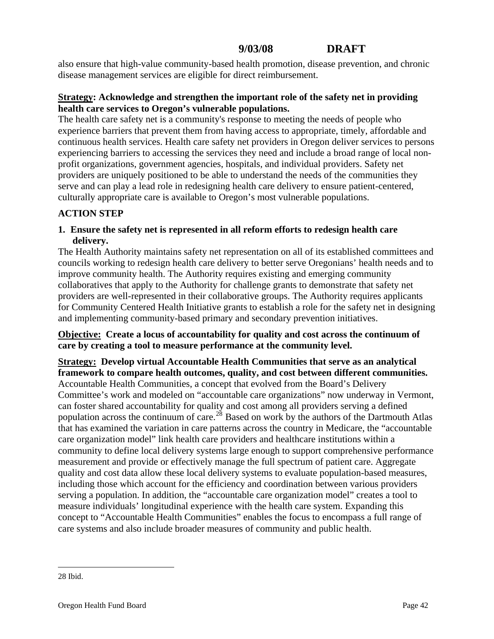<span id="page-41-0"></span>also ensure that high-value community-based health promotion, disease prevention, and chronic disease management services are eligible for direct reimbursement.

#### **Strategy: Acknowledge and strengthen the important role of the safety net in providing health care services to Oregon's vulnerable populations.**

The health care safety net is a community's response to meeting the needs of people who experience barriers that prevent them from having access to appropriate, timely, affordable and continuous health services. Health care safety net providers in Oregon deliver services to persons experiencing barriers to accessing the services they need and include a broad range of local nonprofit organizations, government agencies, hospitals, and individual providers. Safety net providers are uniquely positioned to be able to understand the needs of the communities they serve and can play a lead role in redesigning health care delivery to ensure patient-centered, culturally appropriate care is available to Oregon's most vulnerable populations.

## **ACTION STEP**

#### **1. Ensure the safety net is represented in all reform efforts to redesign health care delivery.**

The Health Authority maintains safety net representation on all of its established committees and councils working to redesign health care delivery to better serve Oregonians' health needs and to improve community health. The Authority requires existing and emerging community collaboratives that apply to the Authority for challenge grants to demonstrate that safety net providers are well-represented in their collaborative groups. The Authority requires applicants for Community Centered Health Initiative grants to establish a role for the safety net in designing and implementing community-based primary and secondary prevention initiatives.

#### **Objective: Create a locus of accountability for quality and cost across the continuum of care by creating a tool to measure performance at the community level.**

# **Strategy: Develop virtual Accountable Health Communities that serve as an analytical framework to compare health outcomes, quality, and cost between different communities.**

Accountable Health Communities, a concept that evolved from the Board's Delivery Committee's work and modeled on "accountable care organizations" now underway in Vermont, can foster shared accountability for quality and cost among all providers serving a defined population across the continuum of care.<sup>[28](#page-41-0)</sup> Based on work by the authors of the Dartmouth Atlas that has examined the variation in care patterns across the country in Medicare, the "accountable care organization model" link health care providers and healthcare institutions within a community to define local delivery systems large enough to support comprehensive performance measurement and provide or effectively manage the full spectrum of patient care. Aggregate quality and cost data allow these local delivery systems to evaluate population-based measures, including those which account for the efficiency and coordination between various providers serving a population. In addition, the "accountable care organization model" creates a tool to measure individuals' longitudinal experience with the health care system. Expanding this concept to "Accountable Health Communities" enables the focus to encompass a full range of care systems and also include broader measures of community and public health.

<u>.</u>

<sup>28</sup> Ibid.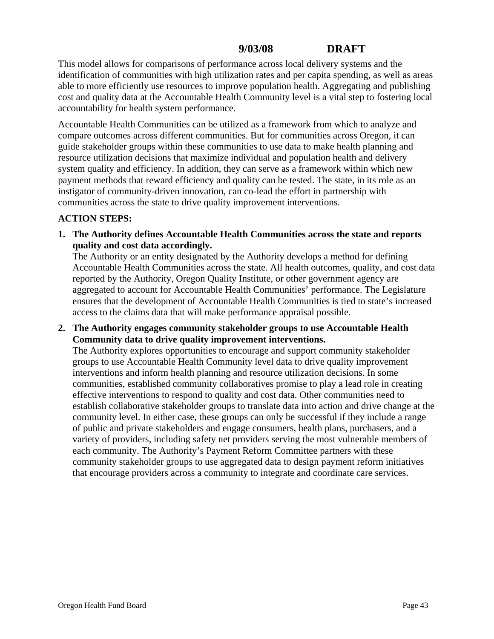This model allows for comparisons of performance across local delivery systems and the identification of communities with high utilization rates and per capita spending, as well as areas able to more efficiently use resources to improve population health. Aggregating and publishing cost and quality data at the Accountable Health Community level is a vital step to fostering local accountability for health system performance.

Accountable Health Communities can be utilized as a framework from which to analyze and compare outcomes across different communities. But for communities across Oregon, it can guide stakeholder groups within these communities to use data to make health planning and resource utilization decisions that maximize individual and population health and delivery system quality and efficiency. In addition, they can serve as a framework within which new payment methods that reward efficiency and quality can be tested. The state, in its role as an instigator of community-driven innovation, can co-lead the effort in partnership with communities across the state to drive quality improvement interventions.

#### **ACTION STEPS:**

**1. The Authority defines Accountable Health Communities across the state and reports quality and cost data accordingly.**

The Authority or an entity designated by the Authority develops a method for defining Accountable Health Communities across the state. All health outcomes, quality, and cost data reported by the Authority, Oregon Quality Institute, or other government agency are aggregated to account for Accountable Health Communities' performance. The Legislature ensures that the development of Accountable Health Communities is tied to state's increased access to the claims data that will make performance appraisal possible.

**2. The Authority engages community stakeholder groups to use Accountable Health Community data to drive quality improvement interventions.** 

The Authority explores opportunities to encourage and support community stakeholder groups to use Accountable Health Community level data to drive quality improvement interventions and inform health planning and resource utilization decisions. In some communities, established community collaboratives promise to play a lead role in creating effective interventions to respond to quality and cost data. Other communities need to establish collaborative stakeholder groups to translate data into action and drive change at the community level. In either case, these groups can only be successful if they include a range of public and private stakeholders and engage consumers, health plans, purchasers, and a variety of providers, including safety net providers serving the most vulnerable members of each community. The Authority's Payment Reform Committee partners with these community stakeholder groups to use aggregated data to design payment reform initiatives that encourage providers across a community to integrate and coordinate care services.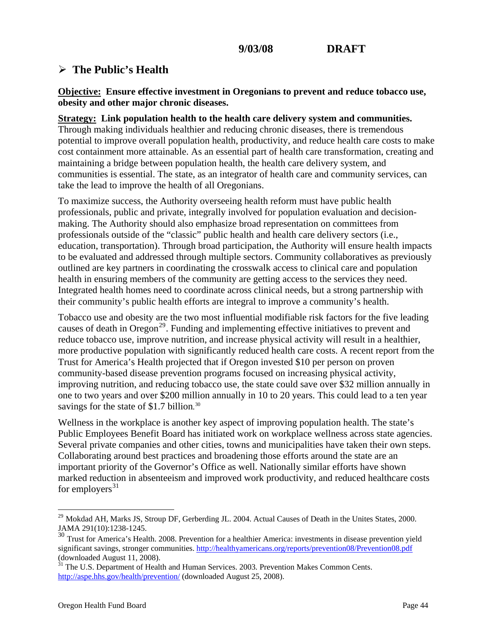# <span id="page-43-0"></span>¾ **The Public's Health**

**Objective: Ensure effective investment in Oregonians to prevent and reduce tobacco use, obesity and other major chronic diseases.** 

#### **Strategy: Link population health to the health care delivery system and communities.**

Through making individuals healthier and reducing chronic diseases, there is tremendous potential to improve overall population health, productivity, and reduce health care costs to make cost containment more attainable. As an essential part of health care transformation, creating and maintaining a bridge between population health, the health care delivery system, and communities is essential. The state, as an integrator of health care and community services, can take the lead to improve the health of all Oregonians.

To maximize success, the Authority overseeing health reform must have public health professionals, public and private, integrally involved for population evaluation and decisionmaking. The Authority should also emphasize broad representation on committees from professionals outside of the "classic" public health and health care delivery sectors (i.e., education, transportation). Through broad participation, the Authority will ensure health impacts to be evaluated and addressed through multiple sectors. Community collaboratives as previously outlined are key partners in coordinating the crosswalk access to clinical care and population health in ensuring members of the community are getting access to the services they need. Integrated health homes need to coordinate across clinical needs, but a strong partnership with their community's public health efforts are integral to improve a community's health.

Tobacco use and obesity are the two most influential modifiable risk factors for the five leading causes of death in Oregon<sup>[29](#page-43-0)</sup>. Funding and implementing effective initiatives to prevent and reduce tobacco use, improve nutrition, and increase physical activity will result in a healthier, more productive population with significantly reduced health care costs. A recent report from the Trust for America's Health projected that if Oregon invested \$10 per person on proven community-based disease prevention programs focused on increasing physical activity, improving nutrition, and reducing tobacco use, the state could save over \$32 million annually in one to two years and over \$200 million annually in 10 to 20 years. This could lead to a ten year savings for the state of \$1.7 billion.<sup>[30](#page-43-0)</sup>

Wellness in the workplace is another key aspect of improving population health. The state's Public Employees Benefit Board has initiated work on workplace wellness across state agencies. Several private companies and other cities, towns and municipalities have taken their own steps. Collaborating around best practices and broadening those efforts around the state are an important priority of the Governor's Office as well. Nationally similar efforts have shown marked reduction in absenteeism and improved work productivity, and reduced healthcare costs for employers $31$ 

<sup>&</sup>lt;sup>29</sup> Mokdad AH, Marks JS, Stroup DF, Gerberding JL. 2004. Actual Causes of Death in the Unites States, 2000. JAMA 291(10):1238-1245.

<sup>&</sup>lt;sup>30</sup> Trust for America's Health. 2008. Prevention for a healthier America: investments in disease prevention yield significant savings, stronger communities. <http://healthyamericans.org/reports/prevention08/Prevention08.pdf> (downloaded August 11, 2008).

<sup>&</sup>lt;sup>31</sup> The U.S. Department of Health and Human Services. 2003. Prevention Makes Common Cents. <http://aspe.hhs.gov/health/prevention/> (downloaded August 25, 2008).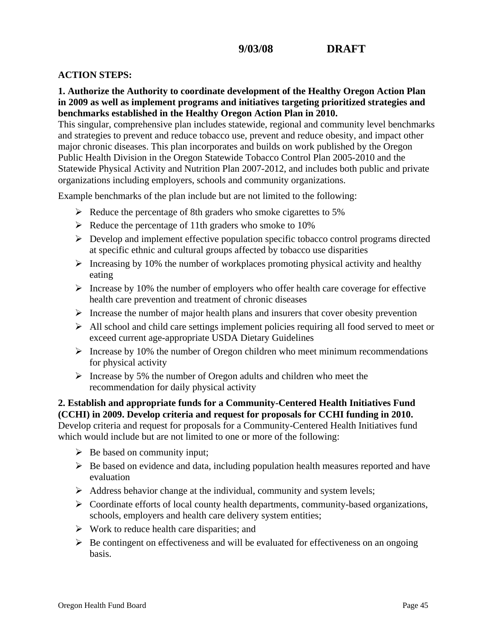#### **ACTION STEPS:**

#### **1. Authorize the Authority to coordinate development of the Healthy Oregon Action Plan in 2009 as well as implement programs and initiatives targeting prioritized strategies and benchmarks established in the Healthy Oregon Action Plan in 2010.**

This singular, comprehensive plan includes statewide, regional and community level benchmarks and strategies to prevent and reduce tobacco use, prevent and reduce obesity, and impact other major chronic diseases. This plan incorporates and builds on work published by the Oregon Public Health Division in the Oregon Statewide Tobacco Control Plan 2005-2010 and the Statewide Physical Activity and Nutrition Plan 2007-2012, and includes both public and private organizations including employers, schools and community organizations.

Example benchmarks of the plan include but are not limited to the following:

- $\triangleright$  Reduce the percentage of 8th graders who smoke cigarettes to 5%
- $\triangleright$  Reduce the percentage of 11th graders who smoke to 10%
- $\triangleright$  Develop and implement effective population specific tobacco control programs directed at specific ethnic and cultural groups affected by tobacco use disparities
- $\triangleright$  Increasing by 10% the number of workplaces promoting physical activity and healthy eating
- $\triangleright$  Increase by 10% the number of employers who offer health care coverage for effective health care prevention and treatment of chronic diseases
- $\triangleright$  Increase the number of major health plans and insurers that cover obesity prevention
- $\triangleright$  All school and child care settings implement policies requiring all food served to meet or exceed current age-appropriate USDA Dietary Guidelines
- $\triangleright$  Increase by 10% the number of Oregon children who meet minimum recommendations for physical activity
- $\triangleright$  Increase by 5% the number of Oregon adults and children who meet the recommendation for daily physical activity

#### **2. Establish and appropriate funds for a Community-Centered Health Initiatives Fund (CCHI) in 2009. Develop criteria and request for proposals for CCHI funding in 2010.**

Develop criteria and request for proposals for a Community-Centered Health Initiatives fund which would include but are not limited to one or more of the following:

- $\triangleright$  Be based on community input;
- $\triangleright$  Be based on evidence and data, including population health measures reported and have evaluation
- $\triangleright$  Address behavior change at the individual, community and system levels;
- $\triangleright$  Coordinate efforts of local county health departments, community-based organizations, schools, employers and health care delivery system entities;
- $\triangleright$  Work to reduce health care disparities; and
- $\triangleright$  Be contingent on effectiveness and will be evaluated for effectiveness on an ongoing basis.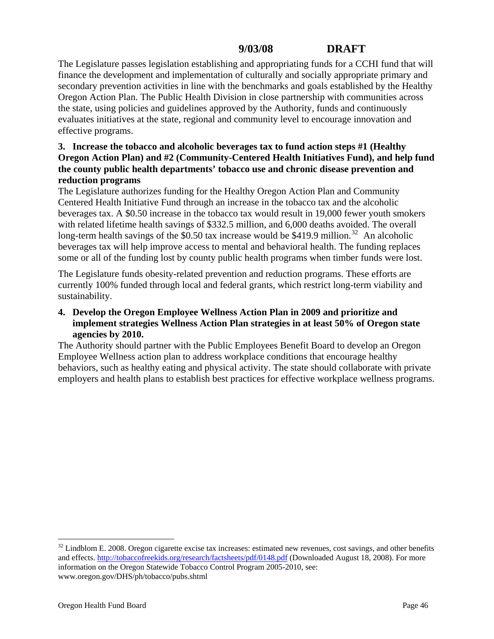<span id="page-45-0"></span>The Legislature passes legislation establishing and appropriating funds for a CCHI fund that will finance the development and implementation of culturally and socially appropriate primary and secondary prevention activities in line with the benchmarks and goals established by the Healthy Oregon Action Plan. The Public Health Division in close partnership with communities across the state, using policies and guidelines approved by the Authority, funds and continuously evaluates initiatives at the state, regional and community level to encourage innovation and effective programs.

#### **3. Increase the tobacco and alcoholic beverages tax to fund action steps #1 (Healthy Oregon Action Plan) and #2 (Community-Centered Health Initiatives Fund), and help fund the county public health departments' tobacco use and chronic disease prevention and reduction programs**

The Legislature authorizes funding for the Healthy Oregon Action Plan and Community Centered Health Initiative Fund through an increase in the tobacco tax and the alcoholic beverages tax. A \$0.50 increase in the tobacco tax would result in 19,000 fewer youth smokers with related lifetime health savings of \$332.5 million, and 6,000 deaths avoided. The overall long-term health savings of the \$0.50 tax increase would be \$419.9 million.<sup>[32](#page-45-0)</sup> An alcoholic beverages tax will help improve access to mental and behavioral health. The funding replaces some or all of the funding lost by county public health programs when timber funds were lost.

The Legislature funds obesity-related prevention and reduction programs. These efforts are currently 100% funded through local and federal grants, which restrict long-term viability and sustainability.

### **4. Develop the Oregon Employee Wellness Action Plan in 2009 and prioritize and implement strategies Wellness Action Plan strategies in at least 50% of Oregon state agencies by 2010.**

The Authority should partner with the Public Employees Benefit Board to develop an Oregon Employee Wellness action plan to address workplace conditions that encourage healthy behaviors, such as healthy eating and physical activity. The state should collaborate with private employers and health plans to establish best practices for effective workplace wellness programs.

 $32$  Lindblom E. 2008. Oregon cigarette excise tax increases: estimated new revenues, cost savings, and other benefits and effects. <http://tobaccofreekids.org/research/factsheets/pdf/0148.pdf>(Downloaded August 18, 2008). For more information on the Oregon Statewide Tobacco Control Program 2005-2010, see: www.oregon.gov/DHS/ph/tobacco/pubs.shtml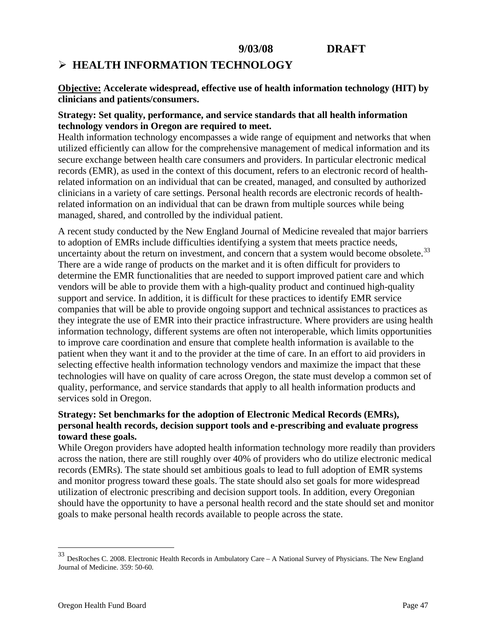# <span id="page-46-0"></span>¾ **HEALTH INFORMATION TECHNOLOGY**

**Objective: Accelerate widespread, effective use of health information technology (HIT) by clinicians and patients/consumers.** 

#### **Strategy: Set quality, performance, and service standards that all health information technology vendors in Oregon are required to meet.**

Health information technology encompasses a wide range of equipment and networks that when utilized efficiently can allow for the comprehensive management of medical information and its secure exchange between health care consumers and providers. In particular electronic medical records (EMR), as used in the context of this document, refers to an electronic record of healthrelated information on an individual that can be created, managed, and consulted by authorized clinicians in a variety of care settings. Personal health records are electronic records of healthrelated information on an individual that can be drawn from multiple sources while being managed, shared, and controlled by the individual patient.

A recent study conducted by the New England Journal of Medicine revealed that major barriers to adoption of EMRs include difficulties identifying a system that meets practice needs, uncertainty about the return on investment, and concern that a system would become obsolete.<sup>[33](#page-46-0)</sup> There are a wide range of products on the market and it is often difficult for providers to determine the EMR functionalities that are needed to support improved patient care and which vendors will be able to provide them with a high-quality product and continued high-quality support and service. In addition, it is difficult for these practices to identify EMR service companies that will be able to provide ongoing support and technical assistances to practices as they integrate the use of EMR into their practice infrastructure. Where providers are using health information technology, different systems are often not interoperable, which limits opportunities to improve care coordination and ensure that complete health information is available to the patient when they want it and to the provider at the time of care. In an effort to aid providers in selecting effective health information technology vendors and maximize the impact that these technologies will have on quality of care across Oregon, the state must develop a common set of quality, performance, and service standards that apply to all health information products and services sold in Oregon.

## **Strategy: Set benchmarks for the adoption of Electronic Medical Records (EMRs), personal health records, decision support tools and e-prescribing and evaluate progress toward these goals.**

While Oregon providers have adopted health information technology more readily than providers across the nation, there are still roughly over 40% of providers who do utilize electronic medical records (EMRs). The state should set ambitious goals to lead to full adoption of EMR systems and monitor progress toward these goals. The state should also set goals for more widespread utilization of electronic prescribing and decision support tools. In addition, every Oregonian should have the opportunity to have a personal health record and the state should set and monitor goals to make personal health records available to people across the state.

<sup>33</sup> DesRoches C. 2008. Electronic Health Records in Ambulatory Care – A National Survey of Physicians. The New England Journal of Medicine. 359: 50-60.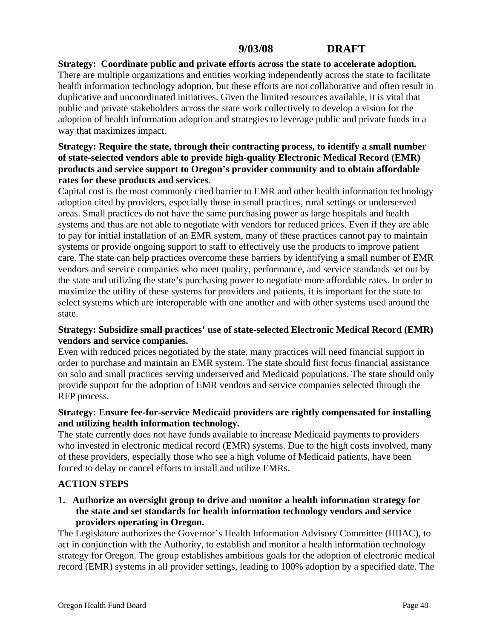#### **Strategy: Coordinate public and private efforts across the state to accelerate adoption.**  There are multiple organizations and entities working independently across the state to facilitate health information technology adoption, but these efforts are not collaborative and often result in duplicative and uncoordinated initiatives. Given the limited resources available, it is vital that public and private stakeholders across the state work collectively to develop a vision for the adoption of health information adoption and strategies to leverage public and private funds in a way that maximizes impact.

## **Strategy: Require the state, through their contracting process, to identify a small number of state-selected vendors able to provide high-quality Electronic Medical Record (EMR) products and service support to Oregon's provider community and to obtain affordable rates for these products and services.**

Capital cost is the most commonly cited barrier to EMR and other health information technology adoption cited by providers, especially those in small practices, rural settings or underserved areas. Small practices do not have the same purchasing power as large hospitals and health systems and thus are not able to negotiate with vendors for reduced prices. Even if they are able to pay for initial installation of an EMR system, many of these practices cannot pay to maintain systems or provide ongoing support to staff to effectively use the products to improve patient care. The state can help practices overcome these barriers by identifying a small number of EMR vendors and service companies who meet quality, performance, and service standards set out by the state and utilizing the state's purchasing power to negotiate more affordable rates. In order to maximize the utility of these systems for providers and patients, it is important for the state to select systems which are interoperable with one another and with other systems used around the state.

## **Strategy: Subsidize small practices' use of state-selected Electronic Medical Record (EMR) vendors and service companies.**

Even with reduced prices negotiated by the state, many practices will need financial support in order to purchase and maintain an EMR system. The state should first focus financial assistance on solo and small practices serving underserved and Medicaid populations. The state should only provide support for the adoption of EMR vendors and service companies selected through the RFP process.

## **Strategy: Ensure fee-for-service Medicaid providers are rightly compensated for installing and utilizing health information technology.**

The state currently does not have funds available to increase Medicaid payments to providers who invested in electronic medical record (EMR) systems. Due to the high costs involved, many of these providers, especially those who see a high volume of Medicaid patients, have been forced to delay or cancel efforts to install and utilize EMRs.

## **ACTION STEPS**

**1. Authorize an oversight group to drive and monitor a health information strategy for the state and set standards for health information technology vendors and service providers operating in Oregon.** 

The Legislature authorizes the Governor's Health Information Advisory Committee (HIIAC), to act in conjunction with the Authority, to establish and monitor a health information technology strategy for Oregon. The group establishes ambitious goals for the adoption of electronic medical record (EMR) systems in all provider settings, leading to 100% adoption by a specified date. The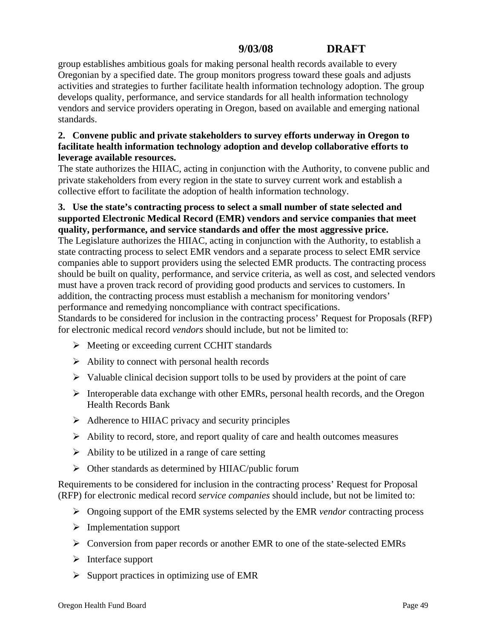group establishes ambitious goals for making personal health records available to every Oregonian by a specified date. The group monitors progress toward these goals and adjusts activities and strategies to further facilitate health information technology adoption. The group develops quality, performance, and service standards for all health information technology vendors and service providers operating in Oregon, based on available and emerging national standards.

### **2. Convene public and private stakeholders to survey efforts underway in Oregon to facilitate health information technology adoption and develop collaborative efforts to leverage available resources.**

The state authorizes the HIIAC, acting in conjunction with the Authority, to convene public and private stakeholders from every region in the state to survey current work and establish a collective effort to facilitate the adoption of health information technology.

#### **3. Use the state's contracting process to select a small number of state selected and supported Electronic Medical Record (EMR) vendors and service companies that meet quality, performance, and service standards and offer the most aggressive price.**

The Legislature authorizes the HIIAC, acting in conjunction with the Authority, to establish a state contracting process to select EMR vendors and a separate process to select EMR service companies able to support providers using the selected EMR products. The contracting process should be built on quality, performance, and service criteria, as well as cost, and selected vendors must have a proven track record of providing good products and services to customers. In addition, the contracting process must establish a mechanism for monitoring vendors' performance and remedying noncompliance with contract specifications.

Standards to be considered for inclusion in the contracting process' Request for Proposals (RFP) for electronic medical record *vendors* should include, but not be limited to:

- ¾ Meeting or exceeding current CCHIT standards
- $\triangleright$  Ability to connect with personal health records
- $\triangleright$  Valuable clinical decision support tolls to be used by providers at the point of care
- ¾ Interoperable data exchange with other EMRs, personal health records, and the Oregon Health Records Bank
- $\triangleright$  Adherence to HIIAC privacy and security principles
- $\triangleright$  Ability to record, store, and report quality of care and health outcomes measures
- $\triangleright$  Ability to be utilized in a range of care setting
- $\triangleright$  Other standards as determined by HIIAC/public forum

Requirements to be considered for inclusion in the contracting process' Request for Proposal (RFP) for electronic medical record *service companies* should include, but not be limited to:

- ¾ Ongoing support of the EMR systems selected by the EMR *vendor* contracting process
- $\triangleright$  Implementation support
- $\triangleright$  Conversion from paper records or another EMR to one of the state-selected EMRs
- $\triangleright$  Interface support
- $\triangleright$  Support practices in optimizing use of EMR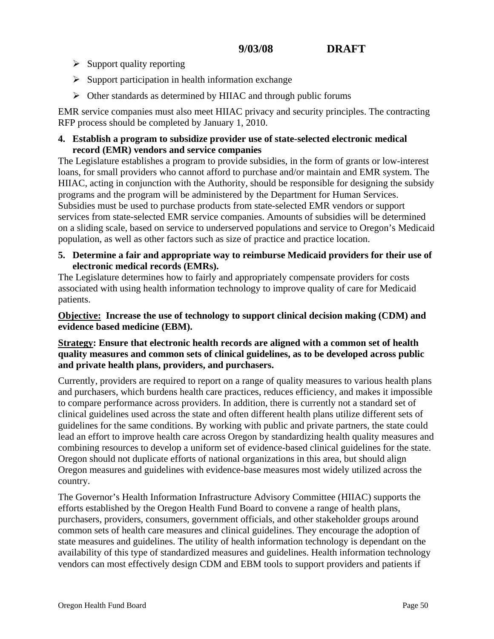- $\triangleright$  Support quality reporting
- $\triangleright$  Support participation in health information exchange
- $\triangleright$  Other standards as determined by HIIAC and through public forums

EMR service companies must also meet HIIAC privacy and security principles. The contracting RFP process should be completed by January 1, 2010.

#### **4. Establish a program to subsidize provider use of state-selected electronic medical record (EMR) vendors and service companies**

The Legislature establishes a program to provide subsidies, in the form of grants or low-interest loans, for small providers who cannot afford to purchase and/or maintain and EMR system. The HIIAC, acting in conjunction with the Authority, should be responsible for designing the subsidy programs and the program will be administered by the Department for Human Services. Subsidies must be used to purchase products from state-selected EMR vendors or support services from state-selected EMR service companies. Amounts of subsidies will be determined on a sliding scale, based on service to underserved populations and service to Oregon's Medicaid population, as well as other factors such as size of practice and practice location.

#### **5. Determine a fair and appropriate way to reimburse Medicaid providers for their use of electronic medical records (EMRs).**

The Legislature determines how to fairly and appropriately compensate providers for costs associated with using health information technology to improve quality of care for Medicaid patients.

#### **Objective: Increase the use of technology to support clinical decision making (CDM) and evidence based medicine (EBM).**

#### **Strategy: Ensure that electronic health records are aligned with a common set of health quality measures and common sets of clinical guidelines, as to be developed across public and private health plans, providers, and purchasers.**

Currently, providers are required to report on a range of quality measures to various health plans and purchasers, which burdens health care practices, reduces efficiency, and makes it impossible to compare performance across providers. In addition, there is currently not a standard set of clinical guidelines used across the state and often different health plans utilize different sets of guidelines for the same conditions. By working with public and private partners, the state could lead an effort to improve health care across Oregon by standardizing health quality measures and combining resources to develop a uniform set of evidence-based clinical guidelines for the state. Oregon should not duplicate efforts of national organizations in this area, but should align Oregon measures and guidelines with evidence-base measures most widely utilized across the country.

The Governor's Health Information Infrastructure Advisory Committee (HIIAC) supports the efforts established by the Oregon Health Fund Board to convene a range of health plans, purchasers, providers, consumers, government officials, and other stakeholder groups around common sets of health care measures and clinical guidelines. They encourage the adoption of state measures and guidelines. The utility of health information technology is dependant on the availability of this type of standardized measures and guidelines. Health information technology vendors can most effectively design CDM and EBM tools to support providers and patients if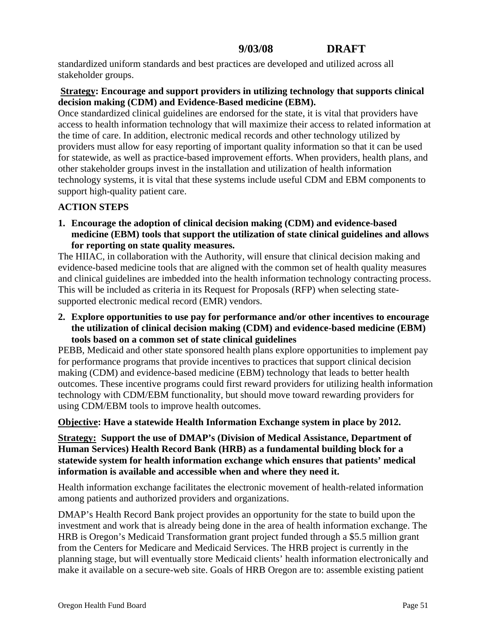standardized uniform standards and best practices are developed and utilized across all stakeholder groups.

#### **Strategy: Encourage and support providers in utilizing technology that supports clinical decision making (CDM) and Evidence-Based medicine (EBM).**

Once standardized clinical guidelines are endorsed for the state, it is vital that providers have access to health information technology that will maximize their access to related information at the time of care. In addition, electronic medical records and other technology utilized by providers must allow for easy reporting of important quality information so that it can be used for statewide, as well as practice-based improvement efforts. When providers, health plans, and other stakeholder groups invest in the installation and utilization of health information technology systems, it is vital that these systems include useful CDM and EBM components to support high-quality patient care.

## **ACTION STEPS**

**1. Encourage the adoption of clinical decision making (CDM) and evidence-based medicine (EBM) tools that support the utilization of state clinical guidelines and allows for reporting on state quality measures.** 

The HIIAC, in collaboration with the Authority, will ensure that clinical decision making and evidence-based medicine tools that are aligned with the common set of health quality measures and clinical guidelines are imbedded into the health information technology contracting process. This will be included as criteria in its Request for Proposals (RFP) when selecting statesupported electronic medical record (EMR) vendors.

**2. Explore opportunities to use pay for performance and/or other incentives to encourage the utilization of clinical decision making (CDM) and evidence-based medicine (EBM) tools based on a common set of state clinical guidelines** 

PEBB, Medicaid and other state sponsored health plans explore opportunities to implement pay for performance programs that provide incentives to practices that support clinical decision making (CDM) and evidence-based medicine (EBM) technology that leads to better health outcomes. These incentive programs could first reward providers for utilizing health information technology with CDM/EBM functionality, but should move toward rewarding providers for using CDM/EBM tools to improve health outcomes.

## **Objective: Have a statewide Health Information Exchange system in place by 2012.**

**Strategy: Support the use of DMAP's (Division of Medical Assistance, Department of Human Services) Health Record Bank (HRB) as a fundamental building block for a statewide system for health information exchange which ensures that patients' medical information is available and accessible when and where they need it.** 

Health information exchange facilitates the electronic movement of health-related information among patients and authorized providers and organizations.

DMAP's Health Record Bank project provides an opportunity for the state to build upon the investment and work that is already being done in the area of health information exchange. The HRB is Oregon's Medicaid Transformation grant project funded through a \$5.5 million grant from the Centers for Medicare and Medicaid Services. The HRB project is currently in the planning stage, but will eventually store Medicaid clients' health information electronically and make it available on a secure-web site. Goals of HRB Oregon are to: assemble existing patient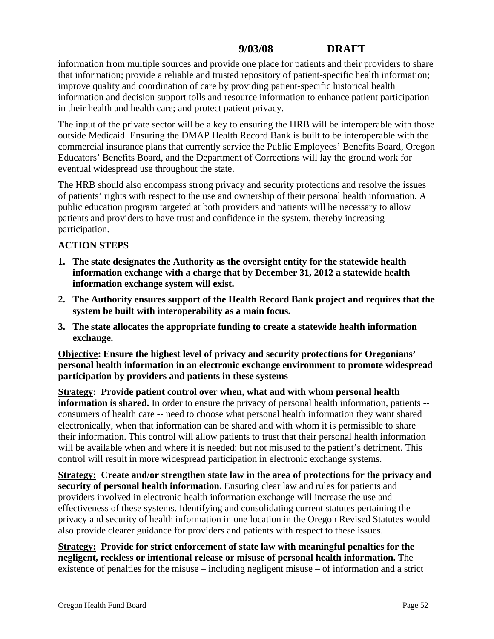information from multiple sources and provide one place for patients and their providers to share that information; provide a reliable and trusted repository of patient-specific health information; improve quality and coordination of care by providing patient-specific historical health information and decision support tolls and resource information to enhance patient participation in their health and health care; and protect patient privacy.

The input of the private sector will be a key to ensuring the HRB will be interoperable with those outside Medicaid. Ensuring the DMAP Health Record Bank is built to be interoperable with the commercial insurance plans that currently service the Public Employees' Benefits Board, Oregon Educators' Benefits Board, and the Department of Corrections will lay the ground work for eventual widespread use throughout the state.

The HRB should also encompass strong privacy and security protections and resolve the issues of patients' rights with respect to the use and ownership of their personal health information. A public education program targeted at both providers and patients will be necessary to allow patients and providers to have trust and confidence in the system, thereby increasing participation.

# **ACTION STEPS**

- **1. The state designates the Authority as the oversight entity for the statewide health information exchange with a charge that by December 31, 2012 a statewide health information exchange system will exist.**
- **2. The Authority ensures support of the Health Record Bank project and requires that the system be built with interoperability as a main focus.**
- **3. The state allocates the appropriate funding to create a statewide health information exchange.**

**Objective: Ensure the highest level of privacy and security protections for Oregonians' personal health information in an electronic exchange environment to promote widespread participation by providers and patients in these systems**

**Strategy: Provide patient control over when, what and with whom personal health information is shared.** In order to ensure the privacy of personal health information, patients -consumers of health care -- need to choose what personal health information they want shared electronically, when that information can be shared and with whom it is permissible to share their information. This control will allow patients to trust that their personal health information will be available when and where it is needed; but not misused to the patient's detriment. This control will result in more widespread participation in electronic exchange systems.

**Strategy: Create and/or strengthen state law in the area of protections for the privacy and security of personal health information.** Ensuring clear law and rules for patients and providers involved in electronic health information exchange will increase the use and effectiveness of these systems. Identifying and consolidating current statutes pertaining the privacy and security of health information in one location in the Oregon Revised Statutes would also provide clearer guidance for providers and patients with respect to these issues.

**Strategy: Provide for strict enforcement of state law with meaningful penalties for the negligent, reckless or intentional release or misuse of personal health information.** The existence of penalties for the misuse – including negligent misuse – of information and a strict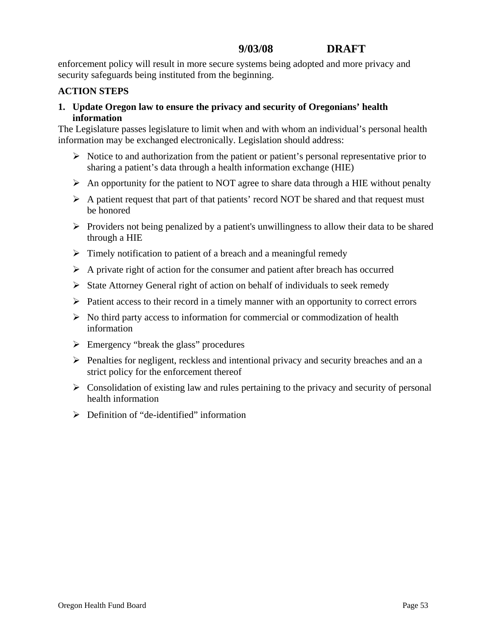enforcement policy will result in more secure systems being adopted and more privacy and security safeguards being instituted from the beginning.

#### **ACTION STEPS**

**1. Update Oregon law to ensure the privacy and security of Oregonians' health information**

The Legislature passes legislature to limit when and with whom an individual's personal health information may be exchanged electronically. Legislation should address:

- $\triangleright$  Notice to and authorization from the patient or patient's personal representative prior to sharing a patient's data through a health information exchange (HIE)
- $\triangleright$  An opportunity for the patient to NOT agree to share data through a HIE without penalty
- $\triangleright$  A patient request that part of that patients' record NOT be shared and that request must be honored
- $\triangleright$  Providers not being penalized by a patient's unwillingness to allow their data to be shared through a HIE
- $\triangleright$  Timely notification to patient of a breach and a meaningful remedy
- $\triangleright$  A private right of action for the consumer and patient after breach has occurred
- $\triangleright$  State Attorney General right of action on behalf of individuals to seek remedy
- $\triangleright$  Patient access to their record in a timely manner with an opportunity to correct errors
- $\triangleright$  No third party access to information for commercial or commodization of health information
- $\triangleright$  Emergency "break the glass" procedures
- ¾ Penalties for negligent, reckless and intentional privacy and security breaches and an a strict policy for the enforcement thereof
- $\triangleright$  Consolidation of existing law and rules pertaining to the privacy and security of personal health information
- $\triangleright$  Definition of "de-identified" information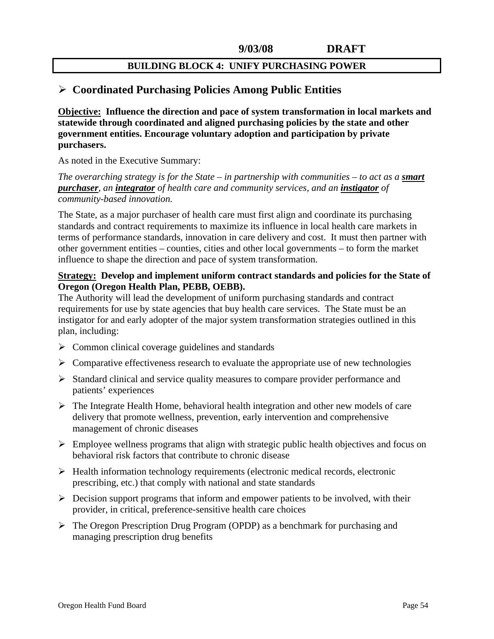#### **BUILDING BLOCK 4: UNIFY PURCHASING POWER**

#### ¾ **Coordinated Purchasing Policies Among Public Entities**

**Objective: Influence the direction and pace of system transformation in local markets and statewide through coordinated and aligned purchasing policies by the state and other government entities. Encourage voluntary adoption and participation by private purchasers.**

As noted in the Executive Summary:

*The overarching strategy is for the State – in partnership with communities – to act as a smart purchaser, an integrator of health care and community services, and an instigator of community-based innovation.* 

The State, as a major purchaser of health care must first align and coordinate its purchasing standards and contract requirements to maximize its influence in local health care markets in terms of performance standards, innovation in care delivery and cost. It must then partner with other government entities – counties, cities and other local governments – to form the market influence to shape the direction and pace of system transformation.

#### **Strategy: Develop and implement uniform contract standards and policies for the State of Oregon (Oregon Health Plan, PEBB, OEBB).**

The Authority will lead the development of uniform purchasing standards and contract requirements for use by state agencies that buy health care services. The State must be an instigator for and early adopter of the major system transformation strategies outlined in this plan, including:

- $\triangleright$  Common clinical coverage guidelines and standards
- $\triangleright$  Comparative effectiveness research to evaluate the appropriate use of new technologies
- $\triangleright$  Standard clinical and service quality measures to compare provider performance and patients' experiences
- $\triangleright$  The Integrate Health Home, behavioral health integration and other new models of care delivery that promote wellness, prevention, early intervention and comprehensive management of chronic diseases
- $\triangleright$  Employee wellness programs that align with strategic public health objectives and focus on behavioral risk factors that contribute to chronic disease
- $\triangleright$  Health information technology requirements (electronic medical records, electronic prescribing, etc.) that comply with national and state standards
- $\triangleright$  Decision support programs that inform and empower patients to be involved, with their provider, in critical, preference-sensitive health care choices
- $\triangleright$  The Oregon Prescription Drug Program (OPDP) as a benchmark for purchasing and managing prescription drug benefits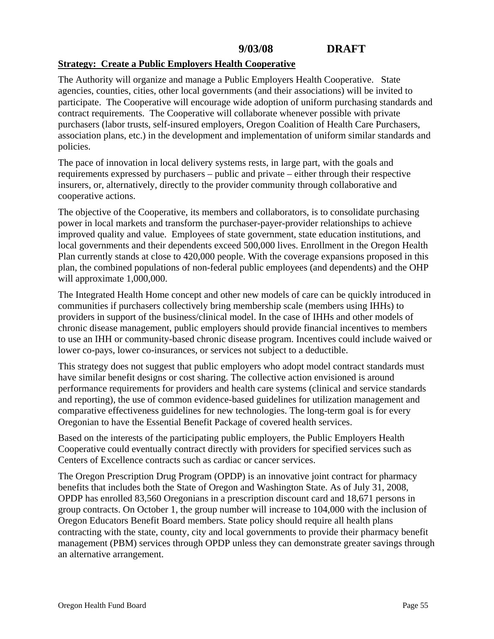#### **Strategy: Create a Public Employers Health Cooperative**

The Authority will organize and manage a Public Employers Health Cooperative. State agencies, counties, cities, other local governments (and their associations) will be invited to participate. The Cooperative will encourage wide adoption of uniform purchasing standards and contract requirements. The Cooperative will collaborate whenever possible with private purchasers (labor trusts, self-insured employers, Oregon Coalition of Health Care Purchasers, association plans, etc.) in the development and implementation of uniform similar standards and policies.

The pace of innovation in local delivery systems rests, in large part, with the goals and requirements expressed by purchasers – public and private – either through their respective insurers, or, alternatively, directly to the provider community through collaborative and cooperative actions.

The objective of the Cooperative, its members and collaborators, is to consolidate purchasing power in local markets and transform the purchaser-payer-provider relationships to achieve improved quality and value. Employees of state government, state education institutions, and local governments and their dependents exceed 500,000 lives. Enrollment in the Oregon Health Plan currently stands at close to 420,000 people. With the coverage expansions proposed in this plan, the combined populations of non-federal public employees (and dependents) and the OHP will approximate 1,000,000.

The Integrated Health Home concept and other new models of care can be quickly introduced in communities if purchasers collectively bring membership scale (members using IHHs) to providers in support of the business/clinical model. In the case of IHHs and other models of chronic disease management, public employers should provide financial incentives to members to use an IHH or community-based chronic disease program. Incentives could include waived or lower co-pays, lower co-insurances, or services not subject to a deductible.

This strategy does not suggest that public employers who adopt model contract standards must have similar benefit designs or cost sharing. The collective action envisioned is around performance requirements for providers and health care systems (clinical and service standards and reporting), the use of common evidence-based guidelines for utilization management and comparative effectiveness guidelines for new technologies. The long-term goal is for every Oregonian to have the Essential Benefit Package of covered health services.

Based on the interests of the participating public employers, the Public Employers Health Cooperative could eventually contract directly with providers for specified services such as Centers of Excellence contracts such as cardiac or cancer services.

The Oregon Prescription Drug Program (OPDP) is an innovative joint contract for pharmacy benefits that includes both the State of Oregon and Washington State. As of July 31, 2008, OPDP has enrolled 83,560 Oregonians in a prescription discount card and 18,671 persons in group contracts. On October 1, the group number will increase to 104,000 with the inclusion of Oregon Educators Benefit Board members. State policy should require all health plans contracting with the state, county, city and local governments to provide their pharmacy benefit management (PBM) services through OPDP unless they can demonstrate greater savings through an alternative arrangement.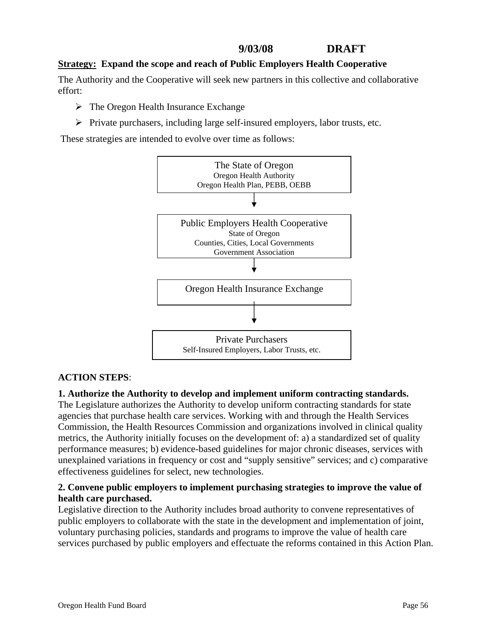### **Strategy: Expand the scope and reach of Public Employers Health Cooperative**

The Authority and the Cooperative will seek new partners in this collective and collaborative effort:

- $\triangleright$  The Oregon Health Insurance Exchange
- $\triangleright$  Private purchasers, including large self-insured employers, labor trusts, etc.

These strategies are intended to evolve over time as follows:



#### **ACTION STEPS**:

## **1. Authorize the Authority to develop and implement uniform contracting standards.**

The Legislature authorizes the Authority to develop uniform contracting standards for state agencies that purchase health care services. Working with and through the Health Services Commission, the Health Resources Commission and organizations involved in clinical quality metrics, the Authority initially focuses on the development of: a) a standardized set of quality performance measures; b) evidence-based guidelines for major chronic diseases, services with unexplained variations in frequency or cost and "supply sensitive" services; and c) comparative effectiveness guidelines for select, new technologies.

#### **2. Convene public employers to implement purchasing strategies to improve the value of health care purchased.**

Legislative direction to the Authority includes broad authority to convene representatives of public employers to collaborate with the state in the development and implementation of joint, voluntary purchasing policies, standards and programs to improve the value of health care services purchased by public employers and effectuate the reforms contained in this Action Plan.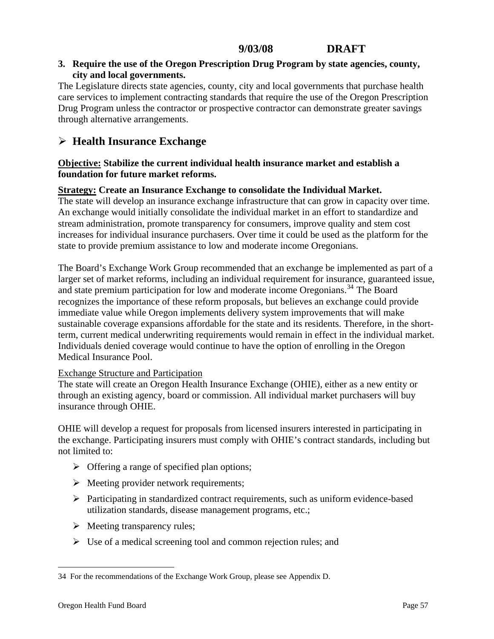#### <span id="page-56-0"></span>**3. Require the use of the Oregon Prescription Drug Program by state agencies, county, city and local governments.**

The Legislature directs state agencies, county, city and local governments that purchase health care services to implement contracting standards that require the use of the Oregon Prescription Drug Program unless the contractor or prospective contractor can demonstrate greater savings through alternative arrangements.

# ¾ **Health Insurance Exchange**

#### **Objective: Stabilize the current individual health insurance market and establish a foundation for future market reforms.**

#### **Strategy: Create an Insurance Exchange to consolidate the Individual Market.**

The state will develop an insurance exchange infrastructure that can grow in capacity over time. An exchange would initially consolidate the individual market in an effort to standardize and stream administration, promote transparency for consumers, improve quality and stem cost increases for individual insurance purchasers. Over time it could be used as the platform for the state to provide premium assistance to low and moderate income Oregonians.

The Board's Exchange Work Group recommended that an exchange be implemented as part of a larger set of market reforms, including an individual requirement for insurance, guaranteed issue, and state premium participation for low and moderate income Oregonians.<sup>[34](#page-56-0)</sup> The Board recognizes the importance of these reform proposals, but believes an exchange could provide immediate value while Oregon implements delivery system improvements that will make sustainable coverage expansions affordable for the state and its residents. Therefore, in the shortterm, current medical underwriting requirements would remain in effect in the individual market. Individuals denied coverage would continue to have the option of enrolling in the Oregon Medical Insurance Pool.

#### Exchange Structure and Participation

The state will create an Oregon Health Insurance Exchange (OHIE), either as a new entity or through an existing agency, board or commission. All individual market purchasers will buy insurance through OHIE.

OHIE will develop a request for proposals from licensed insurers interested in participating in the exchange. Participating insurers must comply with OHIE's contract standards, including but not limited to:

- $\triangleright$  Offering a range of specified plan options;
- $\triangleright$  Meeting provider network requirements;
- $\triangleright$  Participating in standardized contract requirements, such as uniform evidence-based utilization standards, disease management programs, etc.;
- $\triangleright$  Meeting transparency rules;
- $\triangleright$  Use of a medical screening tool and common rejection rules; and

<sup>34</sup> For the recommendations of the Exchange Work Group, please see Appendix D.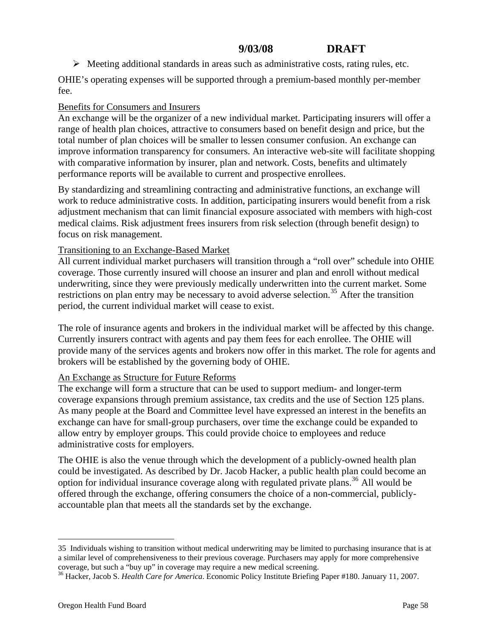<span id="page-57-0"></span> $\triangleright$  Meeting additional standards in areas such as administrative costs, rating rules, etc.

OHIE's operating expenses will be supported through a premium-based monthly per-member fee.

#### Benefits for Consumers and Insurers

An exchange will be the organizer of a new individual market. Participating insurers will offer a range of health plan choices, attractive to consumers based on benefit design and price, but the total number of plan choices will be smaller to lessen consumer confusion. An exchange can improve information transparency for consumers. An interactive web-site will facilitate shopping with comparative information by insurer, plan and network. Costs, benefits and ultimately performance reports will be available to current and prospective enrollees.

By standardizing and streamlining contracting and administrative functions, an exchange will work to reduce administrative costs. In addition, participating insurers would benefit from a risk adjustment mechanism that can limit financial exposure associated with members with high-cost medical claims. Risk adjustment frees insurers from risk selection (through benefit design) to focus on risk management.

#### Transitioning to an Exchange-Based Market

All current individual market purchasers will transition through a "roll over" schedule into OHIE coverage. Those currently insured will choose an insurer and plan and enroll without medical underwriting, since they were previously medically underwritten into the current market. Some restrictions on plan entry may be necessary to avoid adverse selection.<sup>[35](#page-57-0)</sup> After the transition period, the current individual market will cease to exist.

The role of insurance agents and brokers in the individual market will be affected by this change. Currently insurers contract with agents and pay them fees for each enrollee. The OHIE will provide many of the services agents and brokers now offer in this market. The role for agents and brokers will be established by the governing body of OHIE.

#### An Exchange as Structure for Future Reforms

The exchange will form a structure that can be used to support medium- and longer-term coverage expansions through premium assistance, tax credits and the use of Section 125 plans. As many people at the Board and Committee level have expressed an interest in the benefits an exchange can have for small-group purchasers, over time the exchange could be expanded to allow entry by employer groups. This could provide choice to employees and reduce administrative costs for employers.

The OHIE is also the venue through which the development of a publicly-owned health plan could be investigated. As described by Dr. Jacob Hacker, a public health plan could become an option for individual insurance coverage along with regulated private plans.[36](#page-57-0) All would be offered through the exchange, offering consumers the choice of a non-commercial, publiclyaccountable plan that meets all the standards set by the exchange.

<sup>35</sup> Individuals wishing to transition without medical underwriting may be limited to purchasing insurance that is at a similar level of comprehensiveness to their previous coverage. Purchasers may apply for more comprehensive coverage, but such a "buy up" in coverage may require a new medical screening.

<sup>36</sup> Hacker, Jacob S. *Health Care for America*. Economic Policy Institute Briefing Paper #180. January 11, 2007.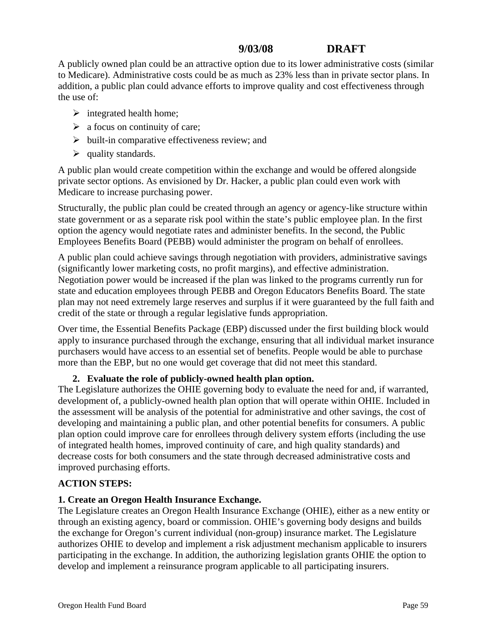A publicly owned plan could be an attractive option due to its lower administrative costs (similar to Medicare). Administrative costs could be as much as 23% less than in private sector plans. In addition, a public plan could advance efforts to improve quality and cost effectiveness through the use of:

- $\triangleright$  integrated health home;
- $\triangleright$  a focus on continuity of care;
- $\triangleright$  built-in comparative effectiveness review; and
- $\blacktriangleright$  quality standards.

A public plan would create competition within the exchange and would be offered alongside private sector options. As envisioned by Dr. Hacker, a public plan could even work with Medicare to increase purchasing power.

Structurally, the public plan could be created through an agency or agency-like structure within state government or as a separate risk pool within the state's public employee plan. In the first option the agency would negotiate rates and administer benefits. In the second, the Public Employees Benefits Board (PEBB) would administer the program on behalf of enrollees.

A public plan could achieve savings through negotiation with providers, administrative savings (significantly lower marketing costs, no profit margins), and effective administration. Negotiation power would be increased if the plan was linked to the programs currently run for state and education employees through PEBB and Oregon Educators Benefits Board. The state plan may not need extremely large reserves and surplus if it were guaranteed by the full faith and credit of the state or through a regular legislative funds appropriation.

Over time, the Essential Benefits Package (EBP) discussed under the first building block would apply to insurance purchased through the exchange, ensuring that all individual market insurance purchasers would have access to an essential set of benefits. People would be able to purchase more than the EBP, but no one would get coverage that did not meet this standard.

## **2. Evaluate the role of publicly-owned health plan option.**

The Legislature authorizes the OHIE governing body to evaluate the need for and, if warranted, development of, a publicly-owned health plan option that will operate within OHIE. Included in the assessment will be analysis of the potential for administrative and other savings, the cost of developing and maintaining a public plan, and other potential benefits for consumers. A public plan option could improve care for enrollees through delivery system efforts (including the use of integrated health homes, improved continuity of care, and high quality standards) and decrease costs for both consumers and the state through decreased administrative costs and improved purchasing efforts.

## **ACTION STEPS:**

## **1. Create an Oregon Health Insurance Exchange.**

The Legislature creates an Oregon Health Insurance Exchange (OHIE), either as a new entity or through an existing agency, board or commission. OHIE's governing body designs and builds the exchange for Oregon's current individual (non-group) insurance market. The Legislature authorizes OHIE to develop and implement a risk adjustment mechanism applicable to insurers participating in the exchange. In addition, the authorizing legislation grants OHIE the option to develop and implement a reinsurance program applicable to all participating insurers.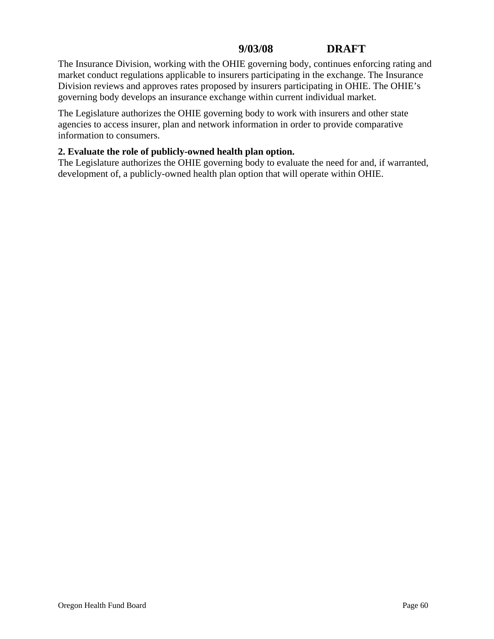The Insurance Division, working with the OHIE governing body, continues enforcing rating and market conduct regulations applicable to insurers participating in the exchange. The Insurance Division reviews and approves rates proposed by insurers participating in OHIE. The OHIE's governing body develops an insurance exchange within current individual market.

The Legislature authorizes the OHIE governing body to work with insurers and other state agencies to access insurer, plan and network information in order to provide comparative information to consumers.

## **2. Evaluate the role of publicly-owned health plan option.**

The Legislature authorizes the OHIE governing body to evaluate the need for and, if warranted, development of, a publicly-owned health plan option that will operate within OHIE.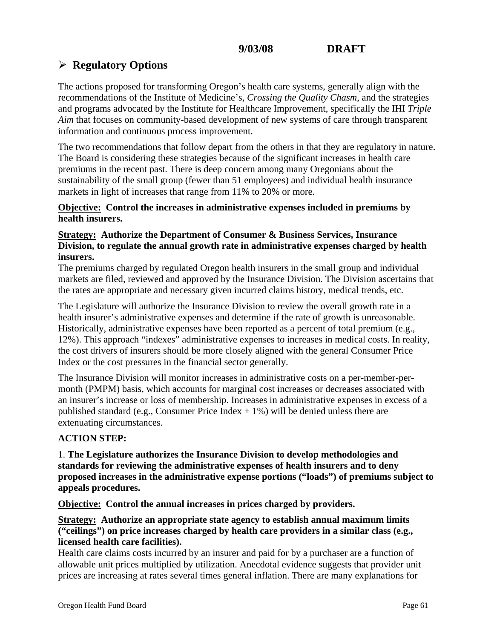# ¾ **Regulatory Options**

The actions proposed for transforming Oregon's health care systems, generally align with the recommendations of the Institute of Medicine's, *Crossing the Quality Chasm*, and the strategies and programs advocated by the Institute for Healthcare Improvement, specifically the IHI *Triple Aim* that focuses on community-based development of new systems of care through transparent information and continuous process improvement.

The two recommendations that follow depart from the others in that they are regulatory in nature. The Board is considering these strategies because of the significant increases in health care premiums in the recent past. There is deep concern among many Oregonians about the sustainability of the small group (fewer than 51 employees) and individual health insurance markets in light of increases that range from 11% to 20% or more.

#### **Objective: Control the increases in administrative expenses included in premiums by health insurers.**

## **Strategy: Authorize the Department of Consumer & Business Services, Insurance Division, to regulate the annual growth rate in administrative expenses charged by health insurers.**

The premiums charged by regulated Oregon health insurers in the small group and individual markets are filed, reviewed and approved by the Insurance Division. The Division ascertains that the rates are appropriate and necessary given incurred claims history, medical trends, etc.

The Legislature will authorize the Insurance Division to review the overall growth rate in a health insurer's administrative expenses and determine if the rate of growth is unreasonable. Historically, administrative expenses have been reported as a percent of total premium (e.g., 12%). This approach "indexes" administrative expenses to increases in medical costs. In reality, the cost drivers of insurers should be more closely aligned with the general Consumer Price Index or the cost pressures in the financial sector generally.

The Insurance Division will monitor increases in administrative costs on a per-member-permonth (PMPM) basis, which accounts for marginal cost increases or decreases associated with an insurer's increase or loss of membership. Increases in administrative expenses in excess of a published standard (e.g., Consumer Price Index  $+ 1\%$ ) will be denied unless there are extenuating circumstances.

## **ACTION STEP:**

1. **The Legislature authorizes the Insurance Division to develop methodologies and standards for reviewing the administrative expenses of health insurers and to deny proposed increases in the administrative expense portions ("loads") of premiums subject to appeals procedures.**

**Objective: Control the annual increases in prices charged by providers.**

## **Strategy: Authorize an appropriate state agency to establish annual maximum limits ("ceilings") on price increases charged by health care providers in a similar class (e.g., licensed health care facilities).**

Health care claims costs incurred by an insurer and paid for by a purchaser are a function of allowable unit prices multiplied by utilization. Anecdotal evidence suggests that provider unit prices are increasing at rates several times general inflation. There are many explanations for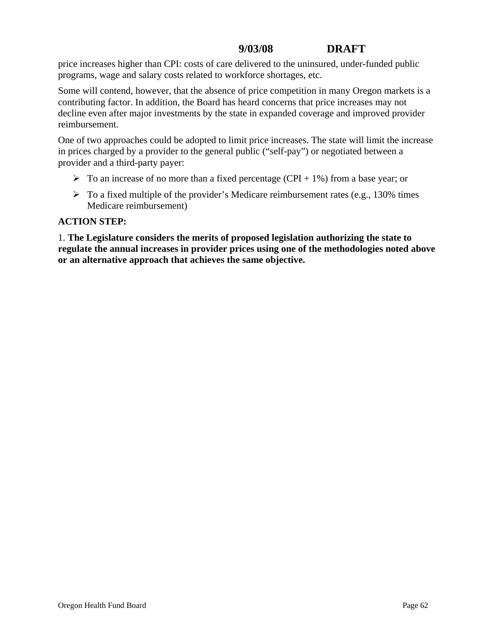price increases higher than CPI: costs of care delivered to the uninsured, under-funded public programs, wage and salary costs related to workforce shortages, etc.

Some will contend, however, that the absence of price competition in many Oregon markets is a contributing factor. In addition, the Board has heard concerns that price increases may not decline even after major investments by the state in expanded coverage and improved provider reimbursement.

One of two approaches could be adopted to limit price increases. The state will limit the increase in prices charged by a provider to the general public ("self-pay") or negotiated between a provider and a third-party payer:

- $\triangleright$  To an increase of no more than a fixed percentage (CPI + 1%) from a base year; or
- $\triangleright$  To a fixed multiple of the provider's Medicare reimbursement rates (e.g., 130% times Medicare reimbursement)

#### **ACTION STEP:**

1. **The Legislature considers the merits of proposed legislation authorizing the state to regulate the annual increases in provider prices using one of the methodologies noted above or an alternative approach that achieves the same objective.**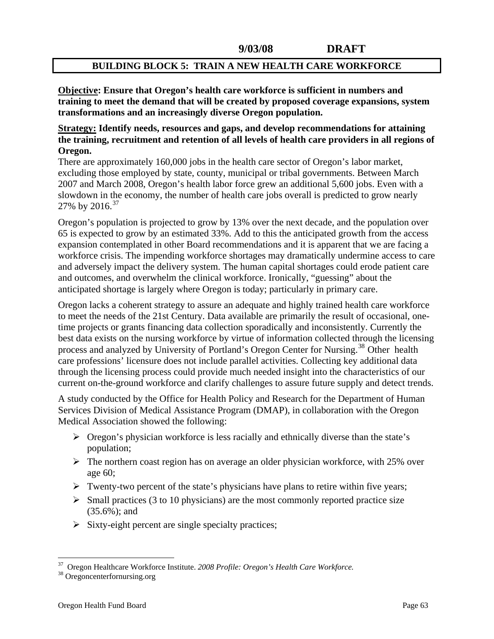#### **BUILDING BLOCK 5: TRAIN A NEW HEALTH CARE WORKFORCE**

<span id="page-62-0"></span>**Objective: Ensure that Oregon's health care workforce is sufficient in numbers and training to meet the demand that will be created by proposed coverage expansions, system transformations and an increasingly diverse Oregon population.** 

#### **Strategy: Identify needs, resources and gaps, and develop recommendations for attaining the training, recruitment and retention of all levels of health care providers in all regions of Oregon.**

There are approximately 160,000 jobs in the health care sector of Oregon's labor market, excluding those employed by state, county, municipal or tribal governments. Between March 2007 and March 2008, Oregon's health labor force grew an additional 5,600 jobs. Even with a slowdown in the economy, the number of health care jobs overall is predicted to grow nearly 27% by  $2016^{37}$  $2016^{37}$  $2016^{37}$ 

Oregon's population is projected to grow by 13% over the next decade, and the population over 65 is expected to grow by an estimated 33%. Add to this the anticipated growth from the access expansion contemplated in other Board recommendations and it is apparent that we are facing a workforce crisis. The impending workforce shortages may dramatically undermine access to care and adversely impact the delivery system. The human capital shortages could erode patient care and outcomes, and overwhelm the clinical workforce. Ironically, "guessing" about the anticipated shortage is largely where Oregon is today; particularly in primary care.

Oregon lacks a coherent strategy to assure an adequate and highly trained health care workforce to meet the needs of the 21st Century. Data available are primarily the result of occasional, onetime projects or grants financing data collection sporadically and inconsistently. Currently the best data exists on the nursing workforce by virtue of information collected through the licensing process and analyzed by University of Portland's Oregon Center for Nursing.<sup>[38](#page-62-0)</sup> Other health care professions' licensure does not include parallel activities. Collecting key additional data through the licensing process could provide much needed insight into the characteristics of our current on-the-ground workforce and clarify challenges to assure future supply and detect trends.

A study conducted by the Office for Health Policy and Research for the Department of Human Services Division of Medical Assistance Program (DMAP), in collaboration with the Oregon Medical Association showed the following:

- $\triangleright$  Oregon's physician workforce is less racially and ethnically diverse than the state's population;
- $\triangleright$  The northern coast region has on average an older physician workforce, with 25% over age 60;
- $\triangleright$  Twenty-two percent of the state's physicians have plans to retire within five years;
- $\triangleright$  Small practices (3 to 10 physicians) are the most commonly reported practice size (35.6%); and
- $\triangleright$  Sixty-eight percent are single specialty practices;

<sup>&</sup>lt;sup>37</sup> Oregon Healthcare Workforce Institute. *2008 Profile: Oregon's Health Care Workforce*.<br><sup>38</sup> Oregoncenterfornursing.org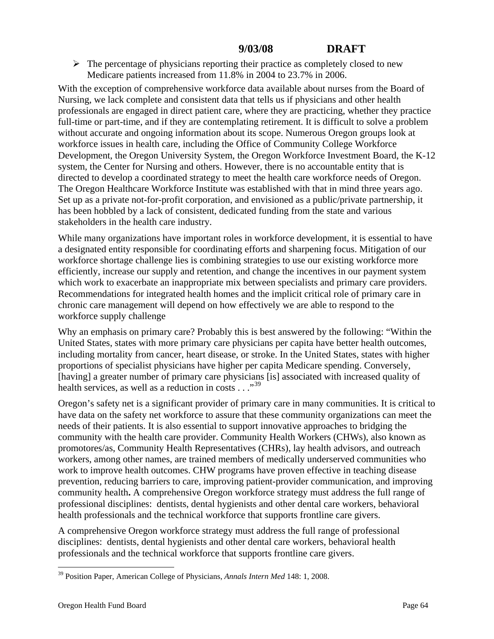<span id="page-63-0"></span> $\triangleright$  The percentage of physicians reporting their practice as completely closed to new Medicare patients increased from 11.8% in 2004 to 23.7% in 2006.

With the exception of comprehensive workforce data available about nurses from the Board of Nursing, we lack complete and consistent data that tells us if physicians and other health professionals are engaged in direct patient care, where they are practicing, whether they practice full-time or part-time, and if they are contemplating retirement. It is difficult to solve a problem without accurate and ongoing information about its scope. Numerous Oregon groups look at workforce issues in health care, including the Office of Community College Workforce Development, the Oregon University System, the Oregon Workforce Investment Board, the K-12 system, the Center for Nursing and others. However, there is no accountable entity that is directed to develop a coordinated strategy to meet the health care workforce needs of Oregon. The Oregon Healthcare Workforce Institute was established with that in mind three years ago. Set up as a private not-for-profit corporation, and envisioned as a public/private partnership, it has been hobbled by a lack of consistent, dedicated funding from the state and various stakeholders in the health care industry.

While many organizations have important roles in workforce development, it is essential to have a designated entity responsible for coordinating efforts and sharpening focus. Mitigation of our workforce shortage challenge lies is combining strategies to use our existing workforce more efficiently, increase our supply and retention, and change the incentives in our payment system which work to exacerbate an inappropriate mix between specialists and primary care providers. Recommendations for integrated health homes and the implicit critical role of primary care in chronic care management will depend on how effectively we are able to respond to the workforce supply challenge

Why an emphasis on primary care? Probably this is best answered by the following: "Within the United States, states with more primary care physicians per capita have better health outcomes, including mortality from cancer, heart disease, or stroke. In the United States, states with higher proportions of specialist physicians have higher per capita Medicare spending. Conversely, [having] a greater number of primary care physicians [is] associated with increased quality of health services, as well as a reduction in costs . . .<sup>[39](#page-63-0)</sup>

Oregon's safety net is a significant provider of primary care in many communities. It is critical to have data on the safety net workforce to assure that these community organizations can meet the needs of their patients. It is also essential to support innovative approaches to bridging the community with the health care provider. Community Health Workers (CHWs), also known as promotores/as, Community Health Representatives (CHRs), lay health advisors, and outreach workers, among other names, are trained members of medically underserved communities who work to improve health outcomes. CHW programs have proven effective in teaching disease prevention, reducing barriers to care, improving patient-provider communication, and improving community health**.** A comprehensive Oregon workforce strategy must address the full range of professional disciplines: dentists, dental hygienists and other dental care workers, behavioral health professionals and the technical workforce that supports frontline care givers.

A comprehensive Oregon workforce strategy must address the full range of professional disciplines: dentists, dental hygienists and other dental care workers, behavioral health professionals and the technical workforce that supports frontline care givers.

<sup>39</sup> Position Paper, American College of Physicians, *Annals Intern Med* 148: 1, 2008.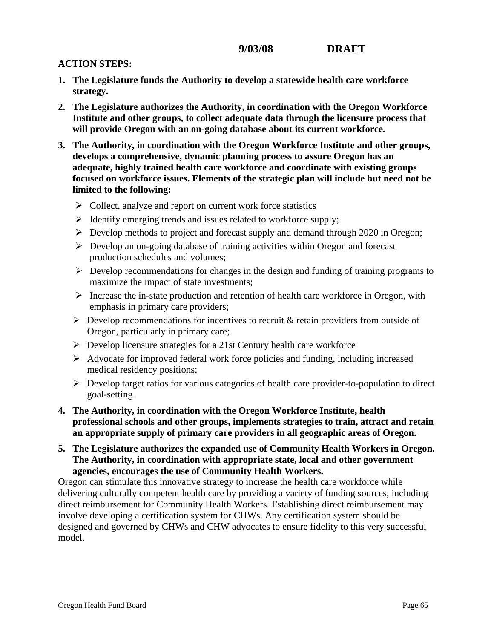### **ACTION STEPS:**

- **1. The Legislature funds the Authority to develop a statewide health care workforce strategy.**
- **2. The Legislature authorizes the Authority, in coordination with the Oregon Workforce Institute and other groups, to collect adequate data through the licensure process that will provide Oregon with an on-going database about its current workforce.**
- **3. The Authority, in coordination with the Oregon Workforce Institute and other groups, develops a comprehensive, dynamic planning process to assure Oregon has an adequate, highly trained health care workforce and coordinate with existing groups focused on workforce issues. Elements of the strategic plan will include but need not be limited to the following:**
	- $\triangleright$  Collect, analyze and report on current work force statistics
	- $\triangleright$  Identify emerging trends and issues related to workforce supply;
	- ¾ Develop methods to project and forecast supply and demand through 2020 in Oregon;
	- $\triangleright$  Develop an on-going database of training activities within Oregon and forecast production schedules and volumes;
	- $\triangleright$  Develop recommendations for changes in the design and funding of training programs to maximize the impact of state investments;
	- $\triangleright$  Increase the in-state production and retention of health care workforce in Oregon, with emphasis in primary care providers;
	- $\triangleright$  Develop recommendations for incentives to recruit & retain providers from outside of Oregon, particularly in primary care;
	- $\triangleright$  Develop licensure strategies for a 21st Century health care workforce
	- ¾ Advocate for improved federal work force policies and funding, including increased medical residency positions;
	- $\triangleright$  Develop target ratios for various categories of health care provider-to-population to direct goal-setting.
- **4. The Authority, in coordination with the Oregon Workforce Institute, health professional schools and other groups, implements strategies to train, attract and retain an appropriate supply of primary care providers in all geographic areas of Oregon.**
- **5. The Legislature authorizes the expanded use of Community Health Workers in Oregon. The Authority, in coordination with appropriate state, local and other government agencies, encourages the use of Community Health Workers.**

Oregon can stimulate this innovative strategy to increase the health care workforce while delivering culturally competent health care by providing a variety of funding sources, including direct reimbursement for Community Health Workers. Establishing direct reimbursement may involve developing a certification system for CHWs. Any certification system should be designed and governed by CHWs and CHW advocates to ensure fidelity to this very successful model.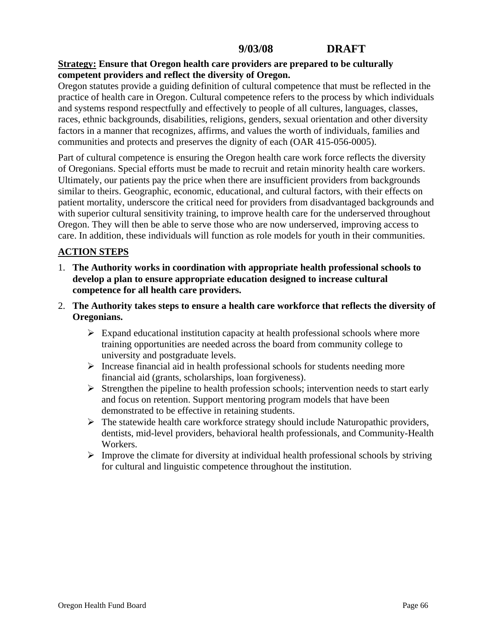#### **Strategy: Ensure that Oregon health care providers are prepared to be culturally competent providers and reflect the diversity of Oregon.**

Oregon statutes provide a guiding definition of cultural competence that must be reflected in the practice of health care in Oregon. Cultural competence refers to the process by which individuals and systems respond respectfully and effectively to people of all cultures, languages, classes, races, ethnic backgrounds, disabilities, religions, genders, sexual orientation and other diversity factors in a manner that recognizes, affirms, and values the worth of individuals, families and communities and protects and preserves the dignity of each (OAR 415-056-0005).

Part of cultural competence is ensuring the Oregon health care work force reflects the diversity of Oregonians. Special efforts must be made to recruit and retain minority health care workers. Ultimately, our patients pay the price when there are insufficient providers from backgrounds similar to theirs. Geographic, economic, educational, and cultural factors, with their effects on patient mortality, underscore the critical need for providers from disadvantaged backgrounds and with superior cultural sensitivity training, to improve health care for the underserved throughout Oregon. They will then be able to serve those who are now underserved, improving access to care. In addition, these individuals will function as role models for youth in their communities.

## **ACTION STEPS**

- 1. **The Authority works in coordination with appropriate health professional schools to develop a plan to ensure appropriate education designed to increase cultural competence for all health care providers.**
- 2. **The Authority takes steps to ensure a health care workforce that reflects the diversity of Oregonians.** 
	- $\triangleright$  Expand educational institution capacity at health professional schools where more training opportunities are needed across the board from community college to university and postgraduate levels.
	- $\triangleright$  Increase financial aid in health professional schools for students needing more financial aid (grants, scholarships, loan forgiveness).
	- $\triangleright$  Strengthen the pipeline to health profession schools; intervention needs to start early and focus on retention. Support mentoring program models that have been demonstrated to be effective in retaining students.
	- $\triangleright$  The statewide health care workforce strategy should include Naturopathic providers, dentists, mid-level providers, behavioral health professionals, and Community-Health Workers.
	- $\triangleright$  Improve the climate for diversity at individual health professional schools by striving for cultural and linguistic competence throughout the institution.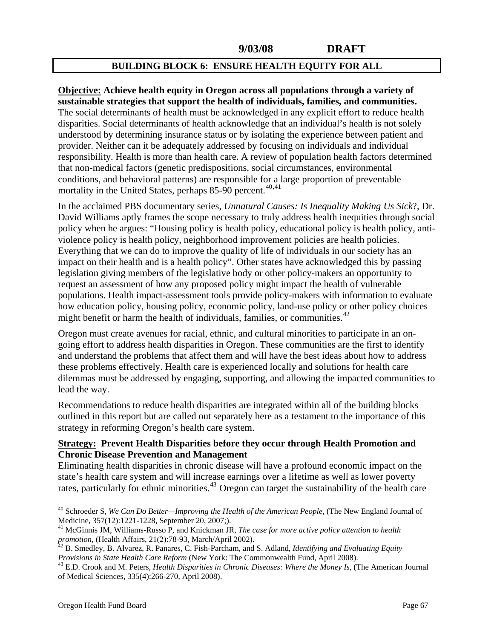#### **BUILDING BLOCK 6: ENSURE HEALTH EQUITY FOR ALL**

#### <span id="page-66-0"></span>**Objective: Achieve health equity in Oregon across all populations through a variety of sustainable strategies that support the health of individuals, families, and communities.**

The social determinants of health must be acknowledged in any explicit effort to reduce health disparities. Social determinants of health acknowledge that an individual's health is not solely understood by determining insurance status or by isolating the experience between patient and provider. Neither can it be adequately addressed by focusing on individuals and individual responsibility. Health is more than health care. A review of population health factors determined that non-medical factors (genetic predispositions, social circumstances, environmental conditions, and behavioral patterns) are responsible for a large proportion of preventable mortality in the United States, perhaps 85-90 percent.<sup>[40](#page-66-0),[41](#page-66-0)</sup>

In the acclaimed PBS documentary series, *Unnatural Causes: Is Inequality Making Us Sick*?, Dr. David Williams aptly frames the scope necessary to truly address health inequities through social policy when he argues: "Housing policy is health policy, educational policy is health policy, antiviolence policy is health policy, neighborhood improvement policies are health policies. Everything that we can do to improve the quality of life of individuals in our society has an impact on their health and is a health policy". Other states have acknowledged this by passing legislation giving members of the legislative body or other policy-makers an opportunity to request an assessment of how any proposed policy might impact the health of vulnerable populations. Health impact-assessment tools provide policy-makers with information to evaluate how education policy, housing policy, economic policy, land-use policy or other policy choices might benefit or harm the health of individuals, families, or communities.<sup>[42](#page-66-0)</sup>

Oregon must create avenues for racial, ethnic, and cultural minorities to participate in an ongoing effort to address health disparities in Oregon. These communities are the first to identify and understand the problems that affect them and will have the best ideas about how to address these problems effectively. Health care is experienced locally and solutions for health care dilemmas must be addressed by engaging, supporting, and allowing the impacted communities to lead the way.

Recommendations to reduce health disparities are integrated within all of the building blocks outlined in this report but are called out separately here as a testament to the importance of this strategy in reforming Oregon's health care system.

#### **Strategy: Prevent Health Disparities before they occur through Health Promotion and Chronic Disease Prevention and Management**

Eliminating health disparities in chronic disease will have a profound economic impact on the state's health care system and will increase earnings over a lifetime as well as lower poverty rates, particularly for ethnic minorities.<sup>[43](#page-66-0)</sup> Oregon can target the sustainability of the health care

<sup>40</sup> Schroeder S, *We Can Do Better—Improving the Health of the American People,* (The New England Journal of Medicine, 357(12):1221-1228, September 20, 2007;).

<sup>41</sup> McGinnis JM, Williams-Russo P, and Knickman JR, *The case for more active policy attention to health promotion,* (Health Affairs, 21(2):78-93, March/April 2002).<br><sup>42</sup> B. Smedley, B. Alvarez, R. Panares, C. Fish-Parcham, and S. Adland, *Identifying and Evaluating Equity* 

*Provisions in State Health Care Reform* (New York: The Commonwealth Fund, April 2008). 43 E.D. Crook and M. Peters, *Health Disparities in Chronic Diseases: Where the Money Is,* (The American Journal of Medical Sciences, 335(4):266-270, April 2008).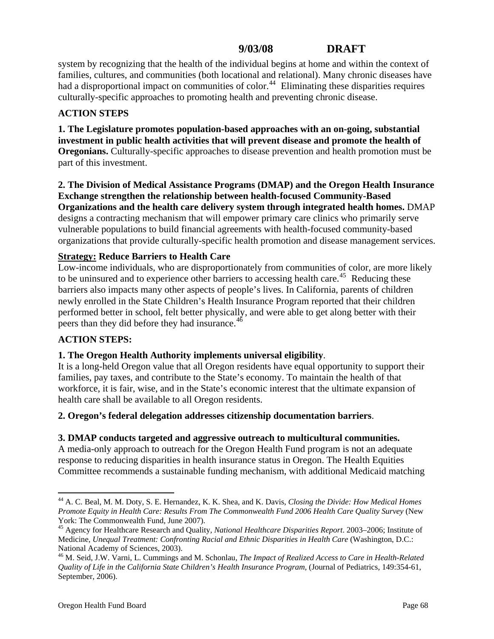<span id="page-67-0"></span>system by recognizing that the health of the individual begins at home and within the context of families, cultures, and communities (both locational and relational). Many chronic diseases have had a disproportional impact on communities of color.<sup>[44](#page-67-0)</sup> Eliminating these disparities requires culturally-specific approaches to promoting health and preventing chronic disease.

#### **ACTION STEPS**

**1. The Legislature promotes population-based approaches with an on-going, substantial investment in public health activities that will prevent disease and promote the health of Oregonians.** Culturally-specific approaches to disease prevention and health promotion must be part of this investment.

**2. The Division of Medical Assistance Programs (DMAP) and the Oregon Health Insurance Exchange strengthen the relationship between health-focused Community-Based Organizations and the health care delivery system through integrated health homes.** DMAP designs a contracting mechanism that will empower primary care clinics who primarily serve vulnerable populations to build financial agreements with health-focused community-based organizations that provide culturally-specific health promotion and disease management services.

#### **Strategy: Reduce Barriers to Health Care**

Low-income individuals, who are disproportionately from communities of color, are more likely to be uninsured and to experience other barriers to accessing health care.<sup>[45](#page-67-0)</sup> Reducing these barriers also impacts many other aspects of people's lives. In California, parents of children newly enrolled in the State Children's Health Insurance Program reported that their children performed better in school, felt better physically, and were able to get along better with their peers than they did before they had insurance.<sup>[46](#page-67-0)</sup>

## **ACTION STEPS:**

#### **1. The Oregon Health Authority implements universal eligibility**.

It is a long-held Oregon value that all Oregon residents have equal opportunity to support their families, pay taxes, and contribute to the State's economy. To maintain the health of that workforce, it is fair, wise, and in the State's economic interest that the ultimate expansion of health care shall be available to all Oregon residents.

#### **2. Oregon's federal delegation addresses citizenship documentation barriers**.

#### **3. DMAP conducts targeted and aggressive outreach to multicultural communities.**

A media-only approach to outreach for the Oregon Health Fund program is not an adequate response to reducing disparities in health insurance status in Oregon. The Health Equities Committee recommends a sustainable funding mechanism, with additional Medicaid matching

 $\overline{a}$ 44 A. C. Beal, M. M. Doty, S. E. Hernandez, K. K. Shea, and K. Davis, *Closing the Divide: How Medical Homes Promote Equity in Health Care: Results From The Commonwealth Fund 2006 Health Care Quality Survey* (New York: The Commonwealth Fund, June 2007).

<sup>45</sup> Agency for Healthcare Research and Quality*, National Healthcare Disparities Report*. 2003–2006; Institute of Medicine, *Unequal Treatment: Confronting Racial and Ethnic Disparities in Health Care* (Washington, D.C.: National Academy of Sciences, 2003).

<sup>46</sup> M. Seid, J.W. Varni, L. Cummings and M. Schonlau, *The Impact of Realized Access to Care in Health-Related Quality of Life in the California State Children's Health Insurance Program,* (Journal of Pediatrics, 149:354-61, September, 2006).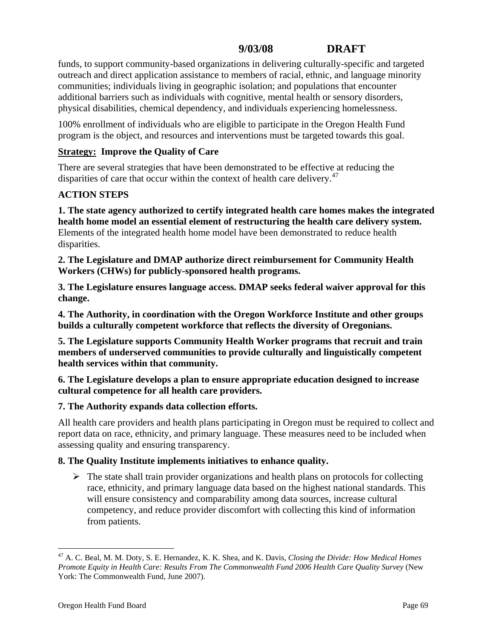<span id="page-68-0"></span>funds, to support community-based organizations in delivering culturally-specific and targeted outreach and direct application assistance to members of racial, ethnic, and language minority communities; individuals living in geographic isolation; and populations that encounter additional barriers such as individuals with cognitive, mental health or sensory disorders, physical disabilities, chemical dependency, and individuals experiencing homelessness.

100% enrollment of individuals who are eligible to participate in the Oregon Health Fund program is the object, and resources and interventions must be targeted towards this goal.

## **Strategy: Improve the Quality of Care**

There are several strategies that have been demonstrated to be effective at reducing the disparities of care that occur within the context of health care delivery.<sup>[47](#page-68-0)</sup>

# **ACTION STEPS**

**1. The state agency authorized to certify integrated health care homes makes the integrated health home model an essential element of restructuring the health care delivery system.**  Elements of the integrated health home model have been demonstrated to reduce health disparities.

**2. The Legislature and DMAP authorize direct reimbursement for Community Health Workers (CHWs) for publicly-sponsored health programs.** 

**3. The Legislature ensures language access. DMAP seeks federal waiver approval for this change.** 

**4. The Authority, in coordination with the Oregon Workforce Institute and other groups builds a culturally competent workforce that reflects the diversity of Oregonians.** 

**5. The Legislature supports Community Health Worker programs that recruit and train members of underserved communities to provide culturally and linguistically competent health services within that community.** 

**6. The Legislature develops a plan to ensure appropriate education designed to increase cultural competence for all health care providers.**

## **7. The Authority expands data collection efforts.**

All health care providers and health plans participating in Oregon must be required to collect and report data on race, ethnicity, and primary language. These measures need to be included when assessing quality and ensuring transparency.

## **8. The Quality Institute implements initiatives to enhance quality.**

 $\triangleright$  The state shall train provider organizations and health plans on protocols for collecting race, ethnicity, and primary language data based on the highest national standards. This will ensure consistency and comparability among data sources, increase cultural competency, and reduce provider discomfort with collecting this kind of information from patients.

<sup>47</sup> A. C. Beal, M. M. Doty, S. E. Hernandez, K. K. Shea, and K. Davis*, Closing the Divide: How Medical Homes Promote Equity in Health Care: Results From The Commonwealth Fund 2006 Health Care Quality Survey* (New York: The Commonwealth Fund, June 2007).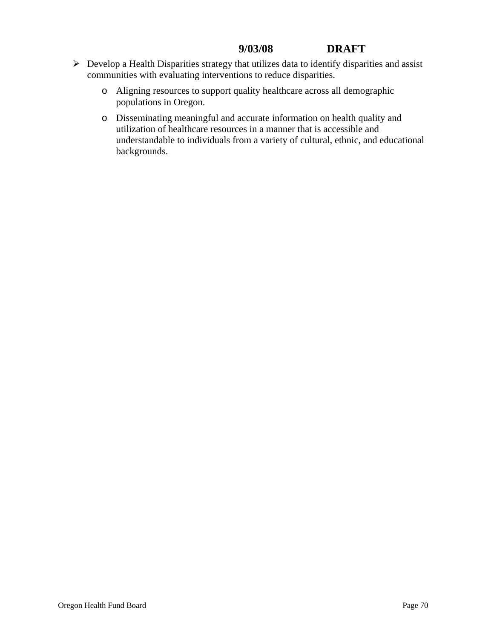- ¾ Develop a Health Disparities strategy that utilizes data to identify disparities and assist communities with evaluating interventions to reduce disparities.
	- o Aligning resources to support quality healthcare across all demographic populations in Oregon.
	- o Disseminating meaningful and accurate information on health quality and utilization of healthcare resources in a manner that is accessible and understandable to individuals from a variety of cultural, ethnic, and educational backgrounds.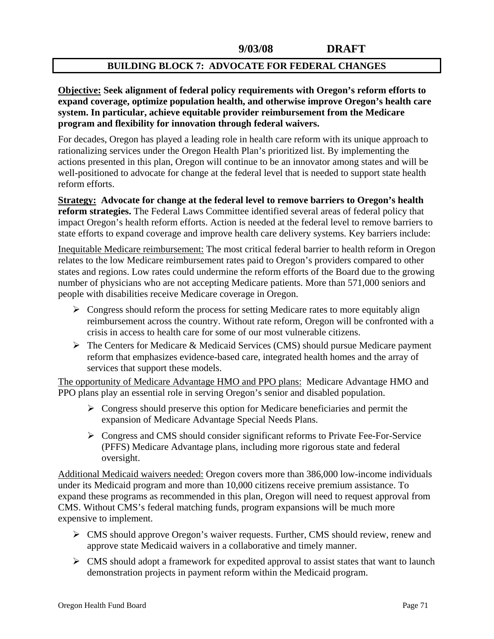#### **BUILDING BLOCK 7: ADVOCATE FOR FEDERAL CHANGES**

**Objective: Seek alignment of federal policy requirements with Oregon's reform efforts to expand coverage, optimize population health, and otherwise improve Oregon's health care system. In particular, achieve equitable provider reimbursement from the Medicare program and flexibility for innovation through federal waivers.** 

For decades, Oregon has played a leading role in health care reform with its unique approach to rationalizing services under the Oregon Health Plan's prioritized list. By implementing the actions presented in this plan, Oregon will continue to be an innovator among states and will be well-positioned to advocate for change at the federal level that is needed to support state health reform efforts.

**Strategy: Advocate for change at the federal level to remove barriers to Oregon's health reform strategies.** The Federal Laws Committee identified several areas of federal policy that impact Oregon's health reform efforts. Action is needed at the federal level to remove barriers to state efforts to expand coverage and improve health care delivery systems. Key barriers include:

Inequitable Medicare reimbursement: The most critical federal barrier to health reform in Oregon relates to the low Medicare reimbursement rates paid to Oregon's providers compared to other states and regions. Low rates could undermine the reform efforts of the Board due to the growing number of physicians who are not accepting Medicare patients. More than 571,000 seniors and people with disabilities receive Medicare coverage in Oregon.

- $\triangleright$  Congress should reform the process for setting Medicare rates to more equitably align reimbursement across the country. Without rate reform, Oregon will be confronted with a crisis in access to health care for some of our most vulnerable citizens.
- ¾ The Centers for Medicare & Medicaid Services (CMS) should pursue Medicare payment reform that emphasizes evidence-based care, integrated health homes and the array of services that support these models.

The opportunity of Medicare Advantage HMO and PPO plans:Medicare Advantage HMO and PPO plans play an essential role in serving Oregon's senior and disabled population.

- $\triangleright$  Congress should preserve this option for Medicare beneficiaries and permit the expansion of Medicare Advantage Special Needs Plans.
- $\triangleright$  Congress and CMS should consider significant reforms to Private Fee-For-Service (PFFS) Medicare Advantage plans, including more rigorous state and federal oversight.

Additional Medicaid waivers needed: Oregon covers more than 386,000 low-income individuals under its Medicaid program and more than 10,000 citizens receive premium assistance. To expand these programs as recommended in this plan, Oregon will need to request approval from CMS. Without CMS's federal matching funds, program expansions will be much more expensive to implement.

- $\triangleright$  CMS should approve Oregon's waiver requests. Further, CMS should review, renew and approve state Medicaid waivers in a collaborative and timely manner.
- $\triangleright$  CMS should adopt a framework for expedited approval to assist states that want to launch demonstration projects in payment reform within the Medicaid program.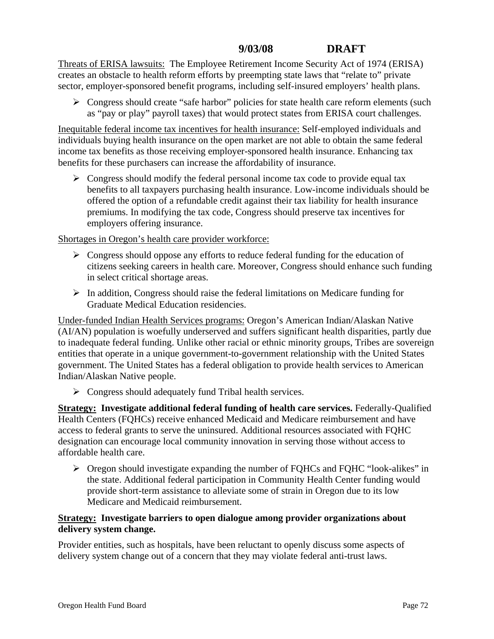Threats of ERISA lawsuits:The Employee Retirement Income Security Act of 1974 (ERISA) creates an obstacle to health reform efforts by preempting state laws that "relate to" private sector, employer-sponsored benefit programs, including self-insured employers' health plans.

¾ Congress should create "safe harbor" policies for state health care reform elements (such as "pay or play" payroll taxes) that would protect states from ERISA court challenges.

Inequitable federal income tax incentives for health insurance: Self-employed individuals and individuals buying health insurance on the open market are not able to obtain the same federal income tax benefits as those receiving employer-sponsored health insurance. Enhancing tax benefits for these purchasers can increase the affordability of insurance.

 $\triangleright$  Congress should modify the federal personal income tax code to provide equal tax benefits to all taxpayers purchasing health insurance. Low-income individuals should be offered the option of a refundable credit against their tax liability for health insurance premiums. In modifying the tax code, Congress should preserve tax incentives for employers offering insurance.

Shortages in Oregon's health care provider workforce:

- $\triangleright$  Congress should oppose any efforts to reduce federal funding for the education of citizens seeking careers in health care. Moreover, Congress should enhance such funding in select critical shortage areas.
- $\triangleright$  In addition, Congress should raise the federal limitations on Medicare funding for Graduate Medical Education residencies.

Under-funded Indian Health Services programs: Oregon's American Indian/Alaskan Native (AI/AN) population is woefully underserved and suffers significant health disparities, partly due to inadequate federal funding. Unlike other racial or ethnic minority groups, Tribes are sovereign entities that operate in a unique government-to-government relationship with the United States government. The United States has a federal obligation to provide health services to American Indian/Alaskan Native people.

 $\triangleright$  Congress should adequately fund Tribal health services.

**Strategy: Investigate additional federal funding of health care services.** Federally-Qualified Health Centers (FQHCs) receive enhanced Medicaid and Medicare reimbursement and have access to federal grants to serve the uninsured. Additional resources associated with FQHC designation can encourage local community innovation in serving those without access to affordable health care.

¾ Oregon should investigate expanding the number of FQHCs and FQHC "look-alikes" in the state. Additional federal participation in Community Health Center funding would provide short-term assistance to alleviate some of strain in Oregon due to its low Medicare and Medicaid reimbursement.

## **Strategy: Investigate barriers to open dialogue among provider organizations about delivery system change.**

Provider entities, such as hospitals, have been reluctant to openly discuss some aspects of delivery system change out of a concern that they may violate federal anti-trust laws.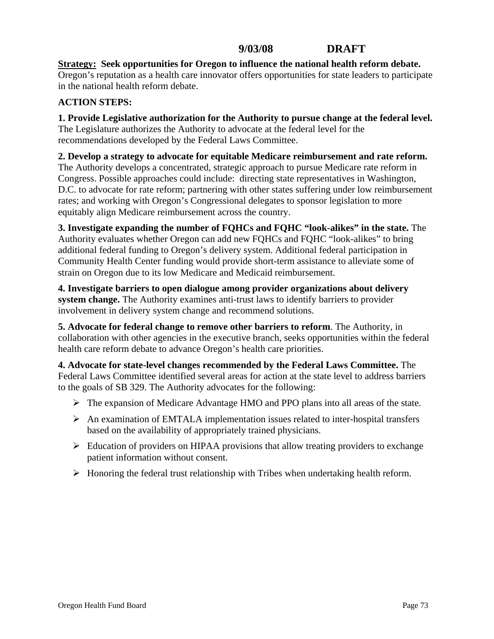**Strategy: Seek opportunities for Oregon to influence the national health reform debate.**  Oregon's reputation as a health care innovator offers opportunities for state leaders to participate

# **ACTION STEPS:**

in the national health reform debate.

**1. Provide Legislative authorization for the Authority to pursue change at the federal level.**  The Legislature authorizes the Authority to advocate at the federal level for the recommendations developed by the Federal Laws Committee.

**2. Develop a strategy to advocate for equitable Medicare reimbursement and rate reform.**  The Authority develops a concentrated, strategic approach to pursue Medicare rate reform in Congress. Possible approaches could include: directing state representatives in Washington, D.C. to advocate for rate reform; partnering with other states suffering under low reimbursement rates; and working with Oregon's Congressional delegates to sponsor legislation to more equitably align Medicare reimbursement across the country.

**3. Investigate expanding the number of FQHCs and FQHC "look-alikes" in the state.** The Authority evaluates whether Oregon can add new FQHCs and FQHC "look-alikes" to bring additional federal funding to Oregon's delivery system. Additional federal participation in Community Health Center funding would provide short-term assistance to alleviate some of strain on Oregon due to its low Medicare and Medicaid reimbursement.

**4. Investigate barriers to open dialogue among provider organizations about delivery system change.** The Authority examines anti-trust laws to identify barriers to provider involvement in delivery system change and recommend solutions.

**5. Advocate for federal change to remove other barriers to reform**. The Authority, in collaboration with other agencies in the executive branch, seeks opportunities within the federal health care reform debate to advance Oregon's health care priorities.

**4. Advocate for state-level changes recommended by the Federal Laws Committee.** The Federal Laws Committee identified several areas for action at the state level to address barriers to the goals of SB 329. The Authority advocates for the following:

- ¾ The expansion of Medicare Advantage HMO and PPO plans into all areas of the state.
- $\triangleright$  An examination of EMTALA implementation issues related to inter-hospital transfers based on the availability of appropriately trained physicians.
- $\triangleright$  Education of providers on HIPAA provisions that allow treating providers to exchange patient information without consent.
- $\triangleright$  Honoring the federal trust relationship with Tribes when undertaking health reform.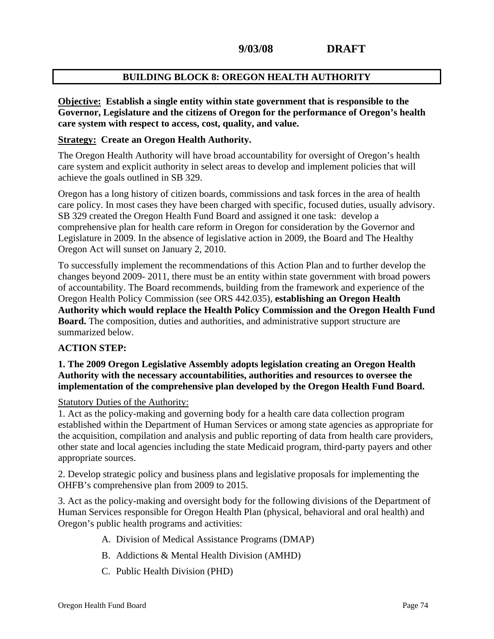### **BUILDING BLOCK 8: OREGON HEALTH AUTHORITY**

**Objective: Establish a single entity within state government that is responsible to the Governor, Legislature and the citizens of Oregon for the performance of Oregon's health care system with respect to access, cost, quality, and value.** 

#### **Strategy: Create an Oregon Health Authority.**

The Oregon Health Authority will have broad accountability for oversight of Oregon's health care system and explicit authority in select areas to develop and implement policies that will achieve the goals outlined in SB 329.

Oregon has a long history of citizen boards, commissions and task forces in the area of health care policy. In most cases they have been charged with specific, focused duties, usually advisory. SB 329 created the Oregon Health Fund Board and assigned it one task: develop a comprehensive plan for health care reform in Oregon for consideration by the Governor and Legislature in 2009. In the absence of legislative action in 2009, the Board and The Healthy Oregon Act will sunset on January 2, 2010.

To successfully implement the recommendations of this Action Plan and to further develop the changes beyond 2009- 2011, there must be an entity within state government with broad powers of accountability. The Board recommends, building from the framework and experience of the Oregon Health Policy Commission (see ORS 442.035), **establishing an Oregon Health Authority which would replace the Health Policy Commission and the Oregon Health Fund Board.** The composition, duties and authorities, and administrative support structure are summarized below.

#### **ACTION STEP:**

#### **1. The 2009 Oregon Legislative Assembly adopts legislation creating an Oregon Health Authority with the necessary accountabilities, authorities and resources to oversee the implementation of the comprehensive plan developed by the Oregon Health Fund Board.**

Statutory Duties of the Authority:

1. Act as the policy-making and governing body for a health care data collection program established within the Department of Human Services or among state agencies as appropriate for the acquisition, compilation and analysis and public reporting of data from health care providers, other state and local agencies including the state Medicaid program, third-party payers and other appropriate sources.

2. Develop strategic policy and business plans and legislative proposals for implementing the OHFB's comprehensive plan from 2009 to 2015.

3. Act as the policy-making and oversight body for the following divisions of the Department of Human Services responsible for Oregon Health Plan (physical, behavioral and oral health) and Oregon's public health programs and activities:

- A. Division of Medical Assistance Programs (DMAP)
- B. Addictions & Mental Health Division (AMHD)
- C. Public Health Division (PHD)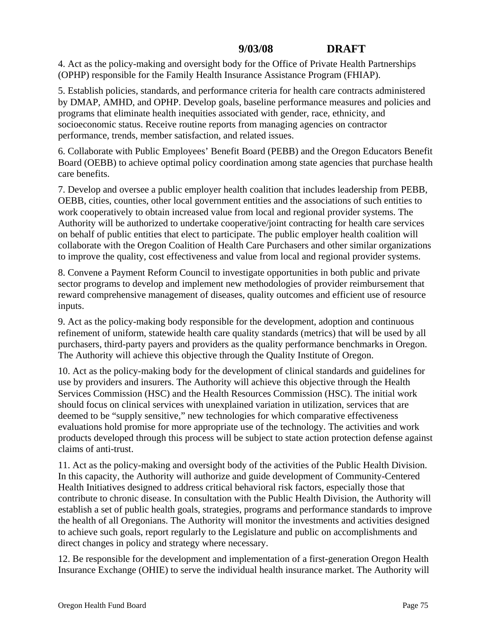4. Act as the policy-making and oversight body for the Office of Private Health Partnerships (OPHP) responsible for the Family Health Insurance Assistance Program (FHIAP).

5. Establish policies, standards, and performance criteria for health care contracts administered by DMAP, AMHD, and OPHP. Develop goals, baseline performance measures and policies and programs that eliminate health inequities associated with gender, race, ethnicity, and socioeconomic status. Receive routine reports from managing agencies on contractor performance, trends, member satisfaction, and related issues.

6. Collaborate with Public Employees' Benefit Board (PEBB) and the Oregon Educators Benefit Board (OEBB) to achieve optimal policy coordination among state agencies that purchase health care benefits.

7. Develop and oversee a public employer health coalition that includes leadership from PEBB, OEBB, cities, counties, other local government entities and the associations of such entities to work cooperatively to obtain increased value from local and regional provider systems. The Authority will be authorized to undertake cooperative/joint contracting for health care services on behalf of public entities that elect to participate. The public employer health coalition will collaborate with the Oregon Coalition of Health Care Purchasers and other similar organizations to improve the quality, cost effectiveness and value from local and regional provider systems.

8. Convene a Payment Reform Council to investigate opportunities in both public and private sector programs to develop and implement new methodologies of provider reimbursement that reward comprehensive management of diseases, quality outcomes and efficient use of resource inputs.

9. Act as the policy-making body responsible for the development, adoption and continuous refinement of uniform, statewide health care quality standards (metrics) that will be used by all purchasers, third-party payers and providers as the quality performance benchmarks in Oregon. The Authority will achieve this objective through the Quality Institute of Oregon.

10. Act as the policy-making body for the development of clinical standards and guidelines for use by providers and insurers. The Authority will achieve this objective through the Health Services Commission (HSC) and the Health Resources Commission (HSC). The initial work should focus on clinical services with unexplained variation in utilization, services that are deemed to be "supply sensitive," new technologies for which comparative effectiveness evaluations hold promise for more appropriate use of the technology. The activities and work products developed through this process will be subject to state action protection defense against claims of anti-trust.

11. Act as the policy-making and oversight body of the activities of the Public Health Division. In this capacity, the Authority will authorize and guide development of Community-Centered Health Initiatives designed to address critical behavioral risk factors, especially those that contribute to chronic disease. In consultation with the Public Health Division, the Authority will establish a set of public health goals, strategies, programs and performance standards to improve the health of all Oregonians. The Authority will monitor the investments and activities designed to achieve such goals, report regularly to the Legislature and public on accomplishments and direct changes in policy and strategy where necessary.

12. Be responsible for the development and implementation of a first-generation Oregon Health Insurance Exchange (OHIE) to serve the individual health insurance market. The Authority will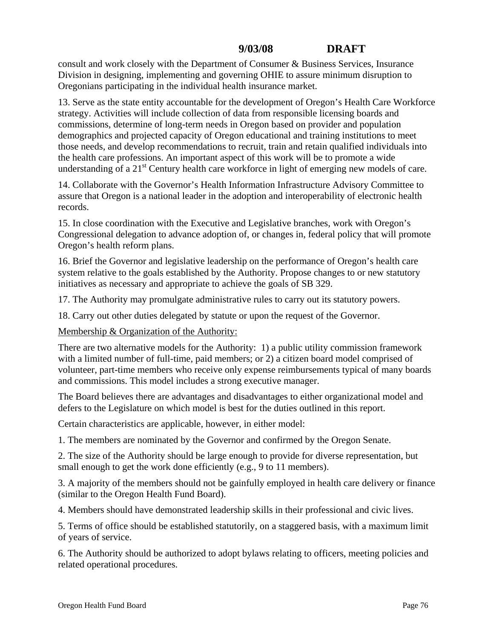consult and work closely with the Department of Consumer & Business Services, Insurance Division in designing, implementing and governing OHIE to assure minimum disruption to Oregonians participating in the individual health insurance market.

13. Serve as the state entity accountable for the development of Oregon's Health Care Workforce strategy. Activities will include collection of data from responsible licensing boards and commissions, determine of long-term needs in Oregon based on provider and population demographics and projected capacity of Oregon educational and training institutions to meet those needs, and develop recommendations to recruit, train and retain qualified individuals into the health care professions. An important aspect of this work will be to promote a wide understanding of a  $21<sup>st</sup>$  Century health care workforce in light of emerging new models of care.

14. Collaborate with the Governor's Health Information Infrastructure Advisory Committee to assure that Oregon is a national leader in the adoption and interoperability of electronic health records.

15. In close coordination with the Executive and Legislative branches, work with Oregon's Congressional delegation to advance adoption of, or changes in, federal policy that will promote Oregon's health reform plans.

16. Brief the Governor and legislative leadership on the performance of Oregon's health care system relative to the goals established by the Authority. Propose changes to or new statutory initiatives as necessary and appropriate to achieve the goals of SB 329.

17. The Authority may promulgate administrative rules to carry out its statutory powers.

18. Carry out other duties delegated by statute or upon the request of the Governor.

Membership & Organization of the Authority:

There are two alternative models for the Authority: 1) a public utility commission framework with a limited number of full-time, paid members; or 2) a citizen board model comprised of volunteer, part-time members who receive only expense reimbursements typical of many boards and commissions. This model includes a strong executive manager.

The Board believes there are advantages and disadvantages to either organizational model and defers to the Legislature on which model is best for the duties outlined in this report.

Certain characteristics are applicable, however, in either model:

1. The members are nominated by the Governor and confirmed by the Oregon Senate.

2. The size of the Authority should be large enough to provide for diverse representation, but small enough to get the work done efficiently (e.g., 9 to 11 members).

3. A majority of the members should not be gainfully employed in health care delivery or finance (similar to the Oregon Health Fund Board).

4. Members should have demonstrated leadership skills in their professional and civic lives.

5. Terms of office should be established statutorily, on a staggered basis, with a maximum limit of years of service.

6. The Authority should be authorized to adopt bylaws relating to officers, meeting policies and related operational procedures.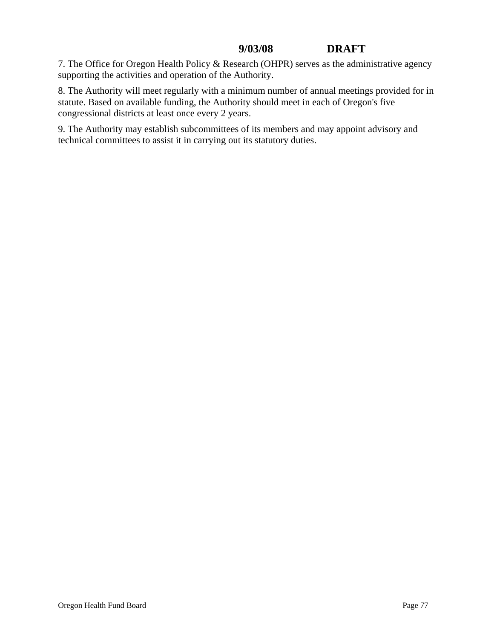7. The Office for Oregon Health Policy & Research (OHPR) serves as the administrative agency supporting the activities and operation of the Authority.

8. The Authority will meet regularly with a minimum number of annual meetings provided for in statute. Based on available funding, the Authority should meet in each of Oregon's five congressional districts at least once every 2 years.

9. The Authority may establish subcommittees of its members and may appoint advisory and technical committees to assist it in carrying out its statutory duties.